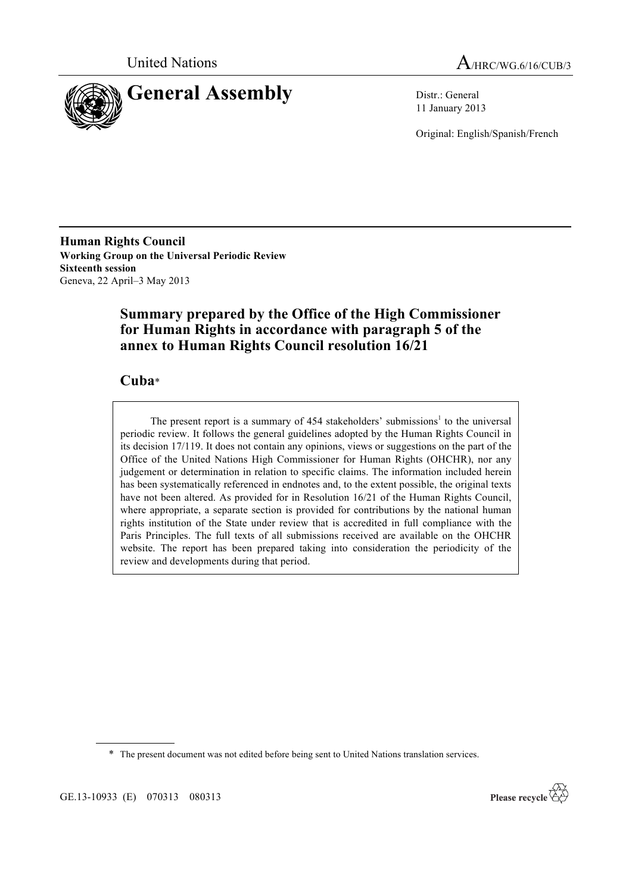



11 January 2013

Original: English/Spanish/French

**Human Rights Council Working Group on the Universal Periodic Review Sixteenth session** Geneva, 22 April–3 May 2013

# **Summary prepared by the Office of the High Commissioner for Human Rights in accordance with paragraph 5 of the annex to Human Rights Council resolution 16/21**

# **Cuba**\*

The present report is a summary of  $454$  stakeholders' submissions<sup>1</sup> to the universal periodic review. It follows the general guidelines adopted by the Human Rights Council in its decision 17/119. It does not contain any opinions, views or suggestions on the part of the Office of the United Nations High Commissioner for Human Rights (OHCHR), nor any judgement or determination in relation to specific claims. The information included herein has been systematically referenced in endnotes and, to the extent possible, the original texts have not been altered. As provided for in Resolution 16/21 of the Human Rights Council, where appropriate, a separate section is provided for contributions by the national human rights institution of the State under review that is accredited in full compliance with the Paris Principles. The full texts of all submissions received are available on the OHCHR website. The report has been prepared taking into consideration the periodicity of the review and developments during that period.

\* The present document was not edited before being sent to United Nations translation services.

GE.13-10933 (E) 070313 080313

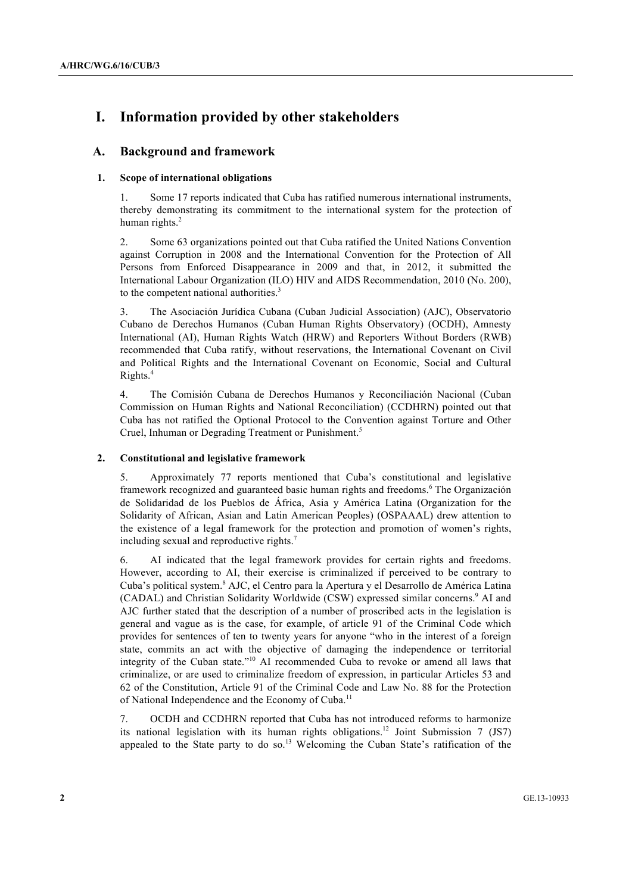# **I. Information provided by other stakeholders**

# **A. Background and framework**

# **1. Scope of international obligations**

1. Some 17 reports indicated that Cuba has ratified numerous international instruments, thereby demonstrating its commitment to the international system for the protection of human rights.<sup>2</sup>

2. Some 63 organizations pointed out that Cuba ratified the United Nations Convention against Corruption in 2008 and the International Convention for the Protection of All Persons from Enforced Disappearance in 2009 and that, in 2012, it submitted the International Labour Organization (ILO) HIV and AIDS Recommendation, 2010 (No. 200), to the competent national authorities. $3$ 

3. The Asociación Jurídica Cubana (Cuban Judicial Association) (AJC), Observatorio Cubano de Derechos Humanos (Cuban Human Rights Observatory) (OCDH), Amnesty International (AI), Human Rights Watch (HRW) and Reporters Without Borders (RWB) recommended that Cuba ratify, without reservations, the International Covenant on Civil and Political Rights and the International Covenant on Economic, Social and Cultural Rights.4

4. The Comisión Cubana de Derechos Humanos y Reconciliación Nacional (Cuban Commission on Human Rights and National Reconciliation) (CCDHRN) pointed out that Cuba has not ratified the Optional Protocol to the Convention against Torture and Other Cruel, Inhuman or Degrading Treatment or Punishment.<sup>5</sup>

# **2. Constitutional and legislative framework**

5. Approximately 77 reports mentioned that Cuba's constitutional and legislative framework recognized and guaranteed basic human rights and freedoms.<sup>6</sup> The Organización de Solidaridad de los Pueblos de África, Asia y América Latina (Organization for the Solidarity of African, Asian and Latin American Peoples) (OSPAAAL) drew attention to the existence of a legal framework for the protection and promotion of women's rights, including sexual and reproductive rights.<sup>7</sup>

6. AI indicated that the legal framework provides for certain rights and freedoms. However, according to AI, their exercise is criminalized if perceived to be contrary to Cuba's political system.<sup>8</sup> AJC, el Centro para la Apertura y el Desarrollo de América Latina (CADAL) and Christian Solidarity Worldwide (CSW) expressed similar concerns.<sup>9</sup> AI and AJC further stated that the description of a number of proscribed acts in the legislation is general and vague as is the case, for example, of article 91 of the Criminal Code which provides for sentences of ten to twenty years for anyone "who in the interest of a foreign state, commits an act with the objective of damaging the independence or territorial integrity of the Cuban state."<sup>10</sup> AI recommended Cuba to revoke or amend all laws that criminalize, or are used to criminalize freedom of expression, in particular Articles 53 and 62 of the Constitution, Article 91 of the Criminal Code and Law No. 88 for the Protection of National Independence and the Economy of Cuba.<sup>11</sup>

7. OCDH and CCDHRN reported that Cuba has not introduced reforms to harmonize its national legislation with its human rights obligations.<sup>12</sup> Joint Submission 7 (JS7) appealed to the State party to do so.<sup>13</sup> Welcoming the Cuban State's ratification of the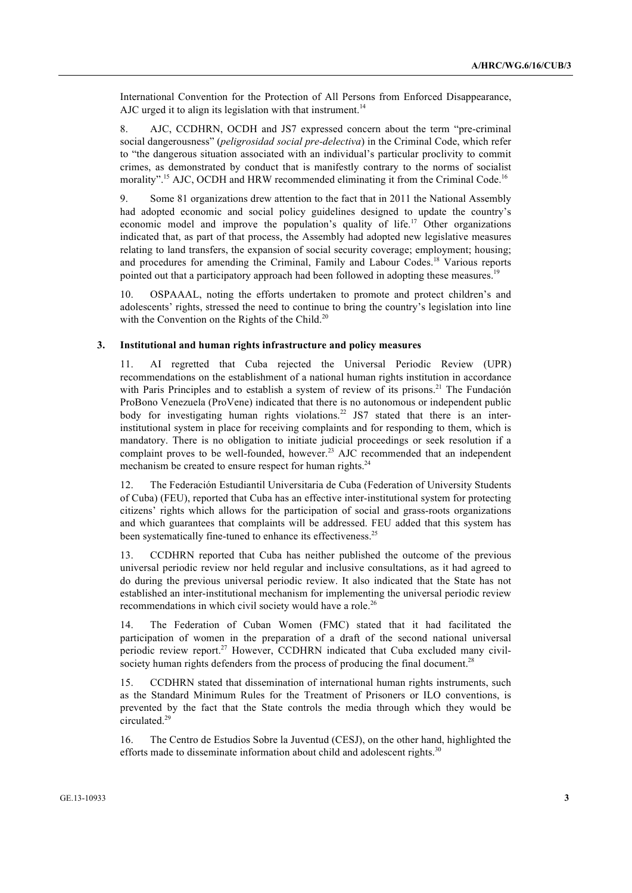International Convention for the Protection of All Persons from Enforced Disappearance, AJC urged it to align its legislation with that instrument.<sup>14</sup>

8. AJC, CCDHRN, OCDH and JS7 expressed concern about the term "pre-criminal social dangerousness" (*peligrosidad social pre-delectiva*) in the Criminal Code, which refer to "the dangerous situation associated with an individual's particular proclivity to commit crimes, as demonstrated by conduct that is manifestly contrary to the norms of socialist morality".<sup>15</sup> AJC, OCDH and HRW recommended eliminating it from the Criminal Code.<sup>16</sup>

9. Some 81 organizations drew attention to the fact that in 2011 the National Assembly had adopted economic and social policy guidelines designed to update the country's economic model and improve the population's quality of life.<sup>17</sup> Other organizations indicated that, as part of that process, the Assembly had adopted new legislative measures relating to land transfers, the expansion of social security coverage; employment; housing; and procedures for amending the Criminal, Family and Labour Codes.<sup>18</sup> Various reports pointed out that a participatory approach had been followed in adopting these measures.<sup>19</sup>

10. OSPAAAL, noting the efforts undertaken to promote and protect children's and adolescents' rights, stressed the need to continue to bring the country's legislation into line with the Convention on the Rights of the Child.<sup>20</sup>

#### **3. Institutional and human rights infrastructure and policy measures**

11. AI regretted that Cuba rejected the Universal Periodic Review (UPR) recommendations on the establishment of a national human rights institution in accordance with Paris Principles and to establish a system of review of its prisons.<sup>21</sup> The Fundación ProBono Venezuela (ProVene) indicated that there is no autonomous or independent public body for investigating human rights violations.<sup>22</sup> JS7 stated that there is an interinstitutional system in place for receiving complaints and for responding to them, which is mandatory. There is no obligation to initiate judicial proceedings or seek resolution if a complaint proves to be well-founded, however.<sup>23</sup> AJC recommended that an independent mechanism be created to ensure respect for human rights.<sup>24</sup>

12. The Federación Estudiantil Universitaria de Cuba (Federation of University Students of Cuba) (FEU), reported that Cuba has an effective inter-institutional system for protecting citizens' rights which allows for the participation of social and grass-roots organizations and which guarantees that complaints will be addressed. FEU added that this system has been systematically fine-tuned to enhance its effectiveness.<sup>25</sup>

13. CCDHRN reported that Cuba has neither published the outcome of the previous universal periodic review nor held regular and inclusive consultations, as it had agreed to do during the previous universal periodic review. It also indicated that the State has not established an inter-institutional mechanism for implementing the universal periodic review recommendations in which civil society would have a role.<sup>26</sup>

14. The Federation of Cuban Women (FMC) stated that it had facilitated the participation of women in the preparation of a draft of the second national universal periodic review report.<sup>27</sup> However, CCDHRN indicated that Cuba excluded many civilsociety human rights defenders from the process of producing the final document.<sup>28</sup>

15. CCDHRN stated that dissemination of international human rights instruments, such as the Standard Minimum Rules for the Treatment of Prisoners or ILO conventions, is prevented by the fact that the State controls the media through which they would be circulated.<sup>29</sup>

16. The Centro de Estudios Sobre la Juventud (CESJ), on the other hand, highlighted the efforts made to disseminate information about child and adolescent rights.<sup>30</sup>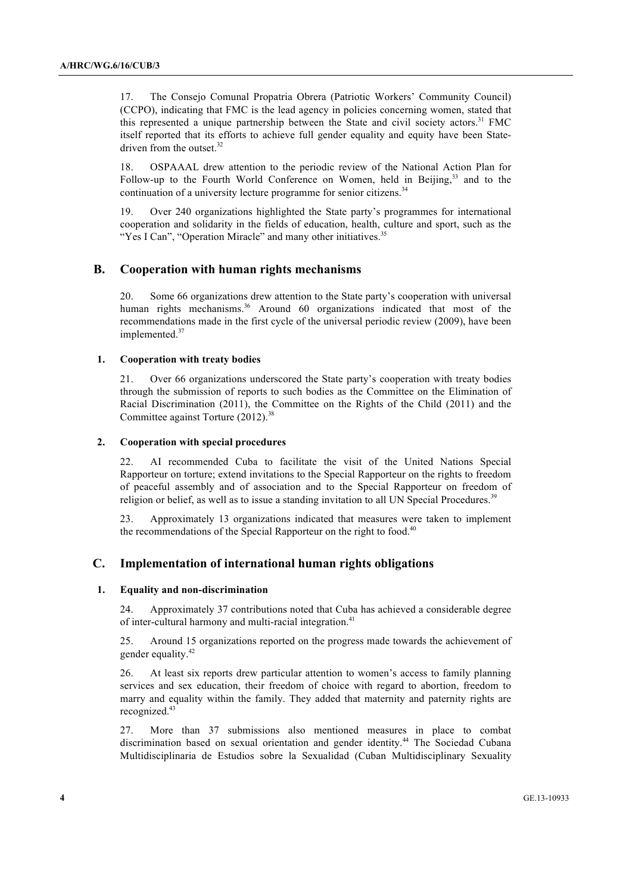17. The Consejo Comunal Propatria Obrera (Patriotic Workers' Community Council) (CCPO), indicating that FMC is the lead agency in policies concerning women, stated that this represented a unique partnership between the State and civil society actors.<sup>31</sup> FMC itself reported that its efforts to achieve full gender equality and equity have been Statedriven from the outset.<sup>32</sup>

18. OSPAAAL drew attention to the periodic review of the National Action Plan for Follow-up to the Fourth World Conference on Women, held in Beijing,<sup>33</sup> and to the continuation of a university lecture programme for senior citizens. $34$ 

19. Over 240 organizations highlighted the State party's programmes for international cooperation and solidarity in the fields of education, health, culture and sport, such as the "Yes I Can", "Operation Miracle" and many other initiatives.<sup>35</sup>

# **B. Cooperation with human rights mechanisms**

20. Some 66 organizations drew attention to the State party's cooperation with universal human rights mechanisms.<sup>36</sup> Around 60 organizations indicated that most of the recommendations made in the first cycle of the universal periodic review (2009), have been implemented.<sup>37</sup>

#### **1. Cooperation with treaty bodies**

21. Over 66 organizations underscored the State party's cooperation with treaty bodies through the submission of reports to such bodies as the Committee on the Elimination of Racial Discrimination (2011), the Committee on the Rights of the Child (2011) and the Committee against Torture (2012).<sup>38</sup>

#### **2. Cooperation with special procedures**

22. AI recommended Cuba to facilitate the visit of the United Nations Special Rapporteur on torture; extend invitations to the Special Rapporteur on the rights to freedom of peaceful assembly and of association and to the Special Rapporteur on freedom of religion or belief, as well as to issue a standing invitation to all UN Special Procedures.<sup>39</sup>

23. Approximately 13 organizations indicated that measures were taken to implement the recommendations of the Special Rapporteur on the right to food.<sup>40</sup>

# **C. Implementation of international human rights obligations**

# **1. Equality and non-discrimination**

24. Approximately 37 contributions noted that Cuba has achieved a considerable degree of inter-cultural harmony and multi-racial integration.<sup>41</sup>

25. Around 15 organizations reported on the progress made towards the achievement of gender equality.<sup>42</sup>

26. At least six reports drew particular attention to women's access to family planning services and sex education, their freedom of choice with regard to abortion, freedom to marry and equality within the family. They added that maternity and paternity rights are recognized.<sup>43</sup>

27. More than 37 submissions also mentioned measures in place to combat discrimination based on sexual orientation and gender identity.<sup>44</sup> The Sociedad Cubana Multidisciplinaria de Estudios sobre la Sexualidad (Cuban Multidisciplinary Sexuality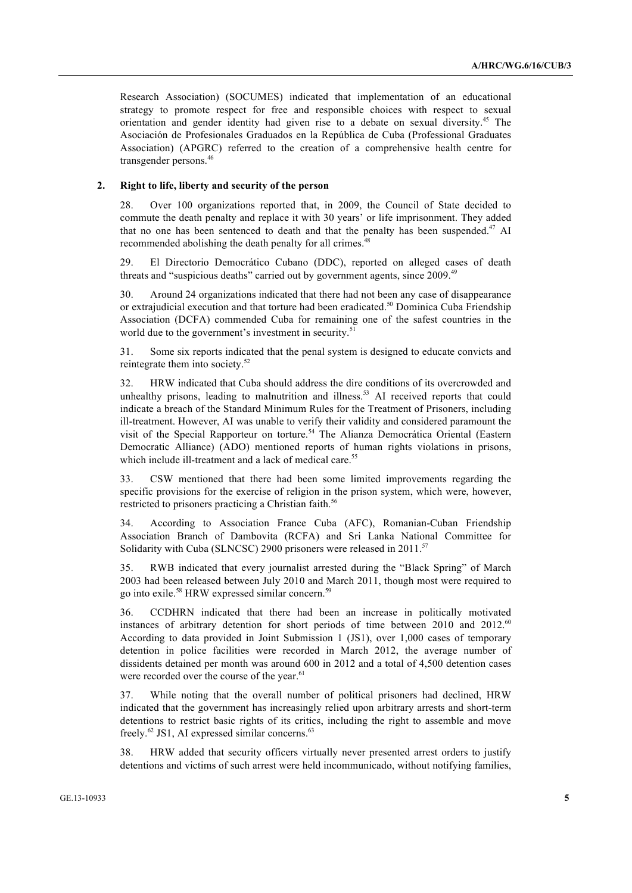Research Association) (SOCUMES) indicated that implementation of an educational strategy to promote respect for free and responsible choices with respect to sexual orientation and gender identity had given rise to a debate on sexual diversity.<sup>45</sup> The Asociación de Profesionales Graduados en la República de Cuba (Professional Graduates Association) (APGRC) referred to the creation of a comprehensive health centre for transgender persons.<sup>46</sup>

## **2. Right to life, liberty and security of the person**

28. Over 100 organizations reported that, in 2009, the Council of State decided to commute the death penalty and replace it with 30 years' or life imprisonment. They added that no one has been sentenced to death and that the penalty has been suspended.<sup>47</sup> AI recommended abolishing the death penalty for all crimes.<sup>48</sup>

29. El Directorio Democrático Cubano (DDC), reported on alleged cases of death threats and "suspicious deaths" carried out by government agents, since 2009.<sup>49</sup>

30. Around 24 organizations indicated that there had not been any case of disappearance or extrajudicial execution and that torture had been eradicated.<sup>50</sup> Dominica Cuba Friendship Association (DCFA) commended Cuba for remaining one of the safest countries in the world due to the government's investment in security.<sup>51</sup>

31. Some six reports indicated that the penal system is designed to educate convicts and reintegrate them into society.<sup>52</sup>

32. HRW indicated that Cuba should address the dire conditions of its overcrowded and unhealthy prisons, leading to malnutrition and illness.<sup>53</sup> AI received reports that could indicate a breach of the Standard Minimum Rules for the Treatment of Prisoners, including ill-treatment. However, AI was unable to verify their validity and considered paramount the visit of the Special Rapporteur on torture.<sup>54</sup> The Alianza Democrática Oriental (Eastern Democratic Alliance) (ADO) mentioned reports of human rights violations in prisons, which include ill-treatment and a lack of medical care.<sup>55</sup>

33. CSW mentioned that there had been some limited improvements regarding the specific provisions for the exercise of religion in the prison system, which were, however, restricted to prisoners practicing a Christian faith.<sup>56</sup>

34. According to Association France Cuba (AFC), Romanian-Cuban Friendship Association Branch of Dambovita (RCFA) and Sri Lanka National Committee for Solidarity with Cuba (SLNCSC) 2900 prisoners were released in 2011.<sup>57</sup>

35. RWB indicated that every journalist arrested during the "Black Spring" of March 2003 had been released between July 2010 and March 2011, though most were required to go into exile.<sup>58</sup> HRW expressed similar concern.<sup>59</sup>

36. CCDHRN indicated that there had been an increase in politically motivated instances of arbitrary detention for short periods of time between 2010 and 2012.<sup>60</sup> According to data provided in Joint Submission 1 (JS1), over 1,000 cases of temporary detention in police facilities were recorded in March 2012, the average number of dissidents detained per month was around 600 in 2012 and a total of 4,500 detention cases were recorded over the course of the year.<sup>61</sup>

37. While noting that the overall number of political prisoners had declined, HRW indicated that the government has increasingly relied upon arbitrary arrests and short-term detentions to restrict basic rights of its critics, including the right to assemble and move freely. $^{62}$  JS1, AI expressed similar concerns. $^{63}$ 

38. HRW added that security officers virtually never presented arrest orders to justify detentions and victims of such arrest were held incommunicado, without notifying families,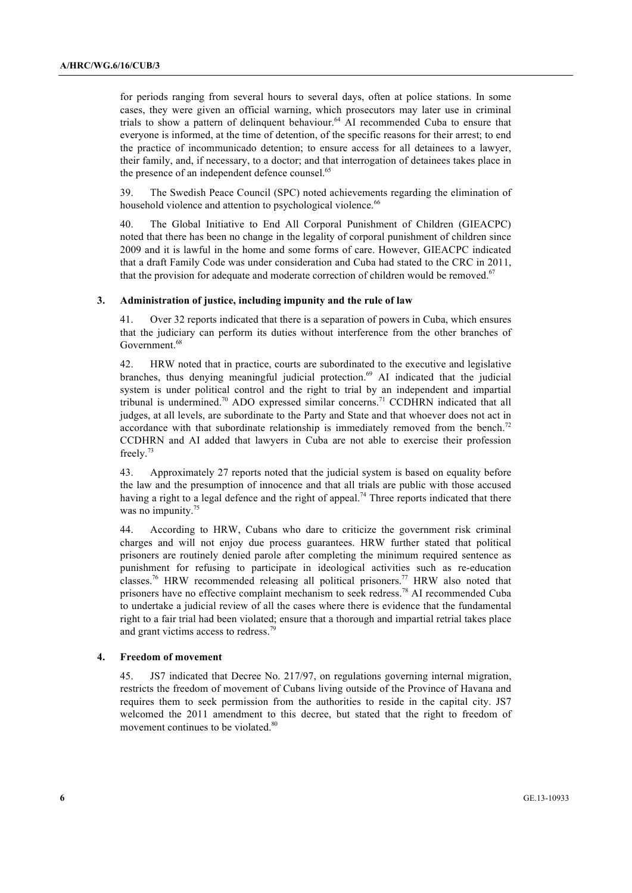for periods ranging from several hours to several days, often at police stations. In some cases, they were given an official warning, which prosecutors may later use in criminal trials to show a pattern of delinquent behaviour.<sup>64</sup> AI recommended Cuba to ensure that everyone is informed, at the time of detention, of the specific reasons for their arrest; to end the practice of incommunicado detention; to ensure access for all detainees to a lawyer, their family, and, if necessary, to a doctor; and that interrogation of detainees takes place in the presence of an independent defence counsel.<sup>65</sup>

39. The Swedish Peace Council (SPC) noted achievements regarding the elimination of household violence and attention to psychological violence.<sup>66</sup>

40. The Global Initiative to End All Corporal Punishment of Children (GIEACPC) noted that there has been no change in the legality of corporal punishment of children since 2009 and it is lawful in the home and some forms of care. However, GIEACPC indicated that a draft Family Code was under consideration and Cuba had stated to the CRC in 2011, that the provision for adequate and moderate correction of children would be removed.<sup>67</sup>

#### **3. Administration of justice, including impunity and the rule of law**

41. Over 32 reports indicated that there is a separation of powers in Cuba, which ensures that the judiciary can perform its duties without interference from the other branches of Government. 68

42. HRW noted that in practice, courts are subordinated to the executive and legislative branches, thus denying meaningful judicial protection.<sup>69</sup> AI indicated that the judicial system is under political control and the right to trial by an independent and impartial tribunal is undermined.<sup>70</sup> ADO expressed similar concerns.<sup>71</sup> CCDHRN indicated that all judges, at all levels, are subordinate to the Party and State and that whoever does not act in accordance with that subordinate relationship is immediately removed from the bench.<sup>72</sup> CCDHRN and AI added that lawyers in Cuba are not able to exercise their profession freely.<sup>73</sup>

43. Approximately 27 reports noted that the judicial system is based on equality before the law and the presumption of innocence and that all trials are public with those accused having a right to a legal defence and the right of appeal.<sup>74</sup> Three reports indicated that there was no impunity.<sup>75</sup>

44. According to HRW, Cubans who dare to criticize the government risk criminal charges and will not enjoy due process guarantees. HRW further stated that political prisoners are routinely denied parole after completing the minimum required sentence as punishment for refusing to participate in ideological activities such as re-education classes.<sup>76</sup> HRW recommended releasing all political prisoners.<sup>77</sup> HRW also noted that prisoners have no effective complaint mechanism to seek redress.<sup>78</sup> AI recommended Cuba to undertake a judicial review of all the cases where there is evidence that the fundamental right to a fair trial had been violated; ensure that a thorough and impartial retrial takes place and grant victims access to redress.<sup>79</sup>

### **4. Freedom of movement**

45. JS7 indicated that Decree No. 217/97, on regulations governing internal migration, restricts the freedom of movement of Cubans living outside of the Province of Havana and requires them to seek permission from the authorities to reside in the capital city. JS7 welcomed the 2011 amendment to this decree, but stated that the right to freedom of movement continues to be violated.<sup>80</sup>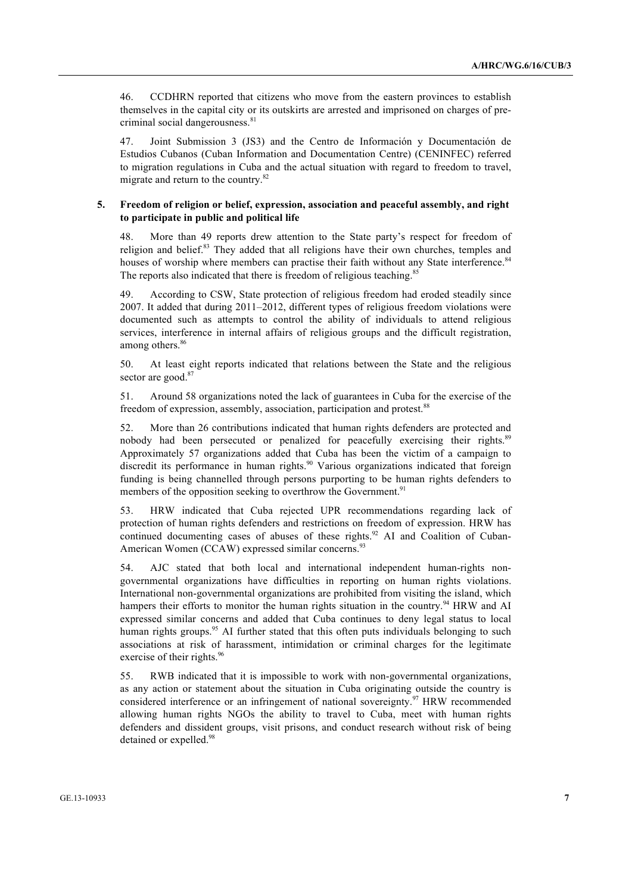46. CCDHRN reported that citizens who move from the eastern provinces to establish themselves in the capital city or its outskirts are arrested and imprisoned on charges of precriminal social dangerousness.<sup>81</sup>

47. Joint Submission 3 (JS3) and the Centro de Información y Documentación de Estudios Cubanos (Cuban Information and Documentation Centre) (CENINFEC) referred to migration regulations in Cuba and the actual situation with regard to freedom to travel, migrate and return to the country.<sup>82</sup>

## **5. Freedom of religion or belief, expression, association and peaceful assembly, and right to participate in public and political life**

48. More than 49 reports drew attention to the State party's respect for freedom of religion and belief.<sup>83</sup> They added that all religions have their own churches, temples and houses of worship where members can practise their faith without any State interference.<sup>84</sup> The reports also indicated that there is freedom of religious teaching.<sup>85</sup>

49. According to CSW, State protection of religious freedom had eroded steadily since 2007. It added that during 2011–2012, different types of religious freedom violations were documented such as attempts to control the ability of individuals to attend religious services, interference in internal affairs of religious groups and the difficult registration, among others.<sup>86</sup>

50. At least eight reports indicated that relations between the State and the religious sector are good.<sup>87</sup>

51. Around 58 organizations noted the lack of guarantees in Cuba for the exercise of the freedom of expression, assembly, association, participation and protest.<sup>88</sup>

52. More than 26 contributions indicated that human rights defenders are protected and nobody had been persecuted or penalized for peacefully exercising their rights.<sup>89</sup> Approximately 57 organizations added that Cuba has been the victim of a campaign to discredit its performance in human rights.<sup>90</sup> Various organizations indicated that foreign funding is being channelled through persons purporting to be human rights defenders to members of the opposition seeking to overthrow the Government.<sup>91</sup>

53. HRW indicated that Cuba rejected UPR recommendations regarding lack of protection of human rights defenders and restrictions on freedom of expression. HRW has continued documenting cases of abuses of these rights.<sup>92</sup> AI and Coalition of Cuban-American Women (CCAW) expressed similar concerns.<sup>93</sup>

54. AJC stated that both local and international independent human-rights nongovernmental organizations have difficulties in reporting on human rights violations. International non-governmental organizations are prohibited from visiting the island, which hampers their efforts to monitor the human rights situation in the country.<sup>94</sup> HRW and AI expressed similar concerns and added that Cuba continues to deny legal status to local human rights groups.<sup>95</sup> AI further stated that this often puts individuals belonging to such associations at risk of harassment, intimidation or criminal charges for the legitimate exercise of their rights.<sup>96</sup>

55. RWB indicated that it is impossible to work with non-governmental organizations, as any action or statement about the situation in Cuba originating outside the country is considered interference or an infringement of national sovereignty.<sup>97</sup> HRW recommended allowing human rights NGOs the ability to travel to Cuba, meet with human rights defenders and dissident groups, visit prisons, and conduct research without risk of being detained or expelled.<sup>98</sup>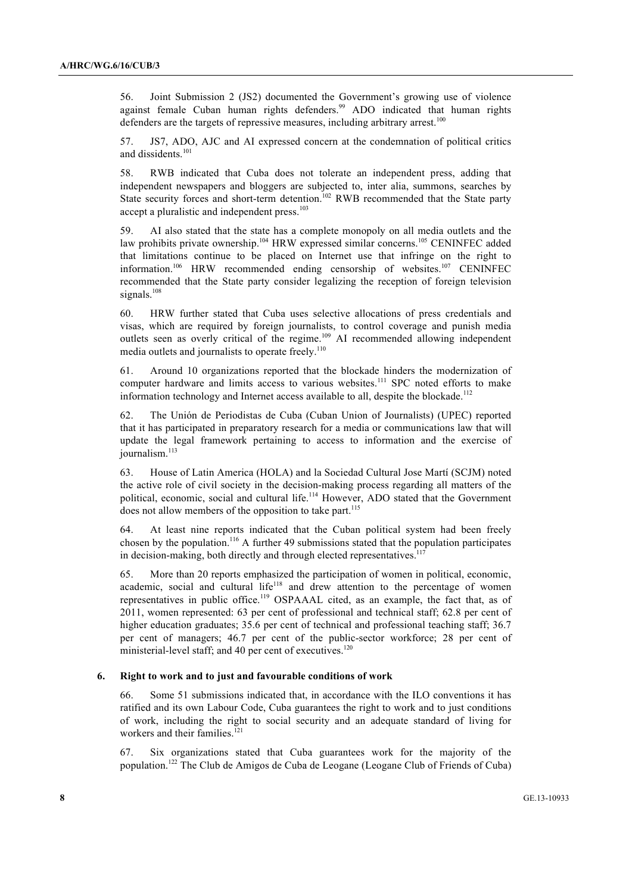56. Joint Submission 2 (JS2) documented the Government's growing use of violence against female Cuban human rights defenders.<sup>99</sup> ADO indicated that human rights defenders are the targets of repressive measures, including arbitrary arrest.<sup>100</sup>

57. JS7, ADO, AJC and AI expressed concern at the condemnation of political critics and dissidents.<sup>101</sup>

58. RWB indicated that Cuba does not tolerate an independent press, adding that independent newspapers and bloggers are subjected to, inter alia, summons, searches by State security forces and short-term detention.<sup>102</sup> RWB recommended that the State party accept a pluralistic and independent press.<sup>103</sup>

59. AI also stated that the state has a complete monopoly on all media outlets and the law prohibits private ownership.<sup>104</sup> HRW expressed similar concerns.<sup>105</sup> CENINFEC added that limitations continue to be placed on Internet use that infringe on the right to information.<sup>106</sup> HRW recommended ending censorship of websites.<sup>107</sup> CENINFEC recommended that the State party consider legalizing the reception of foreign television signals.<sup>108</sup>

60. HRW further stated that Cuba uses selective allocations of press credentials and visas, which are required by foreign journalists, to control coverage and punish media outlets seen as overly critical of the regime.<sup>109</sup> AI recommended allowing independent media outlets and journalists to operate freely.<sup>110</sup>

61. Around 10 organizations reported that the blockade hinders the modernization of computer hardware and limits access to various websites.<sup>111</sup> SPC noted efforts to make information technology and Internet access available to all, despite the blockade.<sup>112</sup>

62. The Unión de Periodistas de Cuba (Cuban Union of Journalists) (UPEC) reported that it has participated in preparatory research for a media or communications law that will update the legal framework pertaining to access to information and the exercise of iournalism.<sup>113</sup>

63. House of Latin America (HOLA) and la Sociedad Cultural Jose Martí (SCJM) noted the active role of civil society in the decision-making process regarding all matters of the political, economic, social and cultural life.<sup>114</sup> However, ADO stated that the Government does not allow members of the opposition to take part.<sup>115</sup>

64. At least nine reports indicated that the Cuban political system had been freely chosen by the population.<sup>116</sup> A further 49 submissions stated that the population participates in decision-making, both directly and through elected representatives. $11$ 

65. More than 20 reports emphasized the participation of women in political, economic, academic, social and cultural life<sup>118</sup> and drew attention to the percentage of women representatives in public office.<sup>119</sup> OSPAAAL cited, as an example, the fact that, as of 2011, women represented: 63 per cent of professional and technical staff; 62.8 per cent of higher education graduates; 35.6 per cent of technical and professional teaching staff; 36.7 per cent of managers; 46.7 per cent of the public-sector workforce; 28 per cent of ministerial-level staff; and 40 per cent of executives.<sup>120</sup>

#### **6. Right to work and to just and favourable conditions of work**

66. Some 51 submissions indicated that, in accordance with the ILO conventions it has ratified and its own Labour Code, Cuba guarantees the right to work and to just conditions of work, including the right to social security and an adequate standard of living for workers and their families.<sup>121</sup>

67. Six organizations stated that Cuba guarantees work for the majority of the population.<sup>122</sup> The Club de Amigos de Cuba de Leogane (Leogane Club of Friends of Cuba)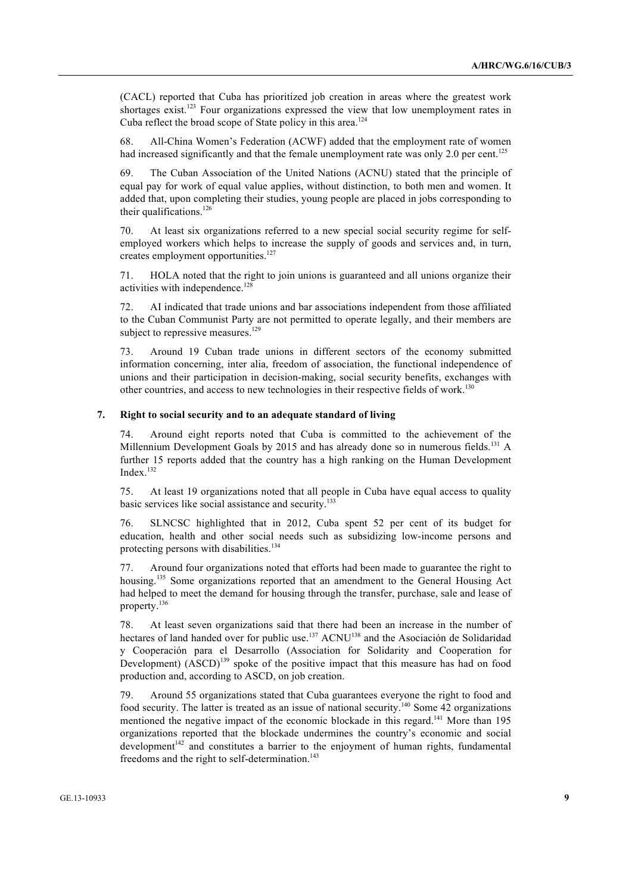(CACL) reported that Cuba has prioritized job creation in areas where the greatest work shortages exist.<sup>123</sup> Four organizations expressed the view that low unemployment rates in Cuba reflect the broad scope of State policy in this area.<sup>124</sup>

68. All-China Women's Federation (ACWF) added that the employment rate of women had increased significantly and that the female unemployment rate was only 2.0 per cent.<sup>125</sup>

69. The Cuban Association of the United Nations (ACNU) stated that the principle of equal pay for work of equal value applies, without distinction, to both men and women. It added that, upon completing their studies, young people are placed in jobs corresponding to their qualifications.<sup>126</sup>

70. At least six organizations referred to a new special social security regime for selfemployed workers which helps to increase the supply of goods and services and, in turn, creates employment opportunities.<sup>127</sup>

71. HOLA noted that the right to join unions is guaranteed and all unions organize their activities with independence.<sup>128</sup>

72. AI indicated that trade unions and bar associations independent from those affiliated to the Cuban Communist Party are not permitted to operate legally, and their members are subject to repressive measures.<sup>129</sup>

73. Around 19 Cuban trade unions in different sectors of the economy submitted information concerning, inter alia, freedom of association, the functional independence of unions and their participation in decision-making, social security benefits, exchanges with other countries, and access to new technologies in their respective fields of work.<sup>130</sup>

# **7. Right to social security and to an adequate standard of living**

74. Around eight reports noted that Cuba is committed to the achievement of the Millennium Development Goals by 2015 and has already done so in numerous fields.<sup>131</sup> A further 15 reports added that the country has a high ranking on the Human Development Index<sup>132</sup>

75. At least 19 organizations noted that all people in Cuba have equal access to quality basic services like social assistance and security.<sup>133</sup>

76. SLNCSC highlighted that in 2012, Cuba spent 52 per cent of its budget for education, health and other social needs such as subsidizing low-income persons and protecting persons with disabilities.<sup>134</sup>

77. Around four organizations noted that efforts had been made to guarantee the right to housing.<sup>135</sup> Some organizations reported that an amendment to the General Housing Act had helped to meet the demand for housing through the transfer, purchase, sale and lease of property.<sup>136</sup>

78. At least seven organizations said that there had been an increase in the number of hectares of land handed over for public use.<sup>137</sup> ACNU<sup>138</sup> and the Asociación de Solidaridad y Cooperación para el Desarrollo (Association for Solidarity and Cooperation for Development)  $(ASCD)^{139}$  spoke of the positive impact that this measure has had on food production and, according to ASCD, on job creation.

79. Around 55 organizations stated that Cuba guarantees everyone the right to food and food security. The latter is treated as an issue of national security.<sup>140</sup> Some 42 organizations mentioned the negative impact of the economic blockade in this regard.<sup>141</sup> More than 195 organizations reported that the blockade undermines the country's economic and social development $142$  and constitutes a barrier to the enjoyment of human rights, fundamental freedoms and the right to self-determination.<sup>143</sup>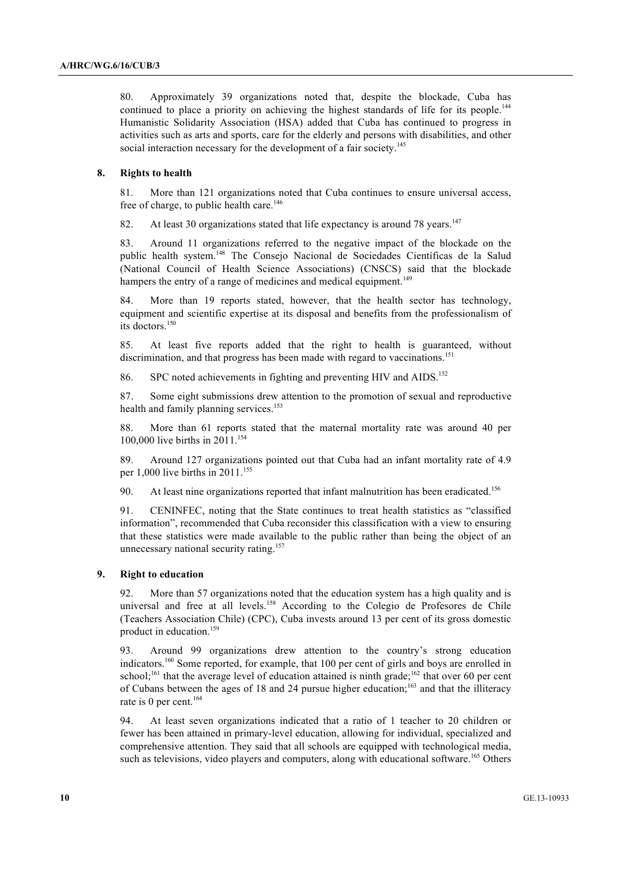80. Approximately 39 organizations noted that, despite the blockade, Cuba has continued to place a priority on achieving the highest standards of life for its people.<sup>144</sup> Humanistic Solidarity Association (HSA) added that Cuba has continued to progress in activities such as arts and sports, care for the elderly and persons with disabilities, and other social interaction necessary for the development of a fair society.<sup>145</sup>

## **8. Rights to health**

81. More than 121 organizations noted that Cuba continues to ensure universal access, free of charge, to public health care.<sup>146</sup>

82. At least 30 organizations stated that life expectancy is around 78 years.<sup>147</sup>

83. Around 11 organizations referred to the negative impact of the blockade on the public health system.148 The Consejo Nacional de Sociedades Científicas de la Salud (National Council of Health Science Associations) (CNSCS) said that the blockade hampers the entry of a range of medicines and medical equipment.<sup>149</sup>

84. More than 19 reports stated, however, that the health sector has technology, equipment and scientific expertise at its disposal and benefits from the professionalism of its doctors.<sup>150</sup>

85. At least five reports added that the right to health is guaranteed, without discrimination, and that progress has been made with regard to vaccinations.<sup>151</sup>

86. SPC noted achievements in fighting and preventing HIV and AIDS.<sup>152</sup>

87. Some eight submissions drew attention to the promotion of sexual and reproductive health and family planning services. 153

88. More than 61 reports stated that the maternal mortality rate was around 40 per 100,000 live births in 2011. 154

89. Around 127 organizations pointed out that Cuba had an infant mortality rate of 4.9 per 1,000 live births in  $2011$ .<sup>155</sup>

90. At least nine organizations reported that infant malnutrition has been eradicated.<sup>156</sup>

91. CENINFEC, noting that the State continues to treat health statistics as "classified information", recommended that Cuba reconsider this classification with a view to ensuring that these statistics were made available to the public rather than being the object of an unnecessary national security rating.<sup>157</sup>

#### **9. Right to education**

92. More than 57 organizations noted that the education system has a high quality and is universal and free at all levels.<sup>158</sup> According to the Colegio de Profesores de Chile (Teachers Association Chile) (CPC), Cuba invests around 13 per cent of its gross domestic product in education.<sup>159</sup>

93. Around 99 organizations drew attention to the country's strong education indicators.<sup>160</sup> Some reported, for example, that 100 per cent of girls and boys are enrolled in school;<sup>161</sup> that the average level of education attained is ninth grade;<sup>162</sup> that over 60 per cent of Cubans between the ages of 18 and 24 pursue higher education;<sup>163</sup> and that the illiteracy rate is 0 per cent.<sup>164</sup>

94. At least seven organizations indicated that a ratio of 1 teacher to 20 children or fewer has been attained in primary-level education, allowing for individual, specialized and comprehensive attention. They said that all schools are equipped with technological media, such as televisions, video players and computers, along with educational software.<sup>165</sup> Others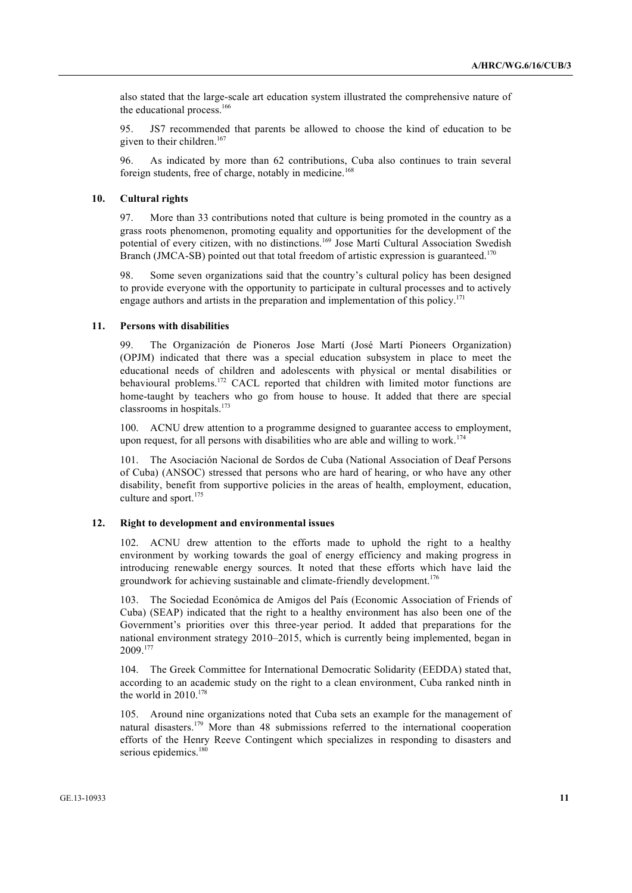also stated that the large-scale art education system illustrated the comprehensive nature of the educational process.<sup>166</sup>

95. JS7 recommended that parents be allowed to choose the kind of education to be given to their children. $167$ 

96. As indicated by more than 62 contributions, Cuba also continues to train several foreign students, free of charge, notably in medicine.<sup>168</sup>

#### **10. Cultural rights**

97. More than 33 contributions noted that culture is being promoted in the country as a grass roots phenomenon, promoting equality and opportunities for the development of the potential of every citizen, with no distinctions.<sup>169</sup> Jose Martí Cultural Association Swedish Branch (JMCA-SB) pointed out that total freedom of artistic expression is guaranteed.<sup>170</sup>

98. Some seven organizations said that the country's cultural policy has been designed to provide everyone with the opportunity to participate in cultural processes and to actively engage authors and artists in the preparation and implementation of this policy.171

# **11. Persons with disabilities**

99. The Organización de Pioneros Jose Martí (José Martí Pioneers Organization) (OPJM) indicated that there was a special education subsystem in place to meet the educational needs of children and adolescents with physical or mental disabilities or behavioural problems.<sup>172</sup> CACL reported that children with limited motor functions are home-taught by teachers who go from house to house. It added that there are special classrooms in hospitals. $173$ 

100. ACNU drew attention to a programme designed to guarantee access to employment, upon request, for all persons with disabilities who are able and willing to work.<sup>174</sup>

101. The Asociación Nacional de Sordos de Cuba (National Association of Deaf Persons of Cuba) (ANSOC) stressed that persons who are hard of hearing, or who have any other disability, benefit from supportive policies in the areas of health, employment, education, culture and sport.<sup>175</sup>

#### **12. Right to development and environmental issues**

102. ACNU drew attention to the efforts made to uphold the right to a healthy environment by working towards the goal of energy efficiency and making progress in introducing renewable energy sources. It noted that these efforts which have laid the groundwork for achieving sustainable and climate-friendly development.<sup>176</sup>

103. The Sociedad Económica de Amigos del País (Economic Association of Friends of Cuba) (SEAP) indicated that the right to a healthy environment has also been one of the Government's priorities over this three-year period. It added that preparations for the national environment strategy 2010–2015, which is currently being implemented, began in 2009.<sup>177</sup>

104. The Greek Committee for International Democratic Solidarity (EEDDA) stated that, according to an academic study on the right to a clean environment, Cuba ranked ninth in the world in 2010.<sup>178</sup>

105. Around nine organizations noted that Cuba sets an example for the management of natural disasters.<sup>179</sup> More than 48 submissions referred to the international cooperation efforts of the Henry Reeve Contingent which specializes in responding to disasters and serious epidemics.<sup>180</sup>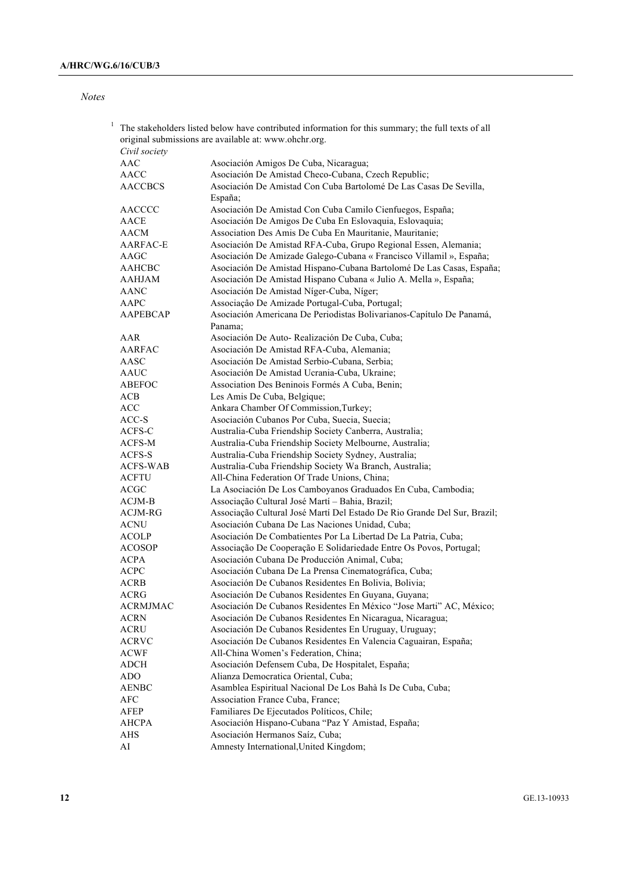*Notes*

| 1 | The stakeholders listed below have contributed information for this summary; the full texts of all<br>original submissions are available at: www.ohchr.org. |                                                                              |
|---|-------------------------------------------------------------------------------------------------------------------------------------------------------------|------------------------------------------------------------------------------|
|   | Civil society                                                                                                                                               |                                                                              |
|   | AAC                                                                                                                                                         | Asociación Amigos De Cuba, Nicaragua;                                        |
|   | <b>AACC</b>                                                                                                                                                 | Asociación De Amistad Checo-Cubana, Czech Republic;                          |
|   | <b>AACCBCS</b>                                                                                                                                              | Asociación De Amistad Con Cuba Bartolomé De Las Casas De Sevilla,<br>España; |
|   | AACCCC                                                                                                                                                      | Asociación De Amistad Con Cuba Camilo Cienfuegos, España;                    |
|   | AACE                                                                                                                                                        | Asociación De Amigos De Cuba En Eslovaquia, Eslovaquia;                      |
|   | AACM                                                                                                                                                        | Association Des Amis De Cuba En Mauritanie, Mauritanie;                      |
|   | AARFAC-E                                                                                                                                                    | Asociación De Amistad RFA-Cuba, Grupo Regional Essen, Alemania;              |
|   | AAGC                                                                                                                                                        | Asociación De Amizade Galego-Cubana « Francisco Villamil », España;          |
|   | AAHCBC                                                                                                                                                      | Asociación De Amistad Hispano-Cubana Bartolomé De Las Casas, España;         |
|   | AAHJAM                                                                                                                                                      | Asociación De Amistad Hispano Cubana « Julio A. Mella », España;             |
|   | AANC                                                                                                                                                        | Asociación De Amistad Níger-Cuba, Níger;                                     |
|   | AAPC                                                                                                                                                        | Associação De Amizade Portugal-Cuba, Portugal;                               |
|   | <b>AAPEBCAP</b>                                                                                                                                             | Asociación Americana De Periodistas Bolivarianos-Capítulo De Panamá,         |
|   |                                                                                                                                                             | Panama:                                                                      |
|   | AAR                                                                                                                                                         | Asociación De Auto-Realización De Cuba, Cuba;                                |
|   | AARFAC                                                                                                                                                      | Asociación De Amistad RFA-Cuba, Alemania;                                    |
|   | AASC                                                                                                                                                        | Asociación De Amistad Serbio-Cubana, Serbia;                                 |
|   | AAUC                                                                                                                                                        | Asociación De Amistad Ucrania-Cuba, Ukraine;                                 |
|   | ABEFOC                                                                                                                                                      | Association Des Beninois Formés A Cuba, Benin;                               |
|   | ACB                                                                                                                                                         | Les Amis De Cuba, Belgique;                                                  |
|   | ACC                                                                                                                                                         | Ankara Chamber Of Commission, Turkey;                                        |
|   | ACC-S                                                                                                                                                       | Asociación Cubanos Por Cuba, Suecia, Suecia;                                 |
|   | ACFS-C                                                                                                                                                      | Australia-Cuba Friendship Society Canberra, Australia;                       |
|   | ACFS-M                                                                                                                                                      | Australia-Cuba Friendship Society Melbourne, Australia;                      |
|   | ACFS-S                                                                                                                                                      | Australia-Cuba Friendship Society Sydney, Australia;                         |
|   | <b>ACFS-WAB</b>                                                                                                                                             | Australia-Cuba Friendship Society Wa Branch, Australia;                      |
|   | <b>ACFTU</b>                                                                                                                                                | All-China Federation Of Trade Unions, China;                                 |
|   | ACGC                                                                                                                                                        | La Asociación De Los Camboyanos Graduados En Cuba, Cambodia;                 |
|   | ACJM-B                                                                                                                                                      | Associação Cultural José Martí - Bahia, Brazil;                              |
|   | ACJM-RG                                                                                                                                                     | Associação Cultural José Martí Del Estado De Rio Grande Del Sur, Brazil;     |
|   | <b>ACNU</b>                                                                                                                                                 | Asociación Cubana De Las Naciones Unidad, Cuba;                              |
|   | <b>ACOLP</b>                                                                                                                                                | Asociación De Combatientes Por La Libertad De La Patria, Cuba;               |
|   | <b>ACOSOP</b>                                                                                                                                               | Associação De Cooperação E Solidariedade Entre Os Povos, Portugal;           |
|   | <b>ACPA</b>                                                                                                                                                 | Asociación Cubana De Producción Animal, Cuba;                                |
|   | <b>ACPC</b>                                                                                                                                                 | Asociación Cubana De La Prensa Cinematográfica, Cuba;                        |
|   | <b>ACRB</b>                                                                                                                                                 | Asociación De Cubanos Residentes En Bolivia, Bolivia;                        |
|   | ACRG                                                                                                                                                        | Asociación De Cubanos Residentes En Guyana, Guyana;                          |
|   | ACRMJMAC                                                                                                                                                    | Asociación De Cubanos Residentes En México "Jose Marti" AC, México;          |
|   | <b>ACRN</b>                                                                                                                                                 | Asociación De Cubanos Residentes En Nicaragua, Nicaragua;                    |
|   | ACRU                                                                                                                                                        | Asociación De Cubanos Residentes En Uruguay, Uruguay;                        |
|   | <b>ACRVC</b>                                                                                                                                                | Asociación De Cubanos Residentes En Valencia Caguairan, España;              |
|   | <b>ACWF</b>                                                                                                                                                 | All-China Women's Federation, China;                                         |
|   | <b>ADCH</b>                                                                                                                                                 | Asociación Defensem Cuba, De Hospitalet, España;                             |
|   | <b>ADO</b>                                                                                                                                                  | Alianza Democratica Oriental, Cuba;                                          |
|   | <b>AENBC</b>                                                                                                                                                | Asamblea Espiritual Nacional De Los Bahà Is De Cuba, Cuba;                   |
|   | AFC                                                                                                                                                         | Association France Cuba, France;                                             |
|   | AFEP                                                                                                                                                        | Familiares De Ejecutados Políticos, Chile;                                   |
|   | AHCPA                                                                                                                                                       | Asociación Hispano-Cubana "Paz Y Amistad, España;                            |
|   | <b>AHS</b>                                                                                                                                                  | Asociación Hermanos Saíz, Cuba;                                              |
|   | AI                                                                                                                                                          | Amnesty International, United Kingdom;                                       |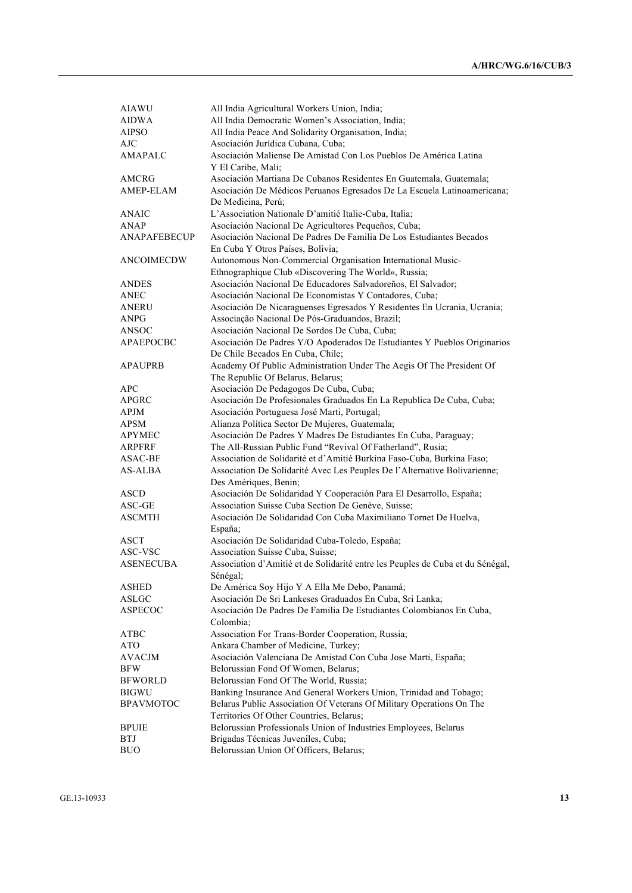| <b>AIAWU</b>        | All India Agricultural Workers Union, India;                                                  |
|---------------------|-----------------------------------------------------------------------------------------------|
| <b>AIDWA</b>        | All India Democratic Women's Association, India;                                              |
| <b>AIPSO</b>        | All India Peace And Solidarity Organisation, India;                                           |
| <b>AJC</b>          | Asociación Jurídica Cubana, Cuba;                                                             |
| AMAPALC             | Asociación Maliense De Amistad Con Los Pueblos De América Latina                              |
|                     | Y El Caribe, Mali;                                                                            |
| AMCRG               | Asociación Martiana De Cubanos Residentes En Guatemala, Guatemala;                            |
| AMEP-ELAM           | Asociación De Médicos Peruanos Egresados De La Escuela Latinoamericana;<br>De Medicina, Perú; |
| <b>ANAIC</b>        | L'Association Nationale D'amitié Italie-Cuba, Italia;                                         |
| <b>ANAP</b>         | Asociación Nacional De Agricultores Pequeños, Cuba;                                           |
| <b>ANAPAFEBECUP</b> | Asociación Nacional De Padres De Familia De Los Estudiantes Becados                           |
|                     | En Cuba Y Otros Países, Bolivia;                                                              |
| <b>ANCOIMECDW</b>   | Autonomous Non-Commercial Organisation International Music-                                   |
|                     | Ethnographique Club «Discovering The World», Russia;                                          |
| ANDES               | Asociación Nacional De Educadores Salvadoreños, El Salvador;                                  |
| <b>ANEC</b>         | Asociación Nacional De Economistas Y Contadores, Cuba;                                        |
| ANERU               | Asociación De Nicaraguenses Egresados Y Residentes En Ucrania, Ucrania;                       |
| ANPG                | Associação Nacional De Pós-Graduandos, Brazil;                                                |
| ANSOC               | Asociación Nacional De Sordos De Cuba, Cuba;                                                  |
| <b>APAEPOCBC</b>    | Asociación De Padres Y/O Apoderados De Estudiantes Y Pueblos Originarios                      |
|                     | De Chile Becados En Cuba, Chile;                                                              |
| <b>APAUPRB</b>      | Academy Of Public Administration Under The Aegis Of The President Of                          |
|                     | The Republic Of Belarus, Belarus;                                                             |
| <b>APC</b>          | Asociación De Pedagogos De Cuba, Cuba;                                                        |
| APGRC               | Asociación De Profesionales Graduados En La Republica De Cuba, Cuba;                          |
| <b>APJM</b>         | Asociación Portuguesa José Marti, Portugal;                                                   |
| <b>APSM</b>         | Alianza Política Sector De Mujeres, Guatemala;                                                |
| <b>APYMEC</b>       | Asociación De Padres Y Madres De Estudiantes En Cuba, Paraguay;                               |
| ARPFRF              | The All-Russian Public Fund "Revival Of Fatherland", Rusia;                                   |
| ASAC-BF             | Association de Solidarité et d'Amitié Burkina Faso-Cuba, Burkina Faso;                        |
| <b>AS-ALBA</b>      | Association De Solidarité Avec Les Peuples De l'Alternative Bolivarienne;                     |
|                     | Des Amériques, Benin;                                                                         |
| ASCD                | Asociación De Solidaridad Y Cooperación Para El Desarrollo, España;                           |
| ASC-GE              | Association Suisse Cuba Section De Genève, Suisse;                                            |
| <b>ASCMTH</b>       | Asociación De Solidaridad Con Cuba Maximiliano Tornet De Huelva,                              |
|                     | España;                                                                                       |
| ASCT                | Asociación De Solidaridad Cuba-Toledo, España;                                                |
| ASC-VSC             | Association Suisse Cuba, Suisse;                                                              |
| <b>ASENECUBA</b>    | Association d'Amitié et de Solidarité entre les Peuples de Cuba et du Sénégal,<br>Sénégal:    |
| ASHED               | De América Soy Hijo Y A Ella Me Debo, Panamá;                                                 |
| ASLGC               | Asociación De Sri Lankeses Graduados En Cuba, Sri Lanka;                                      |
| ASPECOC             | Asociación De Padres De Familia De Estudiantes Colombianos En Cuba,<br>Colombia;              |
| <b>ATBC</b>         | Association For Trans-Border Cooperation, Russia;                                             |
| <b>ATO</b>          | Ankara Chamber of Medicine, Turkey;                                                           |
| AVACJM              | Asociación Valenciana De Amistad Con Cuba Jose Marti, España;                                 |
| <b>BFW</b>          | Belorussian Fond Of Women, Belarus;                                                           |
| <b>BFWORLD</b>      | Belorussian Fond Of The World, Russia;                                                        |
| <b>BIGWU</b>        | Banking Insurance And General Workers Union, Trinidad and Tobago;                             |
| <b>BPAVMOTOC</b>    | Belarus Public Association Of Veterans Of Military Operations On The                          |
|                     | Territories Of Other Countries, Belarus;                                                      |
| <b>BPUIE</b>        | Belorussian Professionals Union of Industries Employees, Belarus                              |
| <b>BTJ</b>          | Brigadas Técnicas Juveniles, Cuba;                                                            |
| <b>BUO</b>          | Belorussian Union Of Officers, Belarus;                                                       |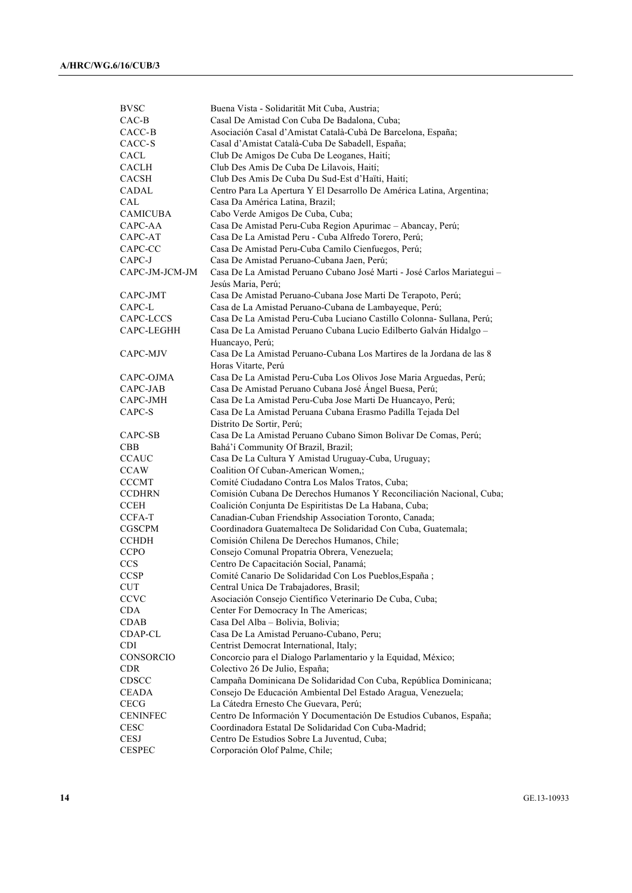| <b>BVSC</b>     | Buena Vista - Solidarität Mit Cuba, Austria;                                                  |
|-----------------|-----------------------------------------------------------------------------------------------|
| $CAC-B$         | Casal De Amistad Con Cuba De Badalona, Cuba;                                                  |
| CACC-B          | Asociación Casal d'Amistat Català-Cubà De Barcelona, España;                                  |
| CACC-S          | Casal d'Amistat Català-Cuba De Sabadell, España;                                              |
| CACL            | Club De Amigos De Cuba De Leoganes, Haití;                                                    |
| <b>CACLH</b>    | Club Des Amis De Cuba De Lilavois, Haití;                                                     |
| <b>CACSH</b>    | Club Des Amis De Cuba Du Sud-Est d'Haïti, Haití;                                              |
| CADAL           | Centro Para La Apertura Y El Desarrollo De América Latina, Argentina;                         |
| CAL             | Casa Da América Latina, Brazil;                                                               |
| <b>CAMICUBA</b> | Cabo Verde Amigos De Cuba, Cuba;                                                              |
| CAPC-AA         | Casa De Amistad Peru-Cuba Region Apurimac - Abancay, Perú;                                    |
| CAPC-AT         | Casa De La Amistad Peru - Cuba Alfredo Torero, Perú;                                          |
| CAPC-CC         | Casa De Amistad Peru-Cuba Camilo Cienfuegos, Perú;                                            |
| CAPC-J          | Casa De Amistad Peruano-Cubana Jaen, Perú;                                                    |
| CAPC-JM-JCM-JM  | Casa De La Amistad Peruano Cubano José Marti - José Carlos Mariategui -<br>Jesús Maria, Perú; |
| CAPC-JMT        | Casa De Amistad Peruano-Cubana Jose Marti De Terapoto, Perú;                                  |
| CAPC-L          | Casa de La Amistad Peruano-Cubana de Lambayeque, Perú;                                        |
| CAPC-LCCS       | Casa De La Amistad Peru-Cuba Luciano Castillo Colonna- Sullana, Perú;                         |
| CAPC-LEGHH      | Casa De La Amistad Peruano Cubana Lucio Edilberto Galván Hidalgo -                            |
|                 | Huancayo, Perú;                                                                               |
| CAPC-MJV        | Casa De La Amistad Peruano-Cubana Los Martires de la Jordana de las 8<br>Horas Vitarte, Perú  |
| CAPC-OJMA       | Casa De La Amistad Peru-Cuba Los Olivos Jose Maria Arguedas, Perú;                            |
| CAPC-JAB        | Casa De Amistad Peruano Cubana José Ángel Buesa, Perú;                                        |
| CAPC-JMH        | Casa De La Amistad Peru-Cuba Jose Marti De Huancayo, Perú;                                    |
| CAPC-S          | Casa De La Amistad Peruana Cubana Erasmo Padilla Tejada Del                                   |
|                 | Distrito De Sortir, Perú;                                                                     |
| CAPC-SB         | Casa De La Amistad Peruano Cubano Simon Bolivar De Comas, Perú;                               |
| <b>CBB</b>      | Bahá'í Community Of Brazil, Brazil;                                                           |
| <b>CCAUC</b>    | Casa De La Cultura Y Amistad Uruguay-Cuba, Uruguay;                                           |
| <b>CCAW</b>     | Coalition Of Cuban-American Women,;                                                           |
| <b>CCCMT</b>    | Comité Ciudadano Contra Los Malos Tratos, Cuba;                                               |
| <b>CCDHRN</b>   | Comisión Cubana De Derechos Humanos Y Reconciliación Nacional, Cuba;                          |
| <b>CCEH</b>     | Coalición Conjunta De Espiritistas De La Habana, Cuba;                                        |
| CCFA-T          | Canadian-Cuban Friendship Association Toronto, Canada;                                        |
| CGSCPM          | Coordinadora Guatemalteca De Solidaridad Con Cuba, Guatemala;                                 |
| <b>CCHDH</b>    | Comisión Chilena De Derechos Humanos, Chile;                                                  |
| <b>CCPO</b>     | Consejo Comunal Propatria Obrera, Venezuela;                                                  |
| <b>CCS</b>      | Centro De Capacitación Social, Panamá;                                                        |
| <b>CCSP</b>     | Comité Canario De Solidaridad Con Los Pueblos, España ;                                       |
| <b>CUT</b>      | Central Unica De Trabajadores, Brasil;                                                        |
| CCVC            | Asociación Consejo Científico Veterinario De Cuba, Cuba;                                      |
| CDA             | Center For Democracy In The Americas;                                                         |
| CDAB            | Casa Del Alba - Bolivia, Bolivia;                                                             |
| CDAP-CL         | Casa De La Amistad Peruano-Cubano, Peru;                                                      |
| <b>CDI</b>      | Centrist Democrat International, Italy;                                                       |
| CONSORCIO       | Concorcio para el Dialogo Parlamentario y la Equidad, México;                                 |
| <b>CDR</b>      | Colectivo 26 De Julio, España;                                                                |
| CDSCC           | Campaña Dominicana De Solidaridad Con Cuba, República Dominicana;                             |
| <b>CEADA</b>    | Consejo De Educación Ambiental Del Estado Aragua, Venezuela;                                  |
| <b>CECG</b>     | La Cátedra Ernesto Che Guevara, Perú;                                                         |
| <b>CENINFEC</b> | Centro De Información Y Documentación De Estudios Cubanos, España;                            |
| <b>CESC</b>     | Coordinadora Estatal De Solidaridad Con Cuba-Madrid;                                          |
| CESJ            | Centro De Estudios Sobre La Juventud, Cuba;                                                   |
| <b>CESPEC</b>   | Corporación Olof Palme, Chile;                                                                |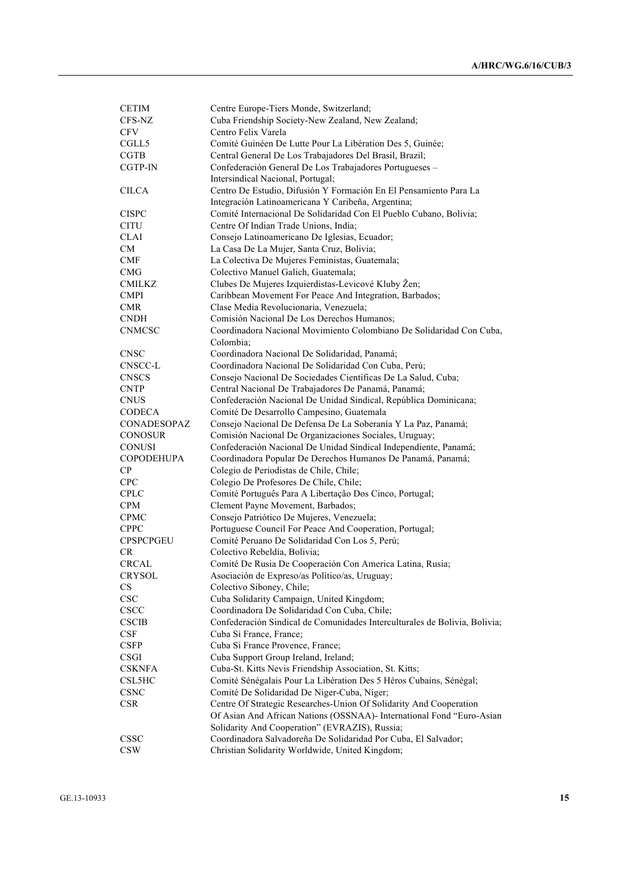| <b>CETIM</b>      | Centre Europe-Tiers Monde, Switzerland;                                           |
|-------------------|-----------------------------------------------------------------------------------|
| CFS-NZ            | Cuba Friendship Society-New Zealand, New Zealand;                                 |
| <b>CFV</b>        | Centro Felix Varela                                                               |
| CGLL5             | Comité Guinéen De Lutte Pour La Libération Des 5, Guinée;                         |
| <b>CGTB</b>       | Central General De Los Trabajadores Del Brasil, Brazil;                           |
| <b>CGTP-IN</b>    | Confederación General De Los Trabajadores Portugueses -                           |
|                   | Intersindical Nacional, Portugal;                                                 |
| <b>CILCA</b>      | Centro De Estudio, Difusión Y Formación En El Pensamiento Para La                 |
|                   | Integración Latinoamericana Y Caribeña, Argentina;                                |
| <b>CISPC</b>      | Comité Internacional De Solidaridad Con El Pueblo Cubano, Bolivia;                |
| CITU              | Centre Of Indian Trade Unions, India;                                             |
| CLAI              | Consejo Latinoamericano De Iglesias, Ecuador;                                     |
| CM                | La Casa De La Mujer, Santa Cruz, Bolivia;                                         |
| CMF               | La Colectiva De Mujeres Feministas, Guatemala;                                    |
| <b>CMG</b>        | Colectivo Manuel Galich, Guatemala;                                               |
| <b>CMILKZ</b>     | Clubes De Mujeres Izquierdistas-Levicové Kluby Žen;                               |
| <b>CMPI</b>       | Caribbean Movement For Peace And Integration, Barbados;                           |
| <b>CMR</b>        | Clase Media Revolucionaria, Venezuela;                                            |
| <b>CNDH</b>       | Comisión Nacional De Los Derechos Humanos;                                        |
| <b>CNMCSC</b>     | Coordinadora Nacional Movimiento Colombiano De Solidaridad Con Cuba,<br>Colombia; |
| <b>CNSC</b>       | Coordinadora Nacional De Solidaridad, Panamá;                                     |
| CNSCC-L           | Coordinadora Nacional De Solidaridad Con Cuba, Perú;                              |
| <b>CNSCS</b>      | Consejo Nacional De Sociedades Científicas De La Salud, Cuba;                     |
| <b>CNTP</b>       | Central Nacional De Trabajadores De Panamá, Panamá;                               |
| <b>CNUS</b>       | Confederación Nacional De Unidad Sindical, República Dominicana;                  |
| <b>CODECA</b>     | Comité De Desarrollo Campesino, Guatemala                                         |
| CONADESOPAZ       | Consejo Nacional De Defensa De La Soberanía Y La Paz, Panamá;                     |
| <b>CONOSUR</b>    | Comisión Nacional De Organizaciones Sociales, Uruguay;                            |
| <b>CONUSI</b>     | Confederación Nacional De Unidad Sindical Independiente, Panamá;                  |
| <b>COPODEHUPA</b> | Coordinadora Popular De Derechos Humanos De Panamá, Panamá;                       |
| CP                | Colegio de Periodistas de Chile, Chile;                                           |
| <b>CPC</b>        | Colegio De Profesores De Chile, Chile;                                            |
| <b>CPLC</b>       | Comité Português Para A Libertação Dos Cinco, Portugal;                           |
| <b>CPM</b>        | Clement Payne Movement, Barbados;                                                 |
| <b>CPMC</b>       | Consejo Patriótico De Mujeres, Venezuela;                                         |
| <b>CPPC</b>       | Portuguese Council For Peace And Cooperation, Portugal;                           |
| <b>CPSPCPGEU</b>  | Comité Peruano De Solidaridad Con Los 5, Perú;                                    |
| <b>CR</b>         | Colectivo Rebeldía, Bolivia;                                                      |
| CRCAL             | Comité De Rusia De Cooperación Con America Latina, Rusia;                         |
| <b>CRYSOL</b>     | Asociación de Expreso/as Político/as, Uruguay;                                    |
| CS                | Colectivo Siboney, Chile;                                                         |
| <b>CSC</b>        | Cuba Solidarity Campaign, United Kingdom;                                         |
| CSCC              | Coordinadora De Solidaridad Con Cuba, Chile;                                      |
| <b>CSCIB</b>      | Confederación Sindical de Comunidades Interculturales de Bolivia, Bolivia;        |
| <b>CSF</b>        | Cuba Si France, France;                                                           |
| <b>CSFP</b>       | Cuba Si France Provence, France;                                                  |
| CSGI              | Cuba Support Group Ireland, Ireland;                                              |
| <b>CSKNFA</b>     | Cuba-St. Kitts Nevis Friendship Association, St. Kitts;                           |
| CSL5HC            | Comité Sénégalais Pour La Libération Des 5 Héros Cubains, Sénégal;                |
| <b>CSNC</b>       | Comité De Solidaridad De Niger-Cuba, Níger;                                       |
| <b>CSR</b>        | Centre Of Strategic Researches-Union Of Solidarity And Cooperation                |
|                   | Of Asian And African Nations (OSSNAA)- International Fond "Euro-Asian             |
|                   | Solidarity And Cooperation" (EVRAZIS), Russia;                                    |
| <b>CSSC</b>       | Coordinadora Salvadoreña De Solidaridad Por Cuba, El Salvador;                    |
| <b>CSW</b>        | Christian Solidarity Worldwide, United Kingdom;                                   |
|                   |                                                                                   |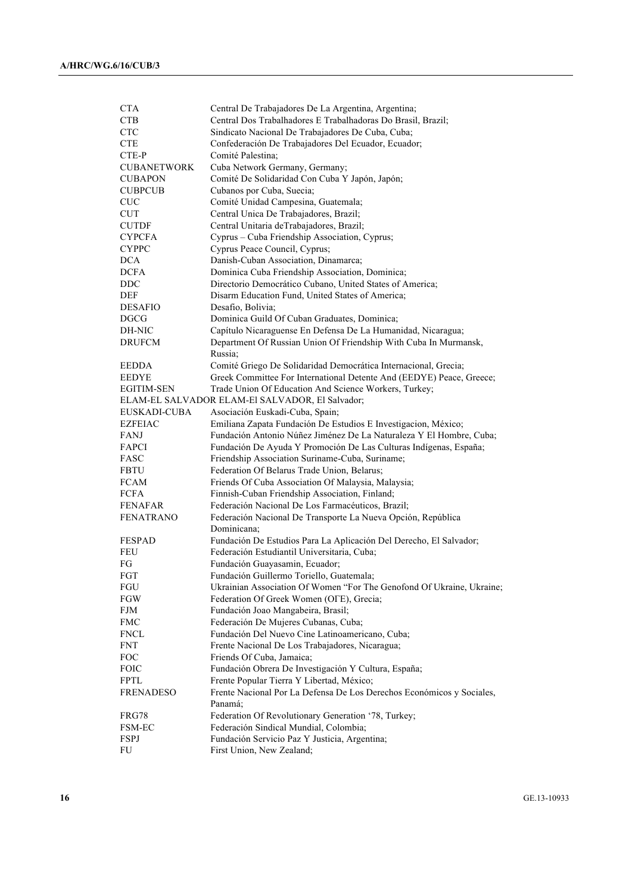| <b>CTA</b>         | Central De Trabajadores De La Argentina, Argentina;                                               |
|--------------------|---------------------------------------------------------------------------------------------------|
| <b>CTB</b>         | Central Dos Trabalhadores E Trabalhadoras Do Brasil, Brazil;                                      |
| <b>CTC</b>         | Sindicato Nacional De Trabajadores De Cuba, Cuba;                                                 |
| <b>CTE</b>         | Confederación De Trabajadores Del Ecuador, Ecuador;                                               |
| CTE-P              | Comité Palestina;                                                                                 |
| <b>CUBANETWORK</b> | Cuba Network Germany, Germany;                                                                    |
| <b>CUBAPON</b>     | Comité De Solidaridad Con Cuba Y Japón, Japón;                                                    |
| <b>CUBPCUB</b>     | Cubanos por Cuba, Suecia;                                                                         |
| <b>CUC</b>         | Comité Unidad Campesina, Guatemala;                                                               |
| <b>CUT</b>         | Central Unica De Trabajadores, Brazil;                                                            |
| <b>CUTDF</b>       | Central Unitaria deTrabajadores, Brazil;                                                          |
| <b>CYPCFA</b>      | Cyprus - Cuba Friendship Association, Cyprus;                                                     |
| <b>CYPPC</b>       | Cyprus Peace Council, Cyprus;                                                                     |
| <b>DCA</b>         | Danish-Cuban Association, Dinamarca;                                                              |
| <b>DCFA</b>        | Dominica Cuba Friendship Association, Dominica;                                                   |
| DDC                | Directorio Democrático Cubano, United States of America;                                          |
| DEF                | Disarm Education Fund, United States of America;                                                  |
| <b>DESAFIO</b>     | Desafio, Bolivia;                                                                                 |
| DGCG               | Dominica Guild Of Cuban Graduates, Dominica;                                                      |
| DH-NIC             | Capítulo Nicaraguense En Defensa De La Humanidad, Nicaragua;                                      |
| <b>DRUFCM</b>      | Department Of Russian Union Of Friendship With Cuba In Murmansk,                                  |
|                    | Russia;                                                                                           |
| EEDDA              | Comité Griego De Solidaridad Democrática Internacional, Grecia;                                   |
| EEDYE              | Greek Committee For International Detente And (EEDYE) Peace, Greece;                              |
| EGITIM-SEN         | Trade Union Of Education And Science Workers, Turkey;                                             |
|                    | ELAM-EL SALVADOR ELAM-El SALVADOR, El Salvador;                                                   |
| EUSKADI-CUBA       | Asociación Euskadi-Cuba, Spain;                                                                   |
| <b>EZFEIAC</b>     | Emiliana Zapata Fundación De Estudios E Investigacion, México;                                    |
| FANJ               | Fundación Antonio Núñez Jiménez De La Naturaleza Y El Hombre, Cuba;                               |
| FAPCI              | Fundación De Ayuda Y Promoción De Las Culturas Indígenas, España;                                 |
| FASC               | Friendship Association Suriname-Cuba, Suriname;                                                   |
| FBTU               |                                                                                                   |
| FCAM               | Federation Of Belarus Trade Union, Belarus;<br>Friends Of Cuba Association Of Malaysia, Malaysia; |
| FCFA               | Finnish-Cuban Friendship Association, Finland;                                                    |
| <b>FENAFAR</b>     |                                                                                                   |
| <b>FENATRANO</b>   | Federación Nacional De Los Farmacéuticos, Brazil;                                                 |
|                    | Federación Nacional De Transporte La Nueva Opción, República<br>Dominicana;                       |
| <b>FESPAD</b>      | Fundación De Estudios Para La Aplicación Del Derecho, El Salvador;                                |
|                    |                                                                                                   |
| FEU                | Federación Estudiantil Universitaria, Cuba;                                                       |
| FG                 | Fundación Guayasamin, Ecuador;                                                                    |
| FGT                | Fundación Guillermo Toriello, Guatemala;                                                          |
| FGU                | Ukrainian Association Of Women "For The Genofond Of Ukraine, Ukraine;                             |
| FGW                | Federation Of Greek Women (OFE), Grecia;                                                          |
| FJM                | Fundación Joao Mangabeira, Brasil;                                                                |
| <b>FMC</b>         | Federación De Mujeres Cubanas, Cuba;                                                              |
| <b>FNCL</b>        | Fundación Del Nuevo Cine Latinoamericano, Cuba;                                                   |
| <b>FNT</b>         | Frente Nacional De Los Trabajadores, Nicaragua;                                                   |
| <b>FOC</b>         | Friends Of Cuba, Jamaica;                                                                         |
| <b>FOIC</b>        | Fundación Obrera De Investigación Y Cultura, España;                                              |
| <b>FPTL</b>        | Frente Popular Tierra Y Libertad, México;                                                         |
| <b>FRENADESO</b>   | Frente Nacional Por La Defensa De Los Derechos Económicos y Sociales,<br>Panamá;                  |
| FRG78              | Federation Of Revolutionary Generation '78, Turkey;                                               |
| FSM-EC             | Federación Sindical Mundial, Colombia;                                                            |
| FSPJ               | Fundación Servicio Paz Y Justicia, Argentina;                                                     |
| FU                 | First Union, New Zealand;                                                                         |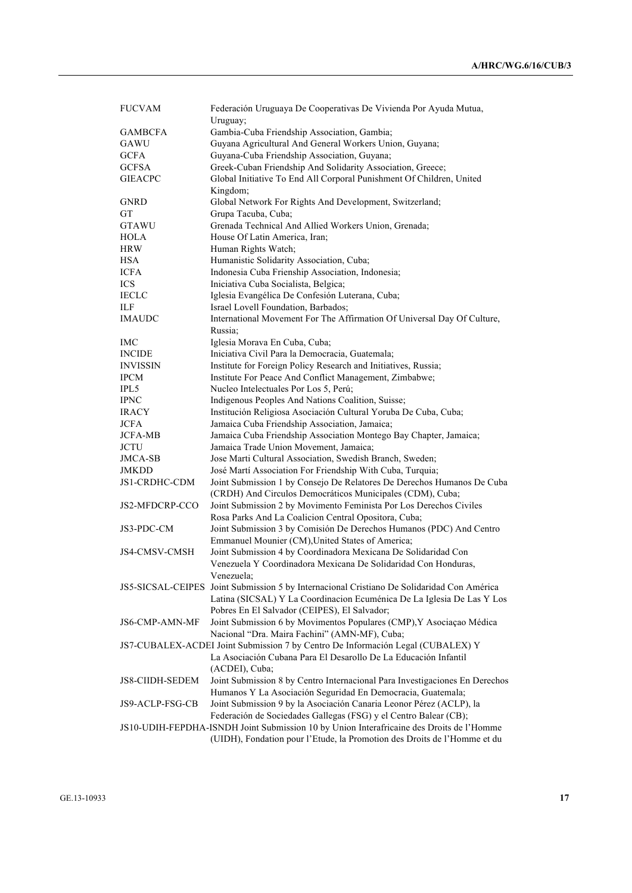| <b>FUCVAM</b>          | Federación Uruguaya De Cooperativas De Vivienda Por Ayuda Mutua,                                                                    |
|------------------------|-------------------------------------------------------------------------------------------------------------------------------------|
|                        | Uruguay;                                                                                                                            |
| <b>GAMBCFA</b>         | Gambia-Cuba Friendship Association, Gambia;                                                                                         |
| GAWU                   | Guyana Agricultural And General Workers Union, Guyana;                                                                              |
| <b>GCFA</b>            | Guyana-Cuba Friendship Association, Guyana;                                                                                         |
| <b>GCFSA</b>           | Greek-Cuban Friendship And Solidarity Association, Greece;                                                                          |
| <b>GIEACPC</b>         | Global Initiative To End All Corporal Punishment Of Children, United                                                                |
|                        | Kingdom;                                                                                                                            |
| <b>GNRD</b>            | Global Network For Rights And Development, Switzerland;                                                                             |
| GТ                     | Grupa Tacuba, Cuba;                                                                                                                 |
| GTAWU                  | Grenada Technical And Allied Workers Union, Grenada;                                                                                |
| <b>HOLA</b>            | House Of Latin America, Iran;                                                                                                       |
| <b>HRW</b>             | Human Rights Watch;                                                                                                                 |
| <b>HSA</b>             | Humanistic Solidarity Association, Cuba;                                                                                            |
| <b>ICFA</b>            | Indonesia Cuba Frienship Association, Indonesia;                                                                                    |
| <b>ICS</b>             | Iniciativa Cuba Socialista, Belgica;                                                                                                |
| <b>IECLC</b>           | Iglesia Evangélica De Confesión Luterana, Cuba;                                                                                     |
| ILF                    | Israel Lovell Foundation, Barbados;                                                                                                 |
| <b>IMAUDC</b>          | International Movement For The Affirmation Of Universal Day Of Culture,                                                             |
|                        | Russia;                                                                                                                             |
| IMC                    | Iglesia Morava En Cuba, Cuba;                                                                                                       |
| <b>INCIDE</b>          | Iniciativa Civil Para la Democracia, Guatemala;                                                                                     |
| <b>INVISSIN</b>        | Institute for Foreign Policy Research and Initiatives, Russia;                                                                      |
| <b>IPCM</b>            | Institute For Peace And Conflict Management, Zimbabwe;                                                                              |
| IPL5                   | Nucleo Intelectuales Por Los 5, Perú;                                                                                               |
| <b>IPNC</b>            | Indigenous Peoples And Nations Coalition, Suisse;                                                                                   |
| <b>IRACY</b>           | Institución Religiosa Asociación Cultural Yoruba De Cuba, Cuba;                                                                     |
| <b>JCFA</b>            | Jamaica Cuba Friendship Association, Jamaica;                                                                                       |
| <b>JCFA-MB</b>         | Jamaica Cuba Friendship Association Montego Bay Chapter, Jamaica;                                                                   |
| <b>JCTU</b>            | Jamaica Trade Union Movement, Jamaica;                                                                                              |
| JMCA-SB                | Jose Marti Cultural Association, Swedish Branch, Sweden;                                                                            |
| JMKDD                  | José Martí Association For Friendship With Cuba, Turquia;                                                                           |
|                        |                                                                                                                                     |
| JS1-CRDHC-CDM          | Joint Submission 1 by Consejo De Relatores De Derechos Humanos De Cuba<br>(CRDH) And Circulos Democráticos Municipales (CDM), Cuba; |
| JS2-MFDCRP-CCO         | Joint Submission 2 by Movimento Feminista Por Los Derechos Civiles                                                                  |
|                        | Rosa Parks And La Coalicion Central Opositora, Cuba;                                                                                |
| JS3-PDC-CM             | Joint Submission 3 by Comisión De Derechos Humanos (PDC) And Centro                                                                 |
|                        | Emmanuel Mounier (CM), United States of America;                                                                                    |
| JS4-CMSV-CMSH          | Joint Submission 4 by Coordinadora Mexicana De Solidaridad Con                                                                      |
|                        | Venezuela Y Coordinadora Mexicana De Solidaridad Con Honduras,                                                                      |
|                        | Venezuela;                                                                                                                          |
|                        | JS5-SICSAL-CEIPES Joint Submission 5 by Internacional Cristiano De Solidaridad Con América                                          |
|                        | Latina (SICSAL) Y La Coordinacion Ecuménica De La Iglesia De Las Y Los                                                              |
|                        | Pobres En El Salvador (CEIPES), El Salvador;                                                                                        |
| JS6-CMP-AMN-MF         | Joint Submission 6 by Movimentos Populares (CMP), Y Asociação Médica                                                                |
|                        | Nacional "Dra. Maira Fachini" (AMN-MF), Cuba;                                                                                       |
|                        | JS7-CUBALEX-ACDEI Joint Submission 7 by Centro De Información Legal (CUBALEX) Y                                                     |
|                        | La Asociación Cubana Para El Desarollo De La Educación Infantil                                                                     |
|                        | (ACDEI), Cuba;                                                                                                                      |
| <b>JS8-CIIDH-SEDEM</b> | Joint Submission 8 by Centro Internacional Para Investigaciones En Derechos                                                         |
|                        | Humanos Y La Asociación Seguridad En Democracia, Guatemala;                                                                         |
| JS9-ACLP-FSG-CB        | Joint Submission 9 by la Asociación Canaria Leonor Pérez (ACLP), la                                                                 |
|                        | Federación de Sociedades Gallegas (FSG) y el Centro Balear (CB);                                                                    |
|                        | JS10-UDIH-FEPDHA-ISNDH Joint Submission 10 by Union Interafricaine des Droits de l'Homme                                            |
|                        | (UIDH), Fondation pour l'Etude, la Promotion des Droits de l'Homme et du                                                            |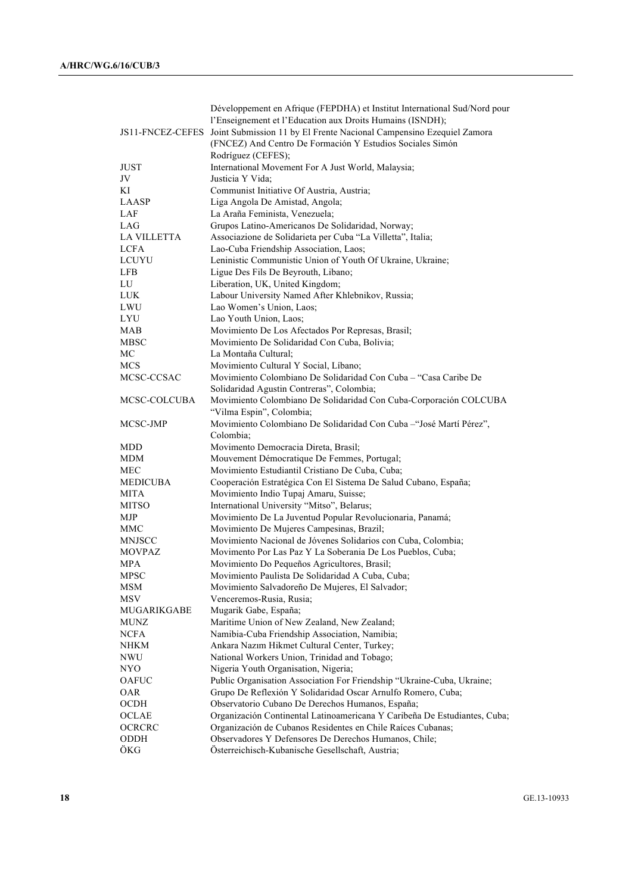|                    | Développement en Afrique (FEPDHA) et Institut International Sud/Nord pour             |
|--------------------|---------------------------------------------------------------------------------------|
|                    | l'Enseignement et l'Education aux Droits Humains (ISNDH);                             |
|                    | JS11-FNCEZ-CEFES Joint Submission 11 by El Frente Nacional Campensino Ezequiel Zamora |
|                    | (FNCEZ) And Centro De Formación Y Estudios Sociales Simón                             |
|                    | Rodríguez (CEFES);                                                                    |
| <b>JUST</b>        | International Movement For A Just World, Malaysia;                                    |
| JV                 | Justicia Y Vida;                                                                      |
| ΚI                 | Communist Initiative Of Austria, Austria;                                             |
| LAASP              | Liga Angola De Amistad, Angola;                                                       |
| LAF                | La Araña Feminista, Venezuela;                                                        |
| LAG                | Grupos Latino-Americanos De Solidaridad, Norway;                                      |
| <b>LA VILLETTA</b> | Associazione de Solidarieta per Cuba "La Villetta", Italia;                           |
| <b>LCFA</b>        | Lao-Cuba Friendship Association, Laos;                                                |
| LCUYU              | Leninistic Communistic Union of Youth Of Ukraine, Ukraine;                            |
| LFB                | Ligue Des Fils De Beyrouth, Libano;                                                   |
| LU                 | Liberation, UK, United Kingdom;                                                       |
| <b>LUK</b>         | Labour University Named After Khlebnikov, Russia;                                     |
| LWU                | Lao Women's Union, Laos;                                                              |
| LYU                | Lao Youth Union, Laos;                                                                |
| MAB                | Movimiento De Los Afectados Por Represas, Brasil;                                     |
| MBSC               | Movimiento De Solidaridad Con Cuba, Bolivia;                                          |
| МC                 | La Montaña Cultural;                                                                  |
| <b>MCS</b>         | Movimiento Cultural Y Social, Líbano;                                                 |
| MCSC-CCSAC         | Movimiento Colombiano De Solidaridad Con Cuba - "Casa Caribe De                       |
|                    | Solidaridad Agustin Contreras", Colombia;                                             |
| MCSC-COLCUBA       | Movimiento Colombiano De Solidaridad Con Cuba-Corporación COLCUBA                     |
|                    | "Vilma Espin", Colombia;                                                              |
| MCSC-JMP           | Movimiento Colombiano De Solidaridad Con Cuba -"José Martí Pérez",                    |
|                    | Colombia;                                                                             |
| MDD                | Movimento Democracia Direta, Brasil;                                                  |
| MDM                | Mouvement Démocratique De Femmes, Portugal;                                           |
| MEC                | Movimiento Estudiantil Cristiano De Cuba, Cuba;                                       |
| MEDICUBA           | Cooperación Estratégica Con El Sistema De Salud Cubano, España;                       |
| <b>MITA</b>        | Movimiento Indio Tupaj Amaru, Suisse;                                                 |
| <b>MITSO</b>       | International University "Mitso", Belarus;                                            |
| MJP                | Movimiento De La Juventud Popular Revolucionaria, Panamá;                             |
| MMC                | Movimiento De Mujeres Campesinas, Brazil;                                             |
| <b>MNJSCC</b>      | Movimiento Nacional de Jóvenes Solidarios con Cuba, Colombia;                         |
| <b>MOVPAZ</b>      | Movimento Por Las Paz Y La Soberania De Los Pueblos, Cuba;                            |
| MPA                | Movimiento Do Pequeños Agricultores, Brasil;                                          |
| <b>MPSC</b>        | Movimiento Paulista De Solidaridad A Cuba, Cuba;                                      |
| <b>MSM</b>         | Movimiento Salvadoreño De Mujeres, El Salvador;                                       |
| MSV                | Venceremos-Rusia, Rusia;                                                              |
| <b>MUGARIKGABE</b> | Mugarik Gabe, España;                                                                 |
| <b>MUNZ</b>        | Maritime Union of New Zealand, New Zealand;                                           |
| <b>NCFA</b>        | Namibia-Cuba Friendship Association, Namibia;                                         |
| NHKM               | Ankara Nazım Hikmet Cultural Center, Turkey;                                          |
| <b>NWU</b>         | National Workers Union, Trinidad and Tobago;                                          |
| NYO                | Nigeria Youth Organisation, Nigeria;                                                  |
| OAFUC              | Public Organisation Association For Friendship "Ukraine-Cuba, Ukraine;                |
| OAR                | Grupo De Reflexión Y Solidaridad Oscar Arnulfo Romero, Cuba;                          |
| OCDH               | Observatorio Cubano De Derechos Humanos, España;                                      |
| OCLAE              | Organización Continental Latinoamericana Y Caribeña De Estudiantes, Cuba;             |
| OCRCRC             | Organización de Cubanos Residentes en Chile Raíces Cubanas;                           |
| ODDH               | Observadores Y Defensores De Derechos Humanos, Chile;                                 |
| ÖKG                | Österreichisch-Kubanische Gesellschaft, Austria;                                      |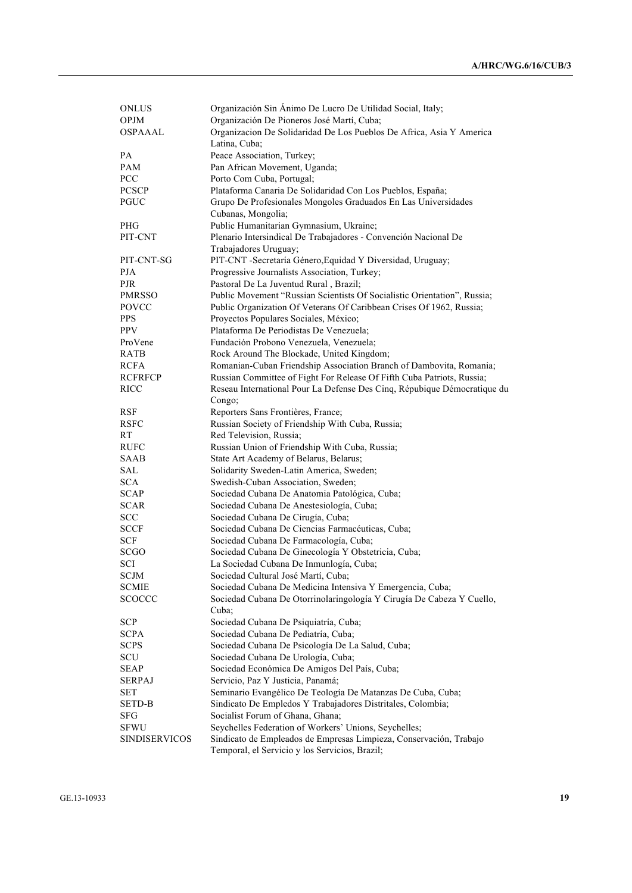| <b>ONLUS</b>         | Organización Sin Animo De Lucro De Utilidad Social, Italy;               |
|----------------------|--------------------------------------------------------------------------|
| <b>OPJM</b>          | Organización De Pioneros José Martí, Cuba;                               |
| <b>OSPAAAL</b>       | Organizacion De Solidaridad De Los Pueblos De Africa, Asia Y America     |
|                      | Latina, Cuba;                                                            |
| PA                   | Peace Association, Turkey;                                               |
| PAM                  | Pan African Movement, Uganda;                                            |
| <b>PCC</b>           | Porto Com Cuba, Portugal;                                                |
| <b>PCSCP</b>         | Plataforma Canaria De Solidaridad Con Los Pueblos, España;               |
| PGUC                 | Grupo De Profesionales Mongoles Graduados En Las Universidades           |
|                      | Cubanas, Mongolia;                                                       |
| PHG                  | Public Humanitarian Gymnasium, Ukraine;                                  |
| PIT-CNT              | Plenario Intersindical De Trabajadores - Convención Nacional De          |
|                      | Trabajadores Uruguay;                                                    |
| PIT-CNT-SG           | PIT-CNT -Secretaría Género, Equidad Y Diversidad, Uruguay;               |
| <b>PJA</b>           | Progressive Journalists Association, Turkey;                             |
| PJR                  | Pastoral De La Juventud Rural, Brazil;                                   |
| <b>PMRSSO</b>        | Public Movement "Russian Scientists Of Socialistic Orientation", Russia; |
| <b>POVCC</b>         | Public Organization Of Veterans Of Caribbean Crises Of 1962, Russia;     |
| <b>PPS</b>           | Proyectos Populares Sociales, México;                                    |
| <b>PPV</b>           | Plataforma De Periodistas De Venezuela;                                  |
| ProVene              | Fundación Probono Venezuela, Venezuela;                                  |
| RATB                 | Rock Around The Blockade, United Kingdom;                                |
| RCFA                 | Romanian-Cuban Friendship Association Branch of Dambovita, Romania;      |
| <b>RCFRFCP</b>       | Russian Committee of Fight For Release Of Fifth Cuba Patriots, Russia;   |
| <b>RICC</b>          | Reseau International Pour La Defense Des Cinq, Répubique Démocratique du |
|                      | Congo;                                                                   |
| <b>RSF</b>           | Reporters Sans Frontières, France;                                       |
| <b>RSFC</b>          | Russian Society of Friendship With Cuba, Russia;                         |
| <b>RT</b>            | Red Television, Russia;                                                  |
| <b>RUFC</b>          | Russian Union of Friendship With Cuba, Russia;                           |
| <b>SAAB</b>          | State Art Academy of Belarus, Belarus;                                   |
| SAL                  | Solidarity Sweden-Latin America, Sweden;                                 |
| <b>SCA</b>           | Swedish-Cuban Association, Sweden;                                       |
| <b>SCAP</b>          | Sociedad Cubana De Anatomia Patológica, Cuba;                            |
| <b>SCAR</b>          | Sociedad Cubana De Anestesiología, Cuba;                                 |
| <b>SCC</b>           | Sociedad Cubana De Cirugía, Cuba;                                        |
| <b>SCCF</b>          | Sociedad Cubana De Ciencias Farmacéuticas, Cuba;                         |
| SCF                  | Sociedad Cubana De Farmacología, Cuba;                                   |
| <b>SCGO</b>          | Sociedad Cubana De Ginecología Y Obstetricia, Cuba;                      |
| SCI                  | La Sociedad Cubana De Inmunlogía, Cuba;                                  |
| <b>SCJM</b>          | Sociedad Cultural José Martí, Cuba;                                      |
| <b>SCMIE</b>         | Sociedad Cubana De Medicina Intensiva Y Emergencia, Cuba;                |
| SCOCCC               | Sociedad Cubana De Otorrinolaringología Y Cirugía De Cabeza Y Cuello,    |
|                      | Cuba:                                                                    |
| <b>SCP</b>           | Sociedad Cubana De Psiquiatría, Cuba;                                    |
| <b>SCPA</b>          | Sociedad Cubana De Pediatría, Cuba;                                      |
| <b>SCPS</b>          | Sociedad Cubana De Psicología De La Salud, Cuba;                         |
| SCU                  | Sociedad Cubana De Urología, Cuba;                                       |
| <b>SEAP</b>          | Sociedad Económica De Amigos Del País, Cuba;                             |
| <b>SERPAJ</b>        | Servicio, Paz Y Justicia, Panamá;                                        |
| SET                  | Seminario Evangélico De Teología De Matanzas De Cuba, Cuba;              |
| <b>SETD-B</b>        | Sindicato De Empledos Y Trabajadores Distritales, Colombia;              |
| SFG                  | Socialist Forum of Ghana, Ghana;                                         |
| <b>SFWU</b>          | Seychelles Federation of Workers' Unions, Seychelles;                    |
| <b>SINDISERVICOS</b> | Sindicato de Empleados de Empresas Limpieza, Conservación, Trabajo       |
|                      | Temporal, el Servicio y los Servicios, Brazil;                           |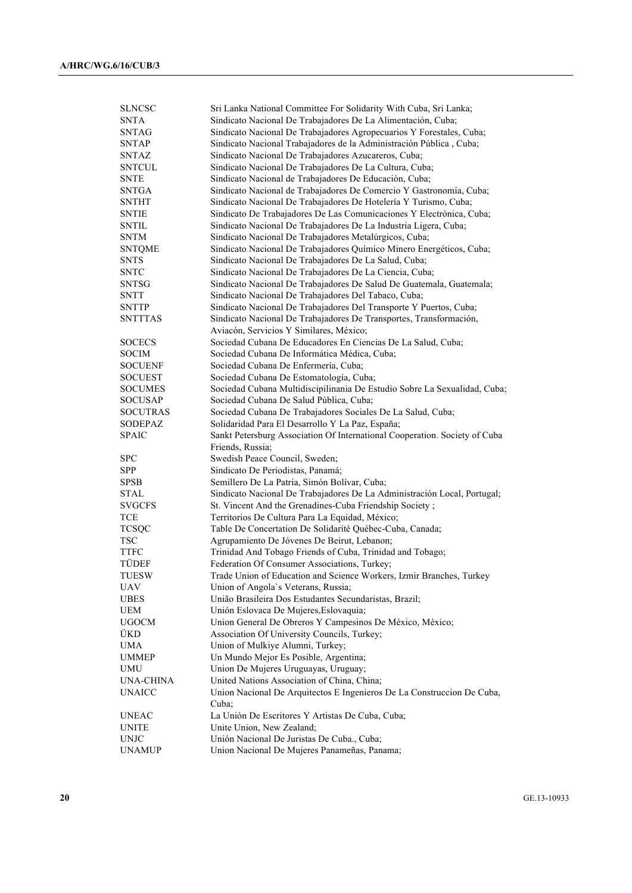| Sindicato Nacional De Trabajadores De La Alimentación, Cuba;<br>Sindicato Nacional De Trabajadores Agropecuarios Y Forestales, Cuba;<br>Sindicato Nacional Trabajadores de la Administración Pública, Cuba;<br><b>SNTAP</b><br>Sindicato Nacional De Trabajadores Azucareros, Cuba;<br>SNTAZ<br><b>SNTCUL</b><br>Sindicato Nacional De Trabajadores De La Cultura, Cuba;<br><b>SNTE</b><br>Sindicato Nacional de Trabajadores De Educación, Cuba;<br><b>SNTGA</b><br>Sindicato Nacional de Trabajadores De Comercio Y Gastronomía, Cuba;<br>Sindicato Nacional De Trabajadores De Hotelería Y Turismo, Cuba;<br><b>SNTHT</b><br>Sindicato De Trabajadores De Las Comunicaciones Y Electrónica, Cuba;<br><b>SNTIE</b><br>Sindicato Nacional De Trabajadores De La Industria Ligera, Cuba;<br><b>SNTIL</b><br><b>SNTM</b><br>Sindicato Nacional De Trabajadores Metalúrgicos, Cuba;<br>Sindicato Nacional De Trabajadores Químico Minero Energéticos, Cuba;<br><b>SNTQME</b><br><b>SNTS</b><br>Sindicato Nacional De Trabajadores De La Salud, Cuba;<br><b>SNTC</b><br>Sindicato Nacional De Trabajadores De La Ciencia, Cuba;<br><b>SNTSG</b><br>Sindicato Nacional De Trabajadores De Salud De Guatemala, Guatemala;<br><b>SNTT</b><br>Sindicato Nacional De Trabajadores Del Tabaco, Cuba;<br><b>SNTTP</b><br>Sindicato Nacional De Trabajadores Del Transporte Y Puertos, Cuba;<br><b>SNTTTAS</b><br>Sindicato Nacional De Trabajadores De Transportes, Transformación,<br>Aviacón, Servicios Y Similares, México;<br>Sociedad Cubana De Educadores En Ciencias De La Salud, Cuba;<br><b>SOCECS</b><br><b>SOCIM</b><br>Sociedad Cubana De Informática Médica, Cuba;<br><b>SOCUENF</b><br>Sociedad Cubana De Enfermería, Cuba;<br>Sociedad Cubana De Estomatología, Cuba;<br><b>SOCUEST</b><br>Sociedad Cubana Multidiscipilinania De Estudio Sobre La Sexualidad, Cuba;<br><b>SOCUMES</b><br><b>SOCUSAP</b><br>Sociedad Cubana De Salud Pública, Cuba;<br><b>SOCUTRAS</b><br>Sociedad Cubana De Trabajadores Sociales De La Salud, Cuba;<br>SODEPAZ<br>Solidaridad Para El Desarrollo Y La Paz, España;<br><b>SPAIC</b><br>Sankt Petersburg Association Of International Cooperation. Society of Cuba<br>Friends, Russia;<br>Swedish Peace Council, Sweden;<br><b>SPC</b><br>SPP<br>Sindicato De Periodistas, Panamá;<br><b>SPSB</b><br>Semillero De La Patria, Simón Bolívar, Cuba;<br>STAL<br>Sindicato Nacional De Trabajadores De La Administración Local, Portugal;<br>St. Vincent And the Grenadines-Cuba Friendship Society;<br><b>SVGCFS</b><br>Territorios De Cultura Para La Equidad, México;<br>TCE<br><b>TCSQC</b><br>Table De Concertation De Solidarité Québec-Cuba, Canada;<br><b>TSC</b><br>Agrupamiento De Jóvenes De Beirut, Lebanon;<br><b>TTFC</b><br>Trinidad And Tobago Friends of Cuba, Trinidad and Tobago;<br>TÜDEF<br>Federation Of Consumer Associations, Turkey;<br>TUESW<br>Trade Union of Education and Science Workers, Izmir Branches, Turkey<br>Union of Angola's Veterans, Russia;<br>UAV<br>União Brasileira Dos Estudantes Secundaristas, Brazil;<br><b>UBES</b><br>UEM<br>Unión Eslovaca De Mujeres, Eslovaquia;<br>Union General De Obreros Y Campesinos De México, México;<br><b>UGOCM</b><br>ÜKD<br>Association Of University Councils, Turkey;<br><b>UMA</b><br>Union of Mulkiye Alumni, Turkey;<br>Un Mundo Mejor Es Posible, Argentina;<br><b>UMMEP</b><br>Union De Mujeres Uruguayas, Uruguay;<br>UMU<br>United Nations Association of China, China;<br><b>UNA-CHINA</b><br><b>UNAICC</b><br>Union Nacional De Arquitectos E Ingenieros De La Construccion De Cuba,<br>Cuba;<br>La Unión De Escritores Y Artistas De Cuba, Cuba;<br>Unite Union, New Zealand;<br>Unión Nacional De Juristas De Cuba., Cuba;<br>Union Nacional De Mujeres Panameñas, Panama; | <b>SLNCSC</b> | Sri Lanka National Committee For Solidarity With Cuba, Sri Lanka; |
|-----------------------------------------------------------------------------------------------------------------------------------------------------------------------------------------------------------------------------------------------------------------------------------------------------------------------------------------------------------------------------------------------------------------------------------------------------------------------------------------------------------------------------------------------------------------------------------------------------------------------------------------------------------------------------------------------------------------------------------------------------------------------------------------------------------------------------------------------------------------------------------------------------------------------------------------------------------------------------------------------------------------------------------------------------------------------------------------------------------------------------------------------------------------------------------------------------------------------------------------------------------------------------------------------------------------------------------------------------------------------------------------------------------------------------------------------------------------------------------------------------------------------------------------------------------------------------------------------------------------------------------------------------------------------------------------------------------------------------------------------------------------------------------------------------------------------------------------------------------------------------------------------------------------------------------------------------------------------------------------------------------------------------------------------------------------------------------------------------------------------------------------------------------------------------------------------------------------------------------------------------------------------------------------------------------------------------------------------------------------------------------------------------------------------------------------------------------------------------------------------------------------------------------------------------------------------------------------------------------------------------------------------------------------------------------------------------------------------------------------------------------------------------------------------------------------------------------------------------------------------------------------------------------------------------------------------------------------------------------------------------------------------------------------------------------------------------------------------------------------------------------------------------------------------------------------------------------------------------------------------------------------------------------------------------------------------------------------------------------------------------------------------------------------------------------------------------------------------------------------------------------------------------------------------------------------------------------------------------------------------------------------------------------------------------------------------------------------------------------------------------------------------------------------------------------|---------------|-------------------------------------------------------------------|
|                                                                                                                                                                                                                                                                                                                                                                                                                                                                                                                                                                                                                                                                                                                                                                                                                                                                                                                                                                                                                                                                                                                                                                                                                                                                                                                                                                                                                                                                                                                                                                                                                                                                                                                                                                                                                                                                                                                                                                                                                                                                                                                                                                                                                                                                                                                                                                                                                                                                                                                                                                                                                                                                                                                                                                                                                                                                                                                                                                                                                                                                                                                                                                                                                                                                                                                                                                                                                                                                                                                                                                                                                                                                                                                                                                                                           | <b>SNTA</b>   |                                                                   |
|                                                                                                                                                                                                                                                                                                                                                                                                                                                                                                                                                                                                                                                                                                                                                                                                                                                                                                                                                                                                                                                                                                                                                                                                                                                                                                                                                                                                                                                                                                                                                                                                                                                                                                                                                                                                                                                                                                                                                                                                                                                                                                                                                                                                                                                                                                                                                                                                                                                                                                                                                                                                                                                                                                                                                                                                                                                                                                                                                                                                                                                                                                                                                                                                                                                                                                                                                                                                                                                                                                                                                                                                                                                                                                                                                                                                           | <b>SNTAG</b>  |                                                                   |
|                                                                                                                                                                                                                                                                                                                                                                                                                                                                                                                                                                                                                                                                                                                                                                                                                                                                                                                                                                                                                                                                                                                                                                                                                                                                                                                                                                                                                                                                                                                                                                                                                                                                                                                                                                                                                                                                                                                                                                                                                                                                                                                                                                                                                                                                                                                                                                                                                                                                                                                                                                                                                                                                                                                                                                                                                                                                                                                                                                                                                                                                                                                                                                                                                                                                                                                                                                                                                                                                                                                                                                                                                                                                                                                                                                                                           |               |                                                                   |
|                                                                                                                                                                                                                                                                                                                                                                                                                                                                                                                                                                                                                                                                                                                                                                                                                                                                                                                                                                                                                                                                                                                                                                                                                                                                                                                                                                                                                                                                                                                                                                                                                                                                                                                                                                                                                                                                                                                                                                                                                                                                                                                                                                                                                                                                                                                                                                                                                                                                                                                                                                                                                                                                                                                                                                                                                                                                                                                                                                                                                                                                                                                                                                                                                                                                                                                                                                                                                                                                                                                                                                                                                                                                                                                                                                                                           |               |                                                                   |
|                                                                                                                                                                                                                                                                                                                                                                                                                                                                                                                                                                                                                                                                                                                                                                                                                                                                                                                                                                                                                                                                                                                                                                                                                                                                                                                                                                                                                                                                                                                                                                                                                                                                                                                                                                                                                                                                                                                                                                                                                                                                                                                                                                                                                                                                                                                                                                                                                                                                                                                                                                                                                                                                                                                                                                                                                                                                                                                                                                                                                                                                                                                                                                                                                                                                                                                                                                                                                                                                                                                                                                                                                                                                                                                                                                                                           |               |                                                                   |
|                                                                                                                                                                                                                                                                                                                                                                                                                                                                                                                                                                                                                                                                                                                                                                                                                                                                                                                                                                                                                                                                                                                                                                                                                                                                                                                                                                                                                                                                                                                                                                                                                                                                                                                                                                                                                                                                                                                                                                                                                                                                                                                                                                                                                                                                                                                                                                                                                                                                                                                                                                                                                                                                                                                                                                                                                                                                                                                                                                                                                                                                                                                                                                                                                                                                                                                                                                                                                                                                                                                                                                                                                                                                                                                                                                                                           |               |                                                                   |
|                                                                                                                                                                                                                                                                                                                                                                                                                                                                                                                                                                                                                                                                                                                                                                                                                                                                                                                                                                                                                                                                                                                                                                                                                                                                                                                                                                                                                                                                                                                                                                                                                                                                                                                                                                                                                                                                                                                                                                                                                                                                                                                                                                                                                                                                                                                                                                                                                                                                                                                                                                                                                                                                                                                                                                                                                                                                                                                                                                                                                                                                                                                                                                                                                                                                                                                                                                                                                                                                                                                                                                                                                                                                                                                                                                                                           |               |                                                                   |
|                                                                                                                                                                                                                                                                                                                                                                                                                                                                                                                                                                                                                                                                                                                                                                                                                                                                                                                                                                                                                                                                                                                                                                                                                                                                                                                                                                                                                                                                                                                                                                                                                                                                                                                                                                                                                                                                                                                                                                                                                                                                                                                                                                                                                                                                                                                                                                                                                                                                                                                                                                                                                                                                                                                                                                                                                                                                                                                                                                                                                                                                                                                                                                                                                                                                                                                                                                                                                                                                                                                                                                                                                                                                                                                                                                                                           |               |                                                                   |
|                                                                                                                                                                                                                                                                                                                                                                                                                                                                                                                                                                                                                                                                                                                                                                                                                                                                                                                                                                                                                                                                                                                                                                                                                                                                                                                                                                                                                                                                                                                                                                                                                                                                                                                                                                                                                                                                                                                                                                                                                                                                                                                                                                                                                                                                                                                                                                                                                                                                                                                                                                                                                                                                                                                                                                                                                                                                                                                                                                                                                                                                                                                                                                                                                                                                                                                                                                                                                                                                                                                                                                                                                                                                                                                                                                                                           |               |                                                                   |
|                                                                                                                                                                                                                                                                                                                                                                                                                                                                                                                                                                                                                                                                                                                                                                                                                                                                                                                                                                                                                                                                                                                                                                                                                                                                                                                                                                                                                                                                                                                                                                                                                                                                                                                                                                                                                                                                                                                                                                                                                                                                                                                                                                                                                                                                                                                                                                                                                                                                                                                                                                                                                                                                                                                                                                                                                                                                                                                                                                                                                                                                                                                                                                                                                                                                                                                                                                                                                                                                                                                                                                                                                                                                                                                                                                                                           |               |                                                                   |
|                                                                                                                                                                                                                                                                                                                                                                                                                                                                                                                                                                                                                                                                                                                                                                                                                                                                                                                                                                                                                                                                                                                                                                                                                                                                                                                                                                                                                                                                                                                                                                                                                                                                                                                                                                                                                                                                                                                                                                                                                                                                                                                                                                                                                                                                                                                                                                                                                                                                                                                                                                                                                                                                                                                                                                                                                                                                                                                                                                                                                                                                                                                                                                                                                                                                                                                                                                                                                                                                                                                                                                                                                                                                                                                                                                                                           |               |                                                                   |
|                                                                                                                                                                                                                                                                                                                                                                                                                                                                                                                                                                                                                                                                                                                                                                                                                                                                                                                                                                                                                                                                                                                                                                                                                                                                                                                                                                                                                                                                                                                                                                                                                                                                                                                                                                                                                                                                                                                                                                                                                                                                                                                                                                                                                                                                                                                                                                                                                                                                                                                                                                                                                                                                                                                                                                                                                                                                                                                                                                                                                                                                                                                                                                                                                                                                                                                                                                                                                                                                                                                                                                                                                                                                                                                                                                                                           |               |                                                                   |
|                                                                                                                                                                                                                                                                                                                                                                                                                                                                                                                                                                                                                                                                                                                                                                                                                                                                                                                                                                                                                                                                                                                                                                                                                                                                                                                                                                                                                                                                                                                                                                                                                                                                                                                                                                                                                                                                                                                                                                                                                                                                                                                                                                                                                                                                                                                                                                                                                                                                                                                                                                                                                                                                                                                                                                                                                                                                                                                                                                                                                                                                                                                                                                                                                                                                                                                                                                                                                                                                                                                                                                                                                                                                                                                                                                                                           |               |                                                                   |
|                                                                                                                                                                                                                                                                                                                                                                                                                                                                                                                                                                                                                                                                                                                                                                                                                                                                                                                                                                                                                                                                                                                                                                                                                                                                                                                                                                                                                                                                                                                                                                                                                                                                                                                                                                                                                                                                                                                                                                                                                                                                                                                                                                                                                                                                                                                                                                                                                                                                                                                                                                                                                                                                                                                                                                                                                                                                                                                                                                                                                                                                                                                                                                                                                                                                                                                                                                                                                                                                                                                                                                                                                                                                                                                                                                                                           |               |                                                                   |
|                                                                                                                                                                                                                                                                                                                                                                                                                                                                                                                                                                                                                                                                                                                                                                                                                                                                                                                                                                                                                                                                                                                                                                                                                                                                                                                                                                                                                                                                                                                                                                                                                                                                                                                                                                                                                                                                                                                                                                                                                                                                                                                                                                                                                                                                                                                                                                                                                                                                                                                                                                                                                                                                                                                                                                                                                                                                                                                                                                                                                                                                                                                                                                                                                                                                                                                                                                                                                                                                                                                                                                                                                                                                                                                                                                                                           |               |                                                                   |
|                                                                                                                                                                                                                                                                                                                                                                                                                                                                                                                                                                                                                                                                                                                                                                                                                                                                                                                                                                                                                                                                                                                                                                                                                                                                                                                                                                                                                                                                                                                                                                                                                                                                                                                                                                                                                                                                                                                                                                                                                                                                                                                                                                                                                                                                                                                                                                                                                                                                                                                                                                                                                                                                                                                                                                                                                                                                                                                                                                                                                                                                                                                                                                                                                                                                                                                                                                                                                                                                                                                                                                                                                                                                                                                                                                                                           |               |                                                                   |
|                                                                                                                                                                                                                                                                                                                                                                                                                                                                                                                                                                                                                                                                                                                                                                                                                                                                                                                                                                                                                                                                                                                                                                                                                                                                                                                                                                                                                                                                                                                                                                                                                                                                                                                                                                                                                                                                                                                                                                                                                                                                                                                                                                                                                                                                                                                                                                                                                                                                                                                                                                                                                                                                                                                                                                                                                                                                                                                                                                                                                                                                                                                                                                                                                                                                                                                                                                                                                                                                                                                                                                                                                                                                                                                                                                                                           |               |                                                                   |
|                                                                                                                                                                                                                                                                                                                                                                                                                                                                                                                                                                                                                                                                                                                                                                                                                                                                                                                                                                                                                                                                                                                                                                                                                                                                                                                                                                                                                                                                                                                                                                                                                                                                                                                                                                                                                                                                                                                                                                                                                                                                                                                                                                                                                                                                                                                                                                                                                                                                                                                                                                                                                                                                                                                                                                                                                                                                                                                                                                                                                                                                                                                                                                                                                                                                                                                                                                                                                                                                                                                                                                                                                                                                                                                                                                                                           |               |                                                                   |
|                                                                                                                                                                                                                                                                                                                                                                                                                                                                                                                                                                                                                                                                                                                                                                                                                                                                                                                                                                                                                                                                                                                                                                                                                                                                                                                                                                                                                                                                                                                                                                                                                                                                                                                                                                                                                                                                                                                                                                                                                                                                                                                                                                                                                                                                                                                                                                                                                                                                                                                                                                                                                                                                                                                                                                                                                                                                                                                                                                                                                                                                                                                                                                                                                                                                                                                                                                                                                                                                                                                                                                                                                                                                                                                                                                                                           |               |                                                                   |
|                                                                                                                                                                                                                                                                                                                                                                                                                                                                                                                                                                                                                                                                                                                                                                                                                                                                                                                                                                                                                                                                                                                                                                                                                                                                                                                                                                                                                                                                                                                                                                                                                                                                                                                                                                                                                                                                                                                                                                                                                                                                                                                                                                                                                                                                                                                                                                                                                                                                                                                                                                                                                                                                                                                                                                                                                                                                                                                                                                                                                                                                                                                                                                                                                                                                                                                                                                                                                                                                                                                                                                                                                                                                                                                                                                                                           |               |                                                                   |
|                                                                                                                                                                                                                                                                                                                                                                                                                                                                                                                                                                                                                                                                                                                                                                                                                                                                                                                                                                                                                                                                                                                                                                                                                                                                                                                                                                                                                                                                                                                                                                                                                                                                                                                                                                                                                                                                                                                                                                                                                                                                                                                                                                                                                                                                                                                                                                                                                                                                                                                                                                                                                                                                                                                                                                                                                                                                                                                                                                                                                                                                                                                                                                                                                                                                                                                                                                                                                                                                                                                                                                                                                                                                                                                                                                                                           |               |                                                                   |
|                                                                                                                                                                                                                                                                                                                                                                                                                                                                                                                                                                                                                                                                                                                                                                                                                                                                                                                                                                                                                                                                                                                                                                                                                                                                                                                                                                                                                                                                                                                                                                                                                                                                                                                                                                                                                                                                                                                                                                                                                                                                                                                                                                                                                                                                                                                                                                                                                                                                                                                                                                                                                                                                                                                                                                                                                                                                                                                                                                                                                                                                                                                                                                                                                                                                                                                                                                                                                                                                                                                                                                                                                                                                                                                                                                                                           |               |                                                                   |
|                                                                                                                                                                                                                                                                                                                                                                                                                                                                                                                                                                                                                                                                                                                                                                                                                                                                                                                                                                                                                                                                                                                                                                                                                                                                                                                                                                                                                                                                                                                                                                                                                                                                                                                                                                                                                                                                                                                                                                                                                                                                                                                                                                                                                                                                                                                                                                                                                                                                                                                                                                                                                                                                                                                                                                                                                                                                                                                                                                                                                                                                                                                                                                                                                                                                                                                                                                                                                                                                                                                                                                                                                                                                                                                                                                                                           |               |                                                                   |
|                                                                                                                                                                                                                                                                                                                                                                                                                                                                                                                                                                                                                                                                                                                                                                                                                                                                                                                                                                                                                                                                                                                                                                                                                                                                                                                                                                                                                                                                                                                                                                                                                                                                                                                                                                                                                                                                                                                                                                                                                                                                                                                                                                                                                                                                                                                                                                                                                                                                                                                                                                                                                                                                                                                                                                                                                                                                                                                                                                                                                                                                                                                                                                                                                                                                                                                                                                                                                                                                                                                                                                                                                                                                                                                                                                                                           |               |                                                                   |
|                                                                                                                                                                                                                                                                                                                                                                                                                                                                                                                                                                                                                                                                                                                                                                                                                                                                                                                                                                                                                                                                                                                                                                                                                                                                                                                                                                                                                                                                                                                                                                                                                                                                                                                                                                                                                                                                                                                                                                                                                                                                                                                                                                                                                                                                                                                                                                                                                                                                                                                                                                                                                                                                                                                                                                                                                                                                                                                                                                                                                                                                                                                                                                                                                                                                                                                                                                                                                                                                                                                                                                                                                                                                                                                                                                                                           |               |                                                                   |
|                                                                                                                                                                                                                                                                                                                                                                                                                                                                                                                                                                                                                                                                                                                                                                                                                                                                                                                                                                                                                                                                                                                                                                                                                                                                                                                                                                                                                                                                                                                                                                                                                                                                                                                                                                                                                                                                                                                                                                                                                                                                                                                                                                                                                                                                                                                                                                                                                                                                                                                                                                                                                                                                                                                                                                                                                                                                                                                                                                                                                                                                                                                                                                                                                                                                                                                                                                                                                                                                                                                                                                                                                                                                                                                                                                                                           |               |                                                                   |
|                                                                                                                                                                                                                                                                                                                                                                                                                                                                                                                                                                                                                                                                                                                                                                                                                                                                                                                                                                                                                                                                                                                                                                                                                                                                                                                                                                                                                                                                                                                                                                                                                                                                                                                                                                                                                                                                                                                                                                                                                                                                                                                                                                                                                                                                                                                                                                                                                                                                                                                                                                                                                                                                                                                                                                                                                                                                                                                                                                                                                                                                                                                                                                                                                                                                                                                                                                                                                                                                                                                                                                                                                                                                                                                                                                                                           |               |                                                                   |
|                                                                                                                                                                                                                                                                                                                                                                                                                                                                                                                                                                                                                                                                                                                                                                                                                                                                                                                                                                                                                                                                                                                                                                                                                                                                                                                                                                                                                                                                                                                                                                                                                                                                                                                                                                                                                                                                                                                                                                                                                                                                                                                                                                                                                                                                                                                                                                                                                                                                                                                                                                                                                                                                                                                                                                                                                                                                                                                                                                                                                                                                                                                                                                                                                                                                                                                                                                                                                                                                                                                                                                                                                                                                                                                                                                                                           |               |                                                                   |
|                                                                                                                                                                                                                                                                                                                                                                                                                                                                                                                                                                                                                                                                                                                                                                                                                                                                                                                                                                                                                                                                                                                                                                                                                                                                                                                                                                                                                                                                                                                                                                                                                                                                                                                                                                                                                                                                                                                                                                                                                                                                                                                                                                                                                                                                                                                                                                                                                                                                                                                                                                                                                                                                                                                                                                                                                                                                                                                                                                                                                                                                                                                                                                                                                                                                                                                                                                                                                                                                                                                                                                                                                                                                                                                                                                                                           |               |                                                                   |
|                                                                                                                                                                                                                                                                                                                                                                                                                                                                                                                                                                                                                                                                                                                                                                                                                                                                                                                                                                                                                                                                                                                                                                                                                                                                                                                                                                                                                                                                                                                                                                                                                                                                                                                                                                                                                                                                                                                                                                                                                                                                                                                                                                                                                                                                                                                                                                                                                                                                                                                                                                                                                                                                                                                                                                                                                                                                                                                                                                                                                                                                                                                                                                                                                                                                                                                                                                                                                                                                                                                                                                                                                                                                                                                                                                                                           |               |                                                                   |
|                                                                                                                                                                                                                                                                                                                                                                                                                                                                                                                                                                                                                                                                                                                                                                                                                                                                                                                                                                                                                                                                                                                                                                                                                                                                                                                                                                                                                                                                                                                                                                                                                                                                                                                                                                                                                                                                                                                                                                                                                                                                                                                                                                                                                                                                                                                                                                                                                                                                                                                                                                                                                                                                                                                                                                                                                                                                                                                                                                                                                                                                                                                                                                                                                                                                                                                                                                                                                                                                                                                                                                                                                                                                                                                                                                                                           |               |                                                                   |
|                                                                                                                                                                                                                                                                                                                                                                                                                                                                                                                                                                                                                                                                                                                                                                                                                                                                                                                                                                                                                                                                                                                                                                                                                                                                                                                                                                                                                                                                                                                                                                                                                                                                                                                                                                                                                                                                                                                                                                                                                                                                                                                                                                                                                                                                                                                                                                                                                                                                                                                                                                                                                                                                                                                                                                                                                                                                                                                                                                                                                                                                                                                                                                                                                                                                                                                                                                                                                                                                                                                                                                                                                                                                                                                                                                                                           |               |                                                                   |
|                                                                                                                                                                                                                                                                                                                                                                                                                                                                                                                                                                                                                                                                                                                                                                                                                                                                                                                                                                                                                                                                                                                                                                                                                                                                                                                                                                                                                                                                                                                                                                                                                                                                                                                                                                                                                                                                                                                                                                                                                                                                                                                                                                                                                                                                                                                                                                                                                                                                                                                                                                                                                                                                                                                                                                                                                                                                                                                                                                                                                                                                                                                                                                                                                                                                                                                                                                                                                                                                                                                                                                                                                                                                                                                                                                                                           |               |                                                                   |
|                                                                                                                                                                                                                                                                                                                                                                                                                                                                                                                                                                                                                                                                                                                                                                                                                                                                                                                                                                                                                                                                                                                                                                                                                                                                                                                                                                                                                                                                                                                                                                                                                                                                                                                                                                                                                                                                                                                                                                                                                                                                                                                                                                                                                                                                                                                                                                                                                                                                                                                                                                                                                                                                                                                                                                                                                                                                                                                                                                                                                                                                                                                                                                                                                                                                                                                                                                                                                                                                                                                                                                                                                                                                                                                                                                                                           |               |                                                                   |
|                                                                                                                                                                                                                                                                                                                                                                                                                                                                                                                                                                                                                                                                                                                                                                                                                                                                                                                                                                                                                                                                                                                                                                                                                                                                                                                                                                                                                                                                                                                                                                                                                                                                                                                                                                                                                                                                                                                                                                                                                                                                                                                                                                                                                                                                                                                                                                                                                                                                                                                                                                                                                                                                                                                                                                                                                                                                                                                                                                                                                                                                                                                                                                                                                                                                                                                                                                                                                                                                                                                                                                                                                                                                                                                                                                                                           |               |                                                                   |
|                                                                                                                                                                                                                                                                                                                                                                                                                                                                                                                                                                                                                                                                                                                                                                                                                                                                                                                                                                                                                                                                                                                                                                                                                                                                                                                                                                                                                                                                                                                                                                                                                                                                                                                                                                                                                                                                                                                                                                                                                                                                                                                                                                                                                                                                                                                                                                                                                                                                                                                                                                                                                                                                                                                                                                                                                                                                                                                                                                                                                                                                                                                                                                                                                                                                                                                                                                                                                                                                                                                                                                                                                                                                                                                                                                                                           |               |                                                                   |
|                                                                                                                                                                                                                                                                                                                                                                                                                                                                                                                                                                                                                                                                                                                                                                                                                                                                                                                                                                                                                                                                                                                                                                                                                                                                                                                                                                                                                                                                                                                                                                                                                                                                                                                                                                                                                                                                                                                                                                                                                                                                                                                                                                                                                                                                                                                                                                                                                                                                                                                                                                                                                                                                                                                                                                                                                                                                                                                                                                                                                                                                                                                                                                                                                                                                                                                                                                                                                                                                                                                                                                                                                                                                                                                                                                                                           |               |                                                                   |
|                                                                                                                                                                                                                                                                                                                                                                                                                                                                                                                                                                                                                                                                                                                                                                                                                                                                                                                                                                                                                                                                                                                                                                                                                                                                                                                                                                                                                                                                                                                                                                                                                                                                                                                                                                                                                                                                                                                                                                                                                                                                                                                                                                                                                                                                                                                                                                                                                                                                                                                                                                                                                                                                                                                                                                                                                                                                                                                                                                                                                                                                                                                                                                                                                                                                                                                                                                                                                                                                                                                                                                                                                                                                                                                                                                                                           |               |                                                                   |
|                                                                                                                                                                                                                                                                                                                                                                                                                                                                                                                                                                                                                                                                                                                                                                                                                                                                                                                                                                                                                                                                                                                                                                                                                                                                                                                                                                                                                                                                                                                                                                                                                                                                                                                                                                                                                                                                                                                                                                                                                                                                                                                                                                                                                                                                                                                                                                                                                                                                                                                                                                                                                                                                                                                                                                                                                                                                                                                                                                                                                                                                                                                                                                                                                                                                                                                                                                                                                                                                                                                                                                                                                                                                                                                                                                                                           |               |                                                                   |
|                                                                                                                                                                                                                                                                                                                                                                                                                                                                                                                                                                                                                                                                                                                                                                                                                                                                                                                                                                                                                                                                                                                                                                                                                                                                                                                                                                                                                                                                                                                                                                                                                                                                                                                                                                                                                                                                                                                                                                                                                                                                                                                                                                                                                                                                                                                                                                                                                                                                                                                                                                                                                                                                                                                                                                                                                                                                                                                                                                                                                                                                                                                                                                                                                                                                                                                                                                                                                                                                                                                                                                                                                                                                                                                                                                                                           |               |                                                                   |
|                                                                                                                                                                                                                                                                                                                                                                                                                                                                                                                                                                                                                                                                                                                                                                                                                                                                                                                                                                                                                                                                                                                                                                                                                                                                                                                                                                                                                                                                                                                                                                                                                                                                                                                                                                                                                                                                                                                                                                                                                                                                                                                                                                                                                                                                                                                                                                                                                                                                                                                                                                                                                                                                                                                                                                                                                                                                                                                                                                                                                                                                                                                                                                                                                                                                                                                                                                                                                                                                                                                                                                                                                                                                                                                                                                                                           |               |                                                                   |
|                                                                                                                                                                                                                                                                                                                                                                                                                                                                                                                                                                                                                                                                                                                                                                                                                                                                                                                                                                                                                                                                                                                                                                                                                                                                                                                                                                                                                                                                                                                                                                                                                                                                                                                                                                                                                                                                                                                                                                                                                                                                                                                                                                                                                                                                                                                                                                                                                                                                                                                                                                                                                                                                                                                                                                                                                                                                                                                                                                                                                                                                                                                                                                                                                                                                                                                                                                                                                                                                                                                                                                                                                                                                                                                                                                                                           |               |                                                                   |
|                                                                                                                                                                                                                                                                                                                                                                                                                                                                                                                                                                                                                                                                                                                                                                                                                                                                                                                                                                                                                                                                                                                                                                                                                                                                                                                                                                                                                                                                                                                                                                                                                                                                                                                                                                                                                                                                                                                                                                                                                                                                                                                                                                                                                                                                                                                                                                                                                                                                                                                                                                                                                                                                                                                                                                                                                                                                                                                                                                                                                                                                                                                                                                                                                                                                                                                                                                                                                                                                                                                                                                                                                                                                                                                                                                                                           |               |                                                                   |
|                                                                                                                                                                                                                                                                                                                                                                                                                                                                                                                                                                                                                                                                                                                                                                                                                                                                                                                                                                                                                                                                                                                                                                                                                                                                                                                                                                                                                                                                                                                                                                                                                                                                                                                                                                                                                                                                                                                                                                                                                                                                                                                                                                                                                                                                                                                                                                                                                                                                                                                                                                                                                                                                                                                                                                                                                                                                                                                                                                                                                                                                                                                                                                                                                                                                                                                                                                                                                                                                                                                                                                                                                                                                                                                                                                                                           |               |                                                                   |
|                                                                                                                                                                                                                                                                                                                                                                                                                                                                                                                                                                                                                                                                                                                                                                                                                                                                                                                                                                                                                                                                                                                                                                                                                                                                                                                                                                                                                                                                                                                                                                                                                                                                                                                                                                                                                                                                                                                                                                                                                                                                                                                                                                                                                                                                                                                                                                                                                                                                                                                                                                                                                                                                                                                                                                                                                                                                                                                                                                                                                                                                                                                                                                                                                                                                                                                                                                                                                                                                                                                                                                                                                                                                                                                                                                                                           |               |                                                                   |
|                                                                                                                                                                                                                                                                                                                                                                                                                                                                                                                                                                                                                                                                                                                                                                                                                                                                                                                                                                                                                                                                                                                                                                                                                                                                                                                                                                                                                                                                                                                                                                                                                                                                                                                                                                                                                                                                                                                                                                                                                                                                                                                                                                                                                                                                                                                                                                                                                                                                                                                                                                                                                                                                                                                                                                                                                                                                                                                                                                                                                                                                                                                                                                                                                                                                                                                                                                                                                                                                                                                                                                                                                                                                                                                                                                                                           |               |                                                                   |
|                                                                                                                                                                                                                                                                                                                                                                                                                                                                                                                                                                                                                                                                                                                                                                                                                                                                                                                                                                                                                                                                                                                                                                                                                                                                                                                                                                                                                                                                                                                                                                                                                                                                                                                                                                                                                                                                                                                                                                                                                                                                                                                                                                                                                                                                                                                                                                                                                                                                                                                                                                                                                                                                                                                                                                                                                                                                                                                                                                                                                                                                                                                                                                                                                                                                                                                                                                                                                                                                                                                                                                                                                                                                                                                                                                                                           |               |                                                                   |
|                                                                                                                                                                                                                                                                                                                                                                                                                                                                                                                                                                                                                                                                                                                                                                                                                                                                                                                                                                                                                                                                                                                                                                                                                                                                                                                                                                                                                                                                                                                                                                                                                                                                                                                                                                                                                                                                                                                                                                                                                                                                                                                                                                                                                                                                                                                                                                                                                                                                                                                                                                                                                                                                                                                                                                                                                                                                                                                                                                                                                                                                                                                                                                                                                                                                                                                                                                                                                                                                                                                                                                                                                                                                                                                                                                                                           |               |                                                                   |
|                                                                                                                                                                                                                                                                                                                                                                                                                                                                                                                                                                                                                                                                                                                                                                                                                                                                                                                                                                                                                                                                                                                                                                                                                                                                                                                                                                                                                                                                                                                                                                                                                                                                                                                                                                                                                                                                                                                                                                                                                                                                                                                                                                                                                                                                                                                                                                                                                                                                                                                                                                                                                                                                                                                                                                                                                                                                                                                                                                                                                                                                                                                                                                                                                                                                                                                                                                                                                                                                                                                                                                                                                                                                                                                                                                                                           |               |                                                                   |
|                                                                                                                                                                                                                                                                                                                                                                                                                                                                                                                                                                                                                                                                                                                                                                                                                                                                                                                                                                                                                                                                                                                                                                                                                                                                                                                                                                                                                                                                                                                                                                                                                                                                                                                                                                                                                                                                                                                                                                                                                                                                                                                                                                                                                                                                                                                                                                                                                                                                                                                                                                                                                                                                                                                                                                                                                                                                                                                                                                                                                                                                                                                                                                                                                                                                                                                                                                                                                                                                                                                                                                                                                                                                                                                                                                                                           |               |                                                                   |
|                                                                                                                                                                                                                                                                                                                                                                                                                                                                                                                                                                                                                                                                                                                                                                                                                                                                                                                                                                                                                                                                                                                                                                                                                                                                                                                                                                                                                                                                                                                                                                                                                                                                                                                                                                                                                                                                                                                                                                                                                                                                                                                                                                                                                                                                                                                                                                                                                                                                                                                                                                                                                                                                                                                                                                                                                                                                                                                                                                                                                                                                                                                                                                                                                                                                                                                                                                                                                                                                                                                                                                                                                                                                                                                                                                                                           |               |                                                                   |
|                                                                                                                                                                                                                                                                                                                                                                                                                                                                                                                                                                                                                                                                                                                                                                                                                                                                                                                                                                                                                                                                                                                                                                                                                                                                                                                                                                                                                                                                                                                                                                                                                                                                                                                                                                                                                                                                                                                                                                                                                                                                                                                                                                                                                                                                                                                                                                                                                                                                                                                                                                                                                                                                                                                                                                                                                                                                                                                                                                                                                                                                                                                                                                                                                                                                                                                                                                                                                                                                                                                                                                                                                                                                                                                                                                                                           | <b>UNEAC</b>  |                                                                   |
|                                                                                                                                                                                                                                                                                                                                                                                                                                                                                                                                                                                                                                                                                                                                                                                                                                                                                                                                                                                                                                                                                                                                                                                                                                                                                                                                                                                                                                                                                                                                                                                                                                                                                                                                                                                                                                                                                                                                                                                                                                                                                                                                                                                                                                                                                                                                                                                                                                                                                                                                                                                                                                                                                                                                                                                                                                                                                                                                                                                                                                                                                                                                                                                                                                                                                                                                                                                                                                                                                                                                                                                                                                                                                                                                                                                                           | <b>UNITE</b>  |                                                                   |
|                                                                                                                                                                                                                                                                                                                                                                                                                                                                                                                                                                                                                                                                                                                                                                                                                                                                                                                                                                                                                                                                                                                                                                                                                                                                                                                                                                                                                                                                                                                                                                                                                                                                                                                                                                                                                                                                                                                                                                                                                                                                                                                                                                                                                                                                                                                                                                                                                                                                                                                                                                                                                                                                                                                                                                                                                                                                                                                                                                                                                                                                                                                                                                                                                                                                                                                                                                                                                                                                                                                                                                                                                                                                                                                                                                                                           | <b>UNJC</b>   |                                                                   |
|                                                                                                                                                                                                                                                                                                                                                                                                                                                                                                                                                                                                                                                                                                                                                                                                                                                                                                                                                                                                                                                                                                                                                                                                                                                                                                                                                                                                                                                                                                                                                                                                                                                                                                                                                                                                                                                                                                                                                                                                                                                                                                                                                                                                                                                                                                                                                                                                                                                                                                                                                                                                                                                                                                                                                                                                                                                                                                                                                                                                                                                                                                                                                                                                                                                                                                                                                                                                                                                                                                                                                                                                                                                                                                                                                                                                           | <b>UNAMUP</b> |                                                                   |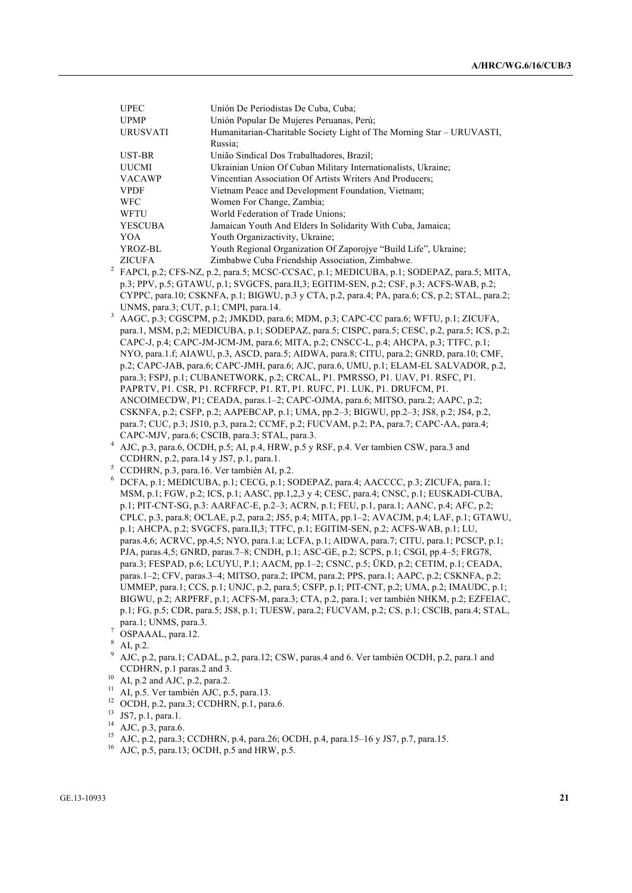| <b>UPEC</b>     | Unión De Periodistas De Cuba, Cuba;                                   |
|-----------------|-----------------------------------------------------------------------|
|                 |                                                                       |
| <b>UPMP</b>     | Unión Popular De Mujeres Peruanas, Perú;                              |
| <b>URUSVATI</b> | Humanitarian-Charitable Society Light of The Morning Star – URUVASTI, |
|                 | Russia:                                                               |
| UST-BR          | União Sindical Dos Trabalhadores, Brazil;                             |
| <b>UUCMI</b>    | Ukrainian Union Of Cuban Military Internationalists, Ukraine;         |
| <b>VACAWP</b>   | Vincentian Association Of Artists Writers And Producers;              |
| <b>VPDF</b>     | Vietnam Peace and Development Foundation, Vietnam;                    |
| <b>WFC</b>      | Women For Change, Zambia;                                             |
| <b>WFTU</b>     | World Federation of Trade Unions:                                     |
| <b>YESCUBA</b>  | Jamaican Youth And Elders In Solidarity With Cuba, Jamaica;           |
| YOA             | Youth Organizactivity, Ukraine;                                       |
| YROZ-BL         | Youth Regional Organization Of Zaporojye "Build Life", Ukraine;       |
| <b>ZICUFA</b>   | Zimbabwe Cuba Friendship Association, Zimbabwe.                       |

- <sup>2</sup> FAPCI, p.2; CFS-NZ, p.2, para.5; MCSC-CCSAC, p.1; MEDICUBA, p.1; SODEPAZ, para.5; MITA, p.3; PPV, p.5; GTAWU, p.1; SVGCFS, para.II,3; EGITIM-SEN, p.2; CSF, p.3; ACFS-WAB, p.2; CYPPC, para.10; CSKNFA, p.1; BIGWU, p.3 y CTA, p.2, para.4; PA, para.6; CS, p.2; STAL, para.2; UNMS, para.3; CUT, p.1; CMPI, para.14.
- <sup>3</sup> AAGC, p.3; CGSCPM, p.2; JMKDD, para.6; MDM, p.3; CAPC-CC para.6; WFTU, p.1; ZICUFA, para.1, MSM, p,2; MEDICUBA, p.1; SODEPAZ, para.5; CISPC, para.5; CESC, p.2, para.5; ICS, p.2; CAPC-J, p.4; CAPC-JM-JCM-JM, para.6; MITA, p.2; CNSCC-L, p.4; AHCPA, p.3; TTFC, p.1; NYO, para.1.f; AIAWU, p.3, ASCD, para.5; AIDWA, para.8; CITU, para.2; GNRD, para.10; CMF, p.2; CAPC-JAB, para.6; CAPC-JMH, para.6; AJC, para.6, UMU, p.1; ELAM-EL SALVADOR, p.2, para.3; FSPJ, p.1; CUBANETWORK, p.2; CRCAL, P1. PMRSSO, P1. UAV, P1. RSFC, P1. PAPRTV, P1. CSR, P1. RCFRFCP, P1. RT, P1. RUFC, P1. LUK, P1. DRUFCM, P1. ANCOIMECDW, P1; CEADA, paras.1–2; CAPC-OJMA, para.6; MITSO, para.2; AAPC, p.2; CSKNFA, p.2; CSFP, p.2; AAPEBCAP, p.1; UMA, pp.2–3; BIGWU, pp.2–3; JS8, p.2; JS4, p.2, para.7; CUC, p.3; JS10, p.3, para.2; CCMF, p.2; FUCVAM, p.2; PA, para.7; CAPC-AA, para.4; CAPC-MJV, para.6; CSCIB, para.3; STAL, para.3.
- <sup>4</sup> AJC, p.3, para.6, OCDH, p.5; AI, p.4, HRW, p.5 y RSF, p.4. Ver tambien CSW, para.3 and CCDHRN, p.2, para.14 y JS7, p.1, para.1.
- <sup>5</sup> CCDHRN, p.3, para.16. Ver también AI, p.2.
- <sup>6</sup> DCFA, p.1; MEDICUBA, p.1; CECG, p.1; SODEPAZ, para.4; AACCCC, p.3; ZICUFA, para.1; MSM, p.1; FGW, p.2; ICS, p.1; AASC, pp.1,2,3 y 4; CESC, para.4; CNSC, p.1; EUSKADI-CUBA, p.1; PIT-CNT-SG, p.3: AARFAC-E, p.2–3; ACRN, p.1; FEU, p.1, para.1; AANC, p.4; AFC, p.2; CPLC, p.3, para.8; OCLAE, p.2, para.2; JS5, p.4; MITA, pp.1–2; AVACJM, p.4; LAF, p.1; GTAWU, p.1; AHCPA, p.2; SVGCFS, para.II,3; TTFC, p.1; EGITIM-SEN, p.2; ACFS-WAB, p.1; LU, paras.4,6; ACRVC, pp.4,5; NYO, para.1.a; LCFA, p.1; AIDWA, para.7; CITU, para.1; PCSCP, p.1; PJA, paras.4,5; GNRD, paras.7–8; CNDH, p.1; ASC-GE, p.2; SCPS, p.1; CSGI, pp.4–5; FRG78, para.3; FESPAD, p.6; LCUYU, P.1; AACM, pp.1–2; CSNC, p.5; ÜKD, p.2; CETIM, p.1; CEADA, paras.1–2; CFV, paras.3–4; MITSO, para.2; IPCM, para.2; PPS, para.1; AAPC, p.2; CSKNFA, p.2; UMMEP, para.1; CCS, p.1; UNJC, p.2, para.5; CSFP, p.1; PIT-CNT, p.2; UMA, p.2; IMAUDC, p.1; BIGWU, p.2; ARPFRF, p.1; ACFS-M, para.3; CTA, p.2, para.1; ver también NHKM, p.2; EZFEIAC, p.1; FG, p.5; CDR, para.5; JS8, p.1; TUESW, para.2; FUCVAM, p.2; CS, p.1; CSCIB, para.4; STAL, para.1; UNMS, para.3.
- <sup>7</sup> OSPAAAL, para.12.
- $^{8}$  AI, p.2.
- <sup>9</sup> AJC, p.2, para.1; CADAL, p.2, para.12; CSW, paras.4 and 6. Ver también OCDH, p.2, para.1 and CCDHRN, p.1 paras.2 and 3.
- $10$  AI, p.2 and AJC, p.2, para.2.
- <sup>11</sup> AI, p.5. Ver también AJC, p.5, para.13.
- <sup>12</sup> OCDH, p.2, para.3; CCDHRN, p.1, para.6.
- <sup>13</sup> JS7, p.1, para.1.
- <sup>14</sup> AJC, p.3, para.6.
- <sup>15</sup> AJC, p.2, para.3; CCDHRN, p.4, para.26; OCDH, p.4, para.15–16 y JS7, p.7, para.15.
- <sup>16</sup> AJC, p.5, para.13; OCDH, p.5 and HRW, p.5.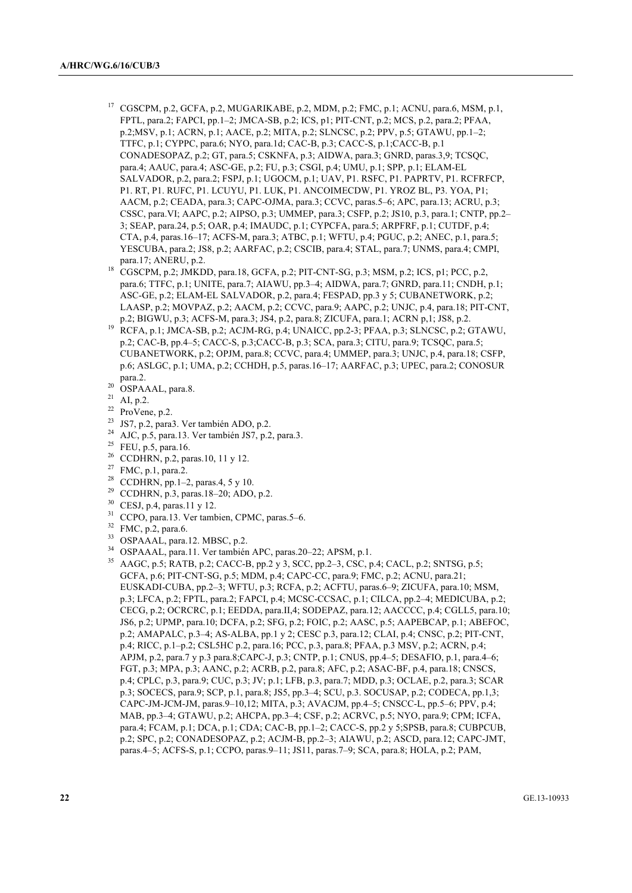- CGSCPM, p.2, GCFA, p.2, MUGARIKABE, p.2, MDM, p.2; FMC, p.1; ACNU, para.6, MSM, p.1, FPTL, para.2; FAPCI, pp.1–2; JMCA-SB, p.2; ICS, p1; PIT-CNT, p.2; MCS, p.2, para.2; PFAA, p.2;MSV, p.1; ACRN, p.1; AACE, p.2; MITA, p.2; SLNCSC, p.2; PPV, p.5; GTAWU, pp.1–2; TTFC, p.1; CYPPC, para.6; NYO, para.1d; CAC-B, p.3; CACC-S, p.1;CACC-B, p.1 CONADESOPAZ, p.2; GT, para.5; CSKNFA, p.3; AIDWA, para.3; GNRD, paras.3,9; TCSQC, para.4; AAUC, para.4; ASC-GE, p.2; FU, p.3; CSGI, p.4; UMU, p.1; SPP, p.1; ELAM-EL SALVADOR, p.2, para.2; FSPJ, p.1; UGOCM, p.1; UAV, P1. RSFC, P1. PAPRTV, P1. RCFRFCP, P1. RT, P1. RUFC, P1. LCUYU, P1. LUK, P1. ANCOIMECDW, P1. YROZ BL, P3. YOA, P1; AACM, p.2; CEADA, para.3; CAPC-OJMA, para.3; CCVC, paras.5–6; APC, para.13; ACRU, p.3; CSSC, para.VI; AAPC, p.2; AIPSO, p.3; UMMEP, para.3; CSFP, p.2; JS10, p.3, para.1; CNTP, pp.2– 3; SEAP, para.24, p.5; OAR, p.4; IMAUDC, p.1; CYPCFA, para.5; ARPFRF, p.1; CUTDF, p.4; CTA, p.4, paras.16–17; ACFS-M, para.3; ATBC, p.1; WFTU, p.4; PGUC, p.2; ANEC, p.1, para.5; YESCUBA, para.2; JS8, p.2; AARFAC, p.2; CSCIB, para.4; STAL, para.7; UNMS, para.4; CMPI, para.17; ANERU, p.2.
- 18 CGSCPM, p.2; JMKDD, para.18, GCFA, p.2; PIT-CNT-SG, p.3; MSM, p.2; ICS, p1; PCC, p.2, para.6; TTFC, p.1; UNITE, para.7; AIAWU, pp.3–4; AIDWA, para.7; GNRD, para.11; CNDH, p.1; ASC-GE, p.2; ELAM-EL SALVADOR, p.2, para.4; FESPAD, pp.3 y 5; CUBANETWORK, p.2; LAASP, p.2; MOVPAZ, p.2; AACM, p.2; CCVC, para.9; AAPC, p.2; UNJC, p.4, para.18; PIT-CNT, p.2; BIGWU, p.3; ACFS-M, para.3; JS4, p.2, para.8; ZICUFA, para.1; ACRN p,1; JS8, p.2.
- <sup>19</sup> RCFA, p.1; JMCA-SB, p.2; ACJM-RG, p.4; UNAICC, pp.2-3; PFAA, p.3; SLNCSC, p.2; GTAWU, p.2; CAC-B, pp.4–5; CACC-S, p.3;CACC-B, p.3; SCA, para.3; CITU, para.9; TCSQC, para.5; CUBANETWORK, p.2; OPJM, para.8; CCVC, para.4; UMMEP, para.3; UNJC, p.4, para.18; CSFP, p.6; ASLGC, p.1; UMA, p.2; CCHDH, p.5, paras.16–17; AARFAC, p.3; UPEC, para.2; CONOSUR para.2.
- $^{20}$  OSPAAAL, para.8.
- AI, p.2.
- $22$  ProVene, p.2.
- <sup>23</sup> JS7, p.2, para3. Ver también ADO, p.2.
- <sup>24</sup> AJC, p.5, para.13. Ver también JS7, p.2, para.3.
- <sup>25</sup> FEU, p.5, para.16.
- <sup>26</sup> CCDHRN, p.2, paras.10, 11 y 12.
- <sup>27</sup> FMC, p.1, para.2.
- <sup>28</sup> CCDHRN, pp.1-2, paras.4, 5 y 10.
- <sup>29</sup> CCDHRN, p.3, paras.18–20; ADO, p.2.
- $30$  CESJ, p.4, paras.11 y 12.
- CCPO, para.13. Ver tambien, CPMC, paras.5–6.
- <sup>32</sup> FMC, p.2, para.6.
- <sup>33</sup> OSPAAAL, para.12. MBSC, p.2.
- <sup>34</sup> OSPAAAL, para.11. Ver también APC, paras.20–22; APSM, p.1.
- <sup>35</sup> AAGC, p.5; RATB, p.2; CACC-B, pp.2 y 3, SCC, pp.2–3, CSC, p.4; CACL, p.2; SNTSG, p.5; GCFA, p.6; PIT-CNT-SG, p.5; MDM, p.4; CAPC-CC, para.9; FMC, p.2; ACNU, para.21; EUSKADI-CUBA, pp.2–3; WFTU, p.3; RCFA, p.2; ACFTU, paras.6–9; ZICUFA, para.10; MSM, p.3; LFCA, p.2; FPTL, para.2; FAPCI, p.4; MCSC-CCSAC, p.1; CILCA, pp.2–4; MEDICUBA, p.2; CECG, p.2; OCRCRC, p.1; EEDDA, para.II,4; SODEPAZ, para.12; AACCCC, p.4; CGLL5, para.10; JS6, p.2; UPMP, para.10; DCFA, p.2; SFG, p.2; FOIC, p.2; AASC, p.5; AAPEBCAP, p.1; ABEFOC, p.2; AMAPALC, p.3–4; AS-ALBA, pp.1 y 2; CESC p.3, para.12; CLAI, p.4; CNSC, p.2; PIT-CNT, p.4; RICC, p.1–p.2; CSL5HC p.2, para.16; PCC, p.3, para.8; PFAA, p.3 MSV, p.2; ACRN, p.4; APJM, p.2, para.7 y p.3 para.8;CAPC-J, p.3; CNTP, p.1; CNUS, pp.4–5; DESAFIO, p.1, para.4–6; FGT, p.3; MPA, p.3; AANC, p.2; ACRB, p.2, para.8; AFC, p.2; ASAC-BF, p.4, para.18; CNSCS, p.4; CPLC, p.3, para.9; CUC, p.3; JV; p.1; LFB, p.3, para.7; MDD, p.3; OCLAE, p.2, para.3; SCAR p.3; SOCECS, para.9; SCP, p.1, para.8; JS5, pp.3–4; SCU, p.3. SOCUSAP, p.2; CODECA, pp.1,3; CAPC-JM-JCM-JM, paras.9–10,12; MITA, p.3; AVACJM, pp.4–5; CNSCC-L, pp.5–6; PPV, p.4; MAB, pp.3–4; GTAWU, p.2; AHCPA, pp.3–4; CSF, p.2; ACRVC, p.5; NYO, para.9; CPM; ICFA, para.4; FCAM, p.1; DCA, p.1; CDA; CAC-B, pp.1–2; CACC-S, pp.2 y 5;SPSB, para.8; CUBPCUB, p.2; SPC, p.2; CONADESOPAZ, p.2; ACJM-B, pp.2–3; AIAWU, p.2; ASCD, para.12; CAPC-JMT, paras.4–5; ACFS-S, p.1; CCPO, paras.9–11; JS11, paras.7–9; SCA, para.8; HOLA, p.2; PAM,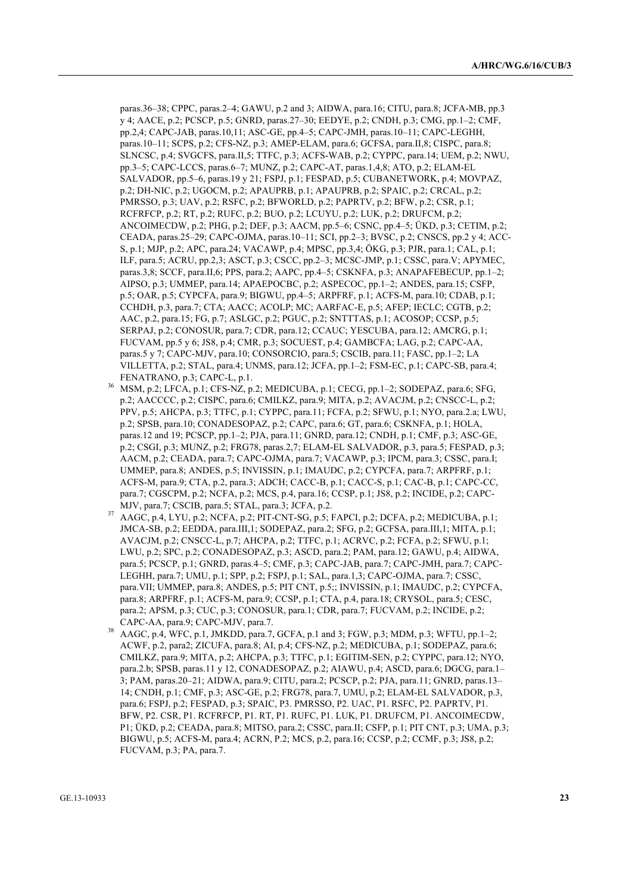paras.36–38; CPPC, paras.2–4; GAWU, p.2 and 3; AIDWA, para.16; CITU, para.8; JCFA-MB, pp.3 y 4; AACE, p.2; PCSCP, p.5; GNRD, paras.27–30; EEDYE, p.2; CNDH, p.3; CMG, pp.1–2; CMF, pp.2,4; CAPC-JAB, paras.10,11; ASC-GE, pp.4–5; CAPC-JMH, paras.10–11; CAPC-LEGHH, paras.10–11; SCPS, p.2; CFS-NZ, p.3; AMEP-ELAM, para.6; GCFSA, para.II,8; CISPC, para.8; SLNCSC, p.4; SVGCFS, para.II,5; TTFC, p.3; ACFS-WAB, p.2; CYPPC, para.14; UEM, p.2; NWU, pp.3–5; CAPC-LCCS, paras.6–7; MUNZ, p.2; CAPC-AT, paras.1,4,8; ATO, p.2; ELAM-EL SALVADOR, pp.5–6, paras.19 y 21; FSPJ, p.1; FESPAD, p.5; CUBANETWORK, p.4; MOVPAZ, p.2; DH-NIC, p.2; UGOCM, p.2; APAUPRB, p.1; APAUPRB, p.2; SPAIC, p.2; CRCAL, p.2; PMRSSO, p.3; UAV, p.2; RSFC, p.2; BFWORLD, p.2; PAPRTV, p.2; BFW, p.2; CSR, p.1; RCFRFCP, p.2; RT, p.2; RUFC, p.2; BUO, p.2; LCUYU, p.2; LUK, p.2; DRUFCM, p.2; ANCOIMECDW, p.2; PHG, p.2; DEF, p.3; AACM, pp.5–6; CSNC, pp.4–5; ÜKD, p.3; CETIM, p.2; CEADA, paras.25–29; CAPC-OJMA, paras.10–11; SCI, pp.2–3; BVSC, p.2; CNSCS, pp.2 y 4; ACC-S, p.1; MJP, p.2; APC, para.24; VACAWP, p.4; MPSC, pp.3,4; ÖKG, p.3; PJR, para.1; CAL, p.1; ILF, para.5; ACRU, pp.2,3; ASCT, p.3; CSCC, pp.2–3; MCSC-JMP, p.1; CSSC, para.V; APYMEC, paras.3,8; SCCF, para.II,6; PPS, para.2; AAPC, pp.4-5; CSKNFA, p.3; ANAPAFEBECUP, pp.1-2; AIPSO, p.3; UMMEP, para.14; APAEPOCBC, p.2; ASPECOC, pp.1–2; ANDES, para.15; CSFP, p.5; OAR, p.5; CYPCFA, para.9; BIGWU, pp.4–5; ARPFRF, p.1; ACFS-M, para.10; CDAB, p.1; CCHDH, p.3, para.7; CTA; AACC; ACOLP; MC; AARFAC-E, p.5; AFEP; IECLC; CGTB, p.2; AAC, p.2, para.15; FG, p.7; ASLGC, p.2; PGUC, p.2; SNTTTAS, p.1; ACOSOP; CCSP, p.5; SERPAJ, p.2; CONOSUR, para.7; CDR, para.12; CCAUC; YESCUBA, para.12; AMCRG, p.1; FUCVAM, pp.5 y 6; JS8, p.4; CMR, p.3; SOCUEST, p.4; GAMBCFA; LAG, p.2; CAPC-AA, paras.5 y 7; CAPC-MJV, para.10; CONSORCIO, para.5; CSCIB, para.11; FASC, pp.1–2; LA VILLETTA, p.2; STAL, para.4; UNMS, para.12; JCFA, pp.1–2; FSM-EC, p.1; CAPC-SB, para.4; FENATRANO, p.3; CAPC-L, p.1.

- <sup>36</sup> MSM, p.2; LFCA, p.1; CFS-NZ, p.2; MEDICUBA, p.1; CECG, pp.1–2; SODEPAZ, para.6; SFG, p.2; AACCCC, p.2; CISPC, para.6; CMILKZ, para.9; MITA, p.2; AVACJM, p.2; CNSCC-L, p.2; PPV, p.5; AHCPA, p.3; TTFC, p.1; CYPPC, para.11; FCFA, p.2; SFWU, p.1; NYO, para.2.a; LWU, p.2; SPSB, para.10; CONADESOPAZ, p.2; CAPC, para.6; GT, para.6; CSKNFA, p.1; HOLA, paras.12 and 19; PCSCP, pp.1–2; PJA, para.11; GNRD, para.12; CNDH, p.1; CMF, p.3; ASC-GE, p.2; CSGI, p.3; MUNZ, p.2; FRG78, paras.2,7; ELAM-EL SALVADOR, p.3, para.5; FESPAD, p.3; AACM, p.2; CEADA, para.7; CAPC-OJMA, para.7; VACAWP, p.3; IPCM, para.3; CSSC, para.I; UMMEP, para.8; ANDES, p.5; INVISSIN, p.1; IMAUDC, p.2; CYPCFA, para.7; ARPFRF, p.1; ACFS-M, para.9; CTA, p.2, para.3; ADCH; CACC-B, p.1; CACC-S, p.1; CAC-B, p.1; CAPC-CC, para.7; CGSCPM, p.2; NCFA, p.2; MCS, p.4, para.16; CCSP, p.1; JS8, p.2; INCIDE, p.2; CAPC-MJV, para.7; CSCIB, para.5; STAL, para.3; JCFA, p.2.
- <sup>37</sup> AAGC, p.4, LYU, p.2; NCFA, p.2; PIT-CNT-SG, p.5; FAPCI, p.2; DCFA, p.2; MEDICUBA, p.1; JMCA-SB, p.2; EEDDA, para.III,1; SODEPAZ, para.2; SFG, p.2; GCFSA, para.III,1; MITA, p.1; AVACJM, p.2; CNSCC-L, p.7; AHCPA, p.2; TTFC, p.1; ACRVC, p.2; FCFA, p.2; SFWU, p.1; LWU, p.2; SPC, p.2; CONADESOPAZ, p.3; ASCD, para.2; PAM, para.12; GAWU, p.4; AIDWA, para.5; PCSCP, p.1; GNRD, paras.4–5; CMF, p.3; CAPC-JAB, para.7; CAPC-JMH, para.7; CAPC-LEGHH, para.7; UMU, p.1; SPP, p.2; FSPJ, p.1; SAL, para.1,3; CAPC-OJMA, para.7; CSSC, para.VII; UMMEP, para.8; ANDES, p.5; PIT CNT, p.5;; INVISSIN, p.1; IMAUDC, p.2; CYPCFA, para.8; ARPFRF, p.1; ACFS-M, para.9; CCSP, p.1; CTA, p.4, para.18; CRYSOL, para.5; CESC, para.2; APSM, p.3; CUC, p.3; CONOSUR, para.1; CDR, para.7; FUCVAM, p.2; INCIDE, p.2; CAPC-AA, para.9; CAPC-MJV, para.7.
- <sup>38</sup> AAGC, p.4, WFC, p.1, JMKDD, para.7, GCFA, p.1 and 3; FGW, p.3; MDM, p.3; WFTU, pp.1–2; ACWF, p.2, para2; ZICUFA, para.8; AI, p.4; CFS-NZ, p.2; MEDICUBA, p.1; SODEPAZ, para.6; CMILKZ, para.9; MITA, p.2; AHCPA, p.3; TTFC, p.1; EGITIM-SEN, p.2; CYPPC, para.12; NYO, para.2.b; SPSB, paras.11 y 12, CONADESOPAZ, p.2; AIAWU, p.4; ASCD, para.6; DGCG, para.1– 3; PAM, paras.20–21; AIDWA, para.9; CITU, para.2; PCSCP, p.2; PJA, para.11; GNRD, paras.13– 14; CNDH, p.1; CMF, p.3; ASC-GE, p.2; FRG78, para.7, UMU, p.2; ELAM-EL SALVADOR, p.3, para.6; FSPJ, p.2; FESPAD, p.3; SPAIC, P3. PMRSSO, P2. UAC, P1. RSFC, P2. PAPRTV, P1. BFW, P2. CSR, P1. RCFRFCP, P1. RT, P1. RUFC, P1. LUK, P1. DRUFCM, P1. ANCOIMECDW, P1; ÜKD, p.2; CEADA, para.8; MITSO, para.2; CSSC, para.II; CSFP, p.1; PIT CNT, p.3; UMA, p.3; BIGWU, p.5; ACFS-M, para.4; ACRN, P.2; MCS, p.2, para.16; CCSP, p.2; CCMF, p.3; JS8, p.2; FUCVAM, p.3; PA, para.7.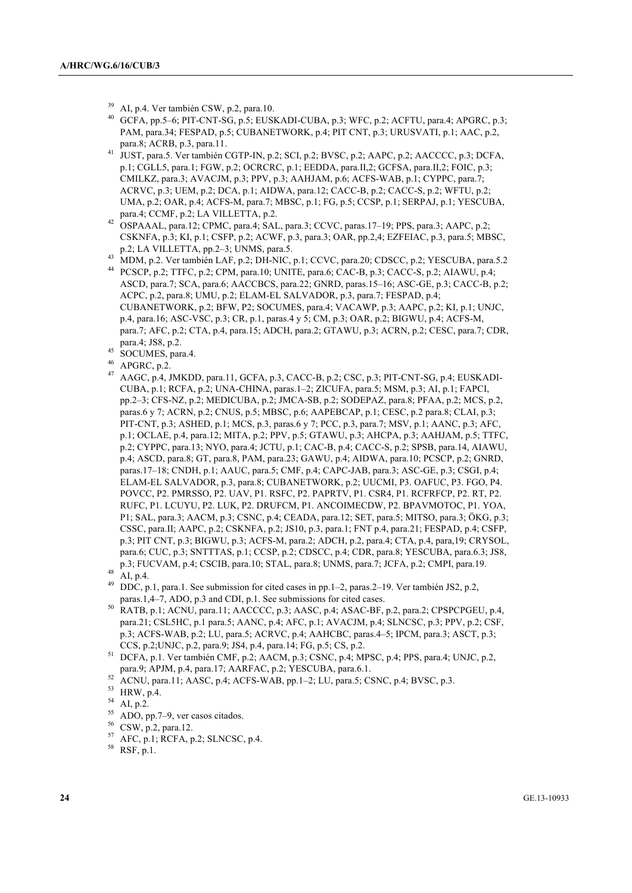- <sup>39</sup> AI, p.4. Ver también CSW, p.2, para.10.<br><sup>40</sup> CCEA pp.5. 6: PIT CNT SG, p.5: EUSI
- GCFA, pp.5–6; PIT-CNT-SG, p.5; EUSKADI-CUBA, p.3; WFC, p.2; ACFTU, para.4; APGRC, p.3; PAM, para.34; FESPAD, p.5; CUBANETWORK, p.4; PIT CNT, p.3; URUSVATI, p.1; AAC, p.2, para.8; ACRB, p.3, para.11.
- 41 JUST, para.5. Ver también CGTP-IN, p.2; SCI, p.2; BVSC, p.2; AAPC, p.2; AACCCC, p.3; DCFA, p.1; CGLL5, para.1; FGW, p.2; OCRCRC, p.1; EEDDA, para.II,2; GCFSA, para.II,2; FOIC, p.3; CMILKZ, para.3; AVACJM, p.3; PPV, p.3; AAHJAM, p.6; ACFS-WAB, p.1; CYPPC, para.7; ACRVC, p.3; UEM, p.2; DCA, p.1; AIDWA, para.12; CACC-B, p.2; CACC-S, p.2; WFTU, p.2; UMA, p.2; OAR, p.4; ACFS-M, para.7; MBSC, p.1; FG, p.5; CCSP, p.1; SERPAJ, p.1; YESCUBA, para.4; CCMF, p.2; LA VILLETTA, p.2.
- <sup>42</sup> OSPAAAL, para.12; CPMC, para.4; SAL, para.3; CCVC, paras.17–19; PPS, para.3; AAPC, p.2; CSKNFA, p.3; KI, p.1; CSFP, p.2; ACWF, p.3, para.3; OAR, pp.2,4; EZFEIAC, p.3, para.5; MBSC, p.2; LA VILLETTA, pp.2–3; UNMS, para.5.
- <sup>43</sup> MDM, p.2. Ver también LAF, p.2; DH-NIC, p.1; CCVC, para.20; CDSCC, p.2; YESCUBA, para.5.2
- <sup>44</sup> PCSCP, p.2; TTFC, p.2; CPM, para.10; UNITE, para.6; CAC-B, p.3; CACC-S, p.2; AIAWU, p.4; ASCD, para.7; SCA, para.6; AACCBCS, para.22; GNRD, paras.15–16; ASC-GE, p.3; CACC-B, p.2; ACPC, p.2, para.8; UMU, p.2; ELAM-EL SALVADOR, p.3, para.7; FESPAD, p.4; CUBANETWORK, p.2; BFW, P2; SOCUMES, para.4; VACAWP, p.3; AAPC, p.2; KI, p.1; UNJC, p.4, para.16; ASC-VSC, p.3; CR, p.1, paras.4 y 5; CM, p.3; OAR, p.2; BIGWU, p.4; ACFS-M, para.7; AFC, p.2; CTA, p.4, para.15; ADCH, para.2; GTAWU, p.3; ACRN, p.2; CESC, para.7; CDR, para.4; JS8, p.2.
- $^{45}$  SOCUMES, para.4.
- $^{46}$  APGRC, p.2.
- <sup>47</sup> AAGC, p.4, JMKDD, para.11, GCFA, p.3, CACC-B, p.2; CSC, p.3; PIT-CNT-SG, p.4; EUSKADI-CUBA, p.1; RCFA, p.2; UNA-CHINA, paras.1–2; ZICUFA, para.5; MSM, p.3; AI, p.1; FAPCI, pp.2–3; CFS-NZ, p.2; MEDICUBA, p.2; JMCA-SB, p.2; SODEPAZ, para.8; PFAA, p.2; MCS, p.2, paras.6 y 7; ACRN, p.2; CNUS, p.5; MBSC, p.6; AAPEBCAP, p.1; CESC, p.2 para.8; CLAI, p.3; PIT-CNT, p.3; ASHED, p.1; MCS, p.3, paras.6 y 7; PCC, p.3, para.7; MSV, p.1; AANC, p.3; AFC, p.1; OCLAE, p.4, para.12; MITA, p.2; PPV, p.5; GTAWU, p.3; AHCPA, p.3; AAHJAM, p.5; TTFC, p.2; CYPPC, para.13; NYO, para.4; JCTU, p.1; CAC-B, p.4; CACC-S, p.2; SPSB, para.14, AIAWU, p.4; ASCD, para.8; GT, para.8, PAM, para.23; GAWU, p.4; AIDWA, para.10; PCSCP, p.2; GNRD, paras.17–18; CNDH, p.1; AAUC, para.5; CMF, p.4; CAPC-JAB, para.3; ASC-GE, p.3; CSGI, p.4; ELAM-EL SALVADOR, p.3, para.8; CUBANETWORK, p.2; UUCMI, P3. OAFUC, P3. FGO, P4. POVCC, P2. PMRSSO, P2. UAV, P1. RSFC, P2. PAPRTV, P1. CSR4, P1. RCFRFCP, P2. RT, P2. RUFC, P1. LCUYU, P2. LUK, P2. DRUFCM, P1. ANCOIMECDW, P2. BPAVMOTOC, P1. YOA, P1; SAL, para.3; AACM, p.3; CSNC, p.4; CEADA, para.12; SET, para.5; MITSO, para.3; ÖKG, p.3; CSSC, para.II; AAPC, p.2; CSKNFA, p.2; JS10, p.3, para.1; FNT p.4, para.21; FESPAD, p.4; CSFP, p.3; PIT CNT, p.3; BIGWU, p.3; ACFS-M, para.2; ADCH, p.2, para.4; CTA, p.4, para,19; CRYSOL, para.6; CUC, p.3; SNTTTAS, p.1; CCSP, p.2; CDSCC, p.4; CDR, para.8; YESCUBA, para.6.3; JS8, p.3; FUCVAM, p.4; CSCIB, para.10; STAL, para.8; UNMS, para.7; JCFA, p.2; CMPI, para.19.
- $^{48}$  AI, p.4.
- <sup>49</sup> DDC, p.1, para.1. See submission for cited cases in pp.1–2, paras.2–19. Ver también JS2, p.2, paras.1,4–7, ADO, p.3 and CDI, p.1. See submissions for cited cases.
- <sup>50</sup> RATB, p.1; ACNU, para.11; AACCCC, p.3; AASC, p.4; ASAC-BF, p.2, para.2; CPSPCPGEU, p.4, para.21; CSL5HC, p.1 para.5; AANC, p.4; AFC, p.1; AVACJM, p.4; SLNCSC, p.3; PPV, p.2; CSF, p.3; ACFS-WAB, p.2; LU, para.5; ACRVC, p.4; AAHCBC, paras.4–5; IPCM, para.3; ASCT, p.3; CCS, p.2;UNJC, p.2, para.9; JS4, p.4, para.14; FG, p.5; CS, p.2.
- <sup>51</sup> DCFA, p.1. Ver también CMF, p.2; AACM, p.3; CSNC, p.4; MPSC, p.4; PPS, para.4; UNJC, p.2, para.9; APJM, p.4, para.17; AARFAC, p.2; YESCUBA, para.6.1.
- $52$  ACNU, para.11; AASC, p.4; ACFS-WAB, pp.1–2; LU, para.5; CSNC, p.4; BVSC, p.3.

- $^{54}$  AI, p.2.
- $^{55}$  ADO, pp.7–9, ver casos citados.
- $^{56}$  CSW, p.2, para.12.
- <sup>57</sup> AFC, p.1; RCFA, p.2; SLNCSC, p.4.

 $^{53}_{54}$  HRW, p.4.

<sup>58</sup> RSF, p.1.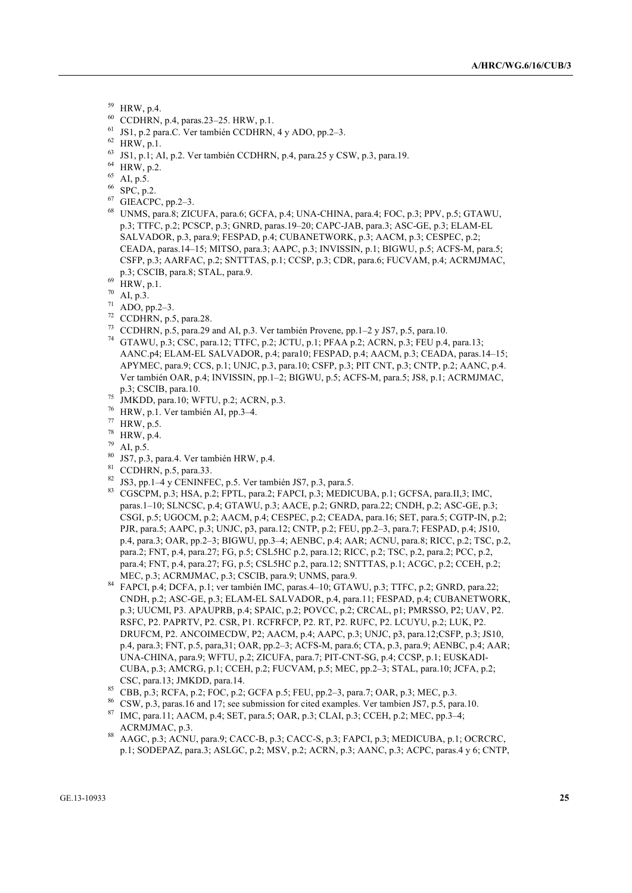- <sup>59</sup> HRW, p.4.
- <sup>60</sup> CCDHRN, p.4, paras.23–25. HRW, p.1.
- <sup>61</sup> JS1, p.2 para.C. Ver también CCDHRN, 4 y ADO, pp.2–3.
- $62$  HRW, p.1.
- <sup>63</sup> JS1, p.1; AI, p.2. Ver también CCDHRN, p.4, para.25 y CSW, p.3, para.19.
- $^{64}$  HRW, p.2.
- AI,  $p.5$ .
- <sup>66</sup> SPC, p.2.
- <sup>67</sup> GIEACPC, pp.2–3.
- <sup>68</sup> UNMS, para.8; ZICUFA, para.6; GCFA, p.4; UNA-CHINA, para.4; FOC, p.3; PPV, p.5; GTAWU, p.3; TTFC, p.2; PCSCP, p.3; GNRD, paras.19–20; CAPC-JAB, para.3; ASC-GE, p.3; ELAM-EL SALVADOR, p.3, para.9; FESPAD, p.4; CUBANETWORK, p.3; AACM, p.3; CESPEC, p.2; CEADA, paras.14–15; MITSO, para.3; AAPC, p.3; INVISSIN, p.1; BIGWU, p.5; ACFS-M, para.5; CSFP, p.3; AARFAC, p.2; SNTTTAS, p.1; CCSP, p.3; CDR, para.6; FUCVAM, p.4; ACRMJMAC, p.3; CSCIB, para.8; STAL, para.9.
- $^{69}$  HRW, p.1.
- $70$  AI, p.3.
- $71$  ADO, pp.2-3.
- <sup>72</sup> CCDHRN, p.5, para.28.
- <sup>73</sup> CCDHRN, p.5, para.29 and AI, p.3. Ver también Provene, pp.1–2 y JS7, p.5, para.10.
- <sup>74</sup> GTAWU, p.3; CSC, para.12; TTFC, p.2; JCTU, p.1; PFAA p.2; ACRN, p.3; FEU p.4, para.13; AANC.p4; ELAM-EL SALVADOR, p.4; para10; FESPAD, p.4; AACM, p.3; CEADA, paras.14–15; APYMEC, para.9; CCS, p.1; UNJC, p.3, para.10; CSFP, p.3; PIT CNT, p.3; CNTP, p.2; AANC, p.4. Ver también OAR, p.4; INVISSIN, pp.1–2; BIGWU, p.5; ACFS-M, para.5; JS8, p.1; ACRMJMAC, p.3; CSCIB, para.10.
- $^{75}$  JMKDD, para.10; WFTU, p.2; ACRN, p.3.
- <sup>76</sup> HRW, p.1. Ver también AI, pp.3–4.
- <sup>77</sup> HRW, p.5.
- $^{78}$  HRW, p.4.
- $^{79}$  AI, p.5.
- JS7, p.3, para.4. Ver también HRW, p.4.
- <sup>81</sup> CCDHRN, p.5, para.33.
- <sup>82</sup> JS3, pp.1–4 y CENINFEC, p.5. Ver también JS7, p.3, para.5.
- 83 CGSCPM, p.3; HSA, p.2; FPTL, para.2; FAPCI, p.3; MEDICUBA, p.1; GCFSA, para.II,3; IMC, paras.1–10; SLNCSC, p.4; GTAWU, p.3; AACE, p.2; GNRD, para.22; CNDH, p.2; ASC-GE, p.3; CSGI, p.5; UGOCM, p.2; AACM, p.4; CESPEC, p.2; CEADA, para.16; SET, para.5; CGTP-IN, p.2; PJR, para.5; AAPC, p.3; UNJC, p3, para.12; CNTP, p.2; FEU, pp.2–3, para.7; FESPAD, p.4; JS10, p.4, para.3; OAR, pp.2–3; BIGWU, pp.3–4; AENBC, p.4; AAR; ACNU, para.8; RICC, p.2; TSC, p.2, para.2; FNT, p.4, para.27; FG, p.5; CSL5HC p.2, para.12; RICC, p.2; TSC, p.2, para.2; PCC, p.2, para.4; FNT, p.4, para.27; FG, p.5; CSL5HC p.2, para.12; SNTTTAS, p.1; ACGC, p.2; CCEH, p.2; MEC, p.3; ACRMJMAC, p.3; CSCIB, para.9; UNMS, para.9.
- <sup>84</sup> FAPCI, p.4; DCFA, p.1; ver también IMC, paras.4–10; GTAWU, p.3; TTFC, p.2; GNRD, para.22; CNDH, p.2; ASC-GE, p.3; ELAM-EL SALVADOR, p.4, para.11; FESPAD, p.4; CUBANETWORK, p.3; UUCMI, P3. APAUPRB, p.4; SPAIC, p.2; POVCC, p.2; CRCAL, p1; PMRSSO, P2; UAV, P2. RSFC, P2. PAPRTV, P2. CSR, P1. RCFRFCP, P2. RT, P2. RUFC, P2. LCUYU, p.2; LUK, P2. DRUFCM, P2. ANCOIMECDW, P2; AACM, p.4; AAPC, p.3; UNJC, p3, para.12;CSFP, p.3; JS10, p.4, para.3; FNT, p.5, para,31; OAR, pp.2–3; ACFS-M, para.6; CTA, p.3, para.9; AENBC, p.4; AAR; UNA-CHINA, para.9; WFTU, p.2; ZICUFA, para.7; PIT-CNT-SG, p.4; CCSP, p.1; EUSKADI-CUBA, p.3; AMCRG, p.1; CCEH, p.2; FUCVAM, p.5; MEC, pp.2–3; STAL, para.10; JCFA, p.2; CSC, para.13; JMKDD, para.14.
- <sup>85</sup> CBB, p.3; RCFA, p.2; FOC, p.2; GCFA p.5; FEU, pp.2–3, para.7; OAR, p.3; MEC, p.3.
- <sup>86</sup> CSW, p.3, paras.16 and 17; see submission for cited examples. Ver tambien JS7, p.5, para.10. <sup>87</sup> IMC, para.11; AACM, p.4; SET, para.5; OAR, p.3; CLAI, p.3; CCEH, p.2; MEC, pp.3–4; ACRMJMAC, p.3.
- <sup>88</sup> AAGC, p.3; ACNU, para.9; CACC-B, p.3; CACC-S, p.3; FAPCI, p.3; MEDICUBA, p.1; OCRCRC, p.1; SODEPAZ, para.3; ASLGC, p.2; MSV, p.2; ACRN, p.3; AANC, p.3; ACPC, paras.4 y 6; CNTP,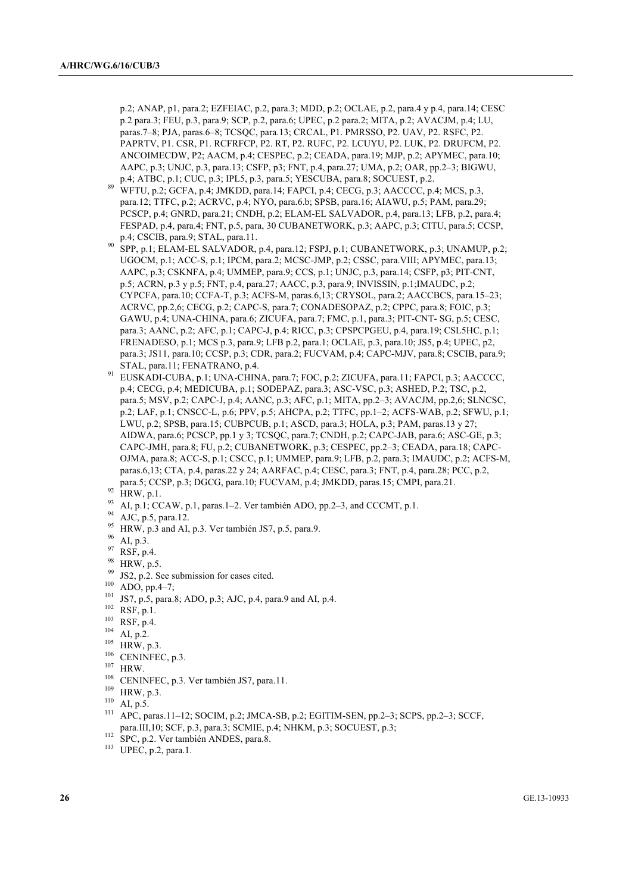p.2; ANAP, p1, para.2; EZFEIAC, p.2, para.3; MDD, p.2; OCLAE, p.2, para.4 y p.4, para.14; CESC p.2 para.3; FEU, p.3, para.9; SCP, p.2, para.6; UPEC, p.2 para.2; MITA, p.2; AVACJM, p.4; LU, paras.7–8; PJA, paras.6–8; TCSQC, para.13; CRCAL, P1. PMRSSO, P2. UAV, P2. RSFC, P2. PAPRTV, P1. CSR, P1. RCFRFCP, P2. RT, P2. RUFC, P2. LCUYU, P2. LUK, P2. DRUFCM, P2. ANCOIMECDW, P2; AACM, p.4; CESPEC, p.2; CEADA, para.19; MJP, p.2; APYMEC, para.10; AAPC, p.3; UNJC, p.3, para.13; CSFP, p3; FNT, p.4, para.27; UMA, p.2; OAR, pp.2–3; BIGWU, p.4; ATBC, p.1; CUC, p.3; IPL5, p.3, para.5; YESCUBA, para.8; SOCUEST, p.2.

- <sup>89</sup> WFTU, p.2; GCFA, p.4; JMKDD, para.14; FAPCI, p.4; CECG, p.3; AACCCC, p.4; MCS, p.3, para.12; TTFC, p.2; ACRVC, p.4; NYO, para.6.b; SPSB, para.16; AIAWU, p.5; PAM, para.29; PCSCP, p.4; GNRD, para.21; CNDH, p.2; ELAM-EL SALVADOR, p.4, para.13; LFB, p.2, para.4; FESPAD, p.4, para.4; FNT, p.5, para, 30 CUBANETWORK, p.3; AAPC, p.3; CITU, para.5; CCSP, p.4; CSCIB, para.9; STAL, para.11.
- <sup>90</sup> SPP, p.1; ELAM-EL SALVADOR, p.4, para.12; FSPJ, p.1; CUBANETWORK, p.3; UNAMUP, p.2; UGOCM, p.1; ACC-S, p.1; IPCM, para.2; MCSC-JMP, p.2; CSSC, para.VIII; APYMEC, para.13; AAPC, p.3; CSKNFA, p.4; UMMEP, para.9; CCS, p.1; UNJC, p.3, para.14; CSFP, p3; PIT-CNT, p.5; ACRN, p.3 y p.5; FNT, p.4, para.27; AACC, p.3, para.9; INVISSIN, p.1;IMAUDC, p.2; CYPCFA, para.10; CCFA-T, p.3; ACFS-M, paras.6,13; CRYSOL, para.2; AACCBCS, para.15–23; ACRVC, pp.2,6; CECG, p.2; CAPC-S, para.7; CONADESOPAZ, p.2; CPPC, para.8; FOIC, p.3; GAWU, p.4; UNA-CHINA, para.6; ZICUFA, para.7; FMC, p.1, para.3; PIT-CNT- SG, p.5; CESC, para.3; AANC, p.2; AFC, p.1; CAPC-J, p.4; RICC, p.3; CPSPCPGEU, p.4, para.19; CSL5HC, p.1; FRENADESO, p.1; MCS p.3, para.9; LFB p.2, para.1; OCLAE, p.3, para.10; JS5, p.4; UPEC, p2, para.3; JS11, para.10; CCSP, p.3; CDR, para.2; FUCVAM, p.4; CAPC-MJV, para.8; CSCIB, para.9; STAL, para.11; FENATRANO, p.4.
- 91 EUSKADI-CUBA, p.1; UNA-CHINA, para.7; FOC, p.2; ZICUFA, para.11; FAPCI, p.3; AACCCC, p.4; CECG, p.4; MEDICUBA, p.1; SODEPAZ, para.3; ASC-VSC, p.3; ASHED, P.2; TSC, p.2, para.5; MSV, p.2; CAPC-J, p.4; AANC, p.3; AFC, p.1; MITA, pp.2–3; AVACJM, pp.2,6; SLNCSC, p.2; LAF, p.1; CNSCC-L, p.6; PPV, p.5; AHCPA, p.2; TTFC, pp.1–2; ACFS-WAB, p.2; SFWU, p.1; LWU, p.2; SPSB, para.15; CUBPCUB, p.1; ASCD, para.3; HOLA, p.3; PAM, paras.13 y 27; AIDWA, para.6; PCSCP, pp.1 y 3; TCSQC, para.7; CNDH, p.2; CAPC-JAB, para.6; ASC-GE, p.3; CAPC-JMH, para.8; FU, p.2; CUBANETWORK, p.3; CESPEC, pp.2–3; CEADA, para.18; CAPC-OJMA, para.8; ACC-S, p.1; CSCC, p.1; UMMEP, para.9; LFB, p.2, para.3; IMAUDC, p.2; ACFS-M, paras.6,13; CTA, p.4, paras.22 y 24; AARFAC, p.4; CESC, para.3; FNT, p.4, para.28; PCC, p.2, para.5; CCSP, p.3; DGCG, para.10; FUCVAM, p.4; JMKDD, paras.15; CMPI, para.21.

- <sup>93</sup> AI, p.1; CCAW, p.1, paras.1–2. Ver también ADO, pp.2–3, and CCCMT, p.1.<br><sup>94</sup> AIC = 5 cm 12
- AJC, p.5, para.12.
- $^{95}$  HRW, p.3 and AI, p.3. Ver también JS7, p.5, para.9.
- <sup>96</sup> AI, p.3.
- <sup>97</sup> RSF, p.4.
- $^{98}$  HRW, p.5.
- $^{99}$  JS2, p.2. See submission for cases cited.
- ADO, pp.4–7;
- <sup>101</sup> JS7, p.5, para.8; ADO, p.3; AJC, p.4, para.9 and AI, p.4.
- <sup>102</sup> RSF, p.1.
- <sup>103</sup> RSF, p.4.
- $104$  AI, p.2.
- $105$  HRW, p.3.
- <sup>106</sup> CENINFEC, p.3.
- $^{107}_{108}$  HRW.
- 
- CENINFEC, p.3. Ver también JS7, para.11.
- $^{109}_{110}$  HRW, p.3.
- $^{110}$  AI, p.5.
- <sup>111</sup> APC, paras.11–12; SOCIM, p.2; JMCA-SB, p.2; EGITIM-SEN, pp.2–3; SCPS, pp.2–3; SCCF, para.III,10; SCF, p.3, para.3; SCMIE, p.4; NHKM, p.3; SOCUEST, p.3;
- $112$  SPC, p.2. Ver también ANDES, para.8.
- <sup>113</sup> UPEC, p.2, para.1.

 $^{92}$  HRW, p.1.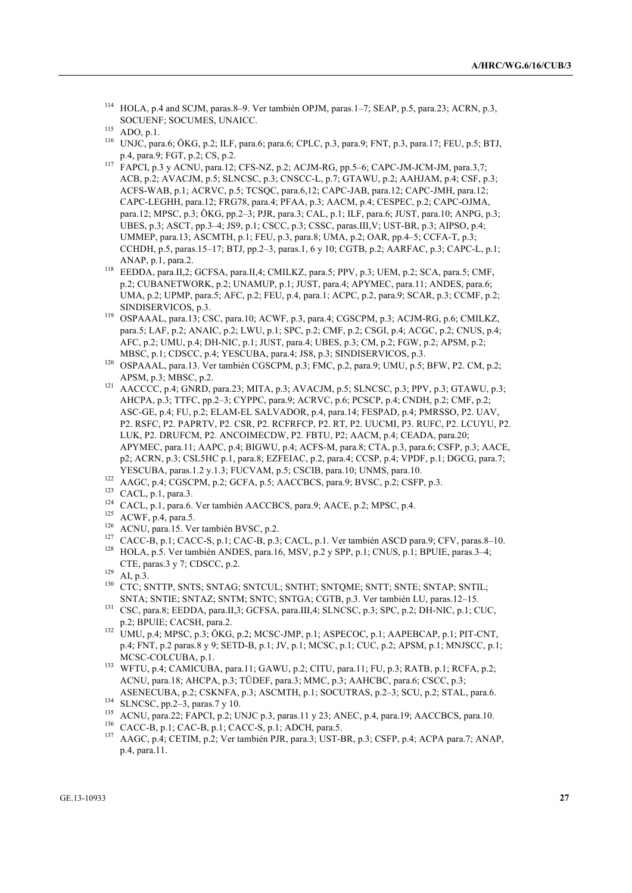- <sup>116</sup> UNJC, para.6; ÖKG, p.2; ILF, para.6; para.6; CPLC, p.3, para.9; FNT, p.3, para.17; FEU, p.5; BTJ, p.4, para.9; FGT, p.2; CS, p.2.
- <sup>117</sup> FAPCI, p.3 y ACNU, para.12; CFS-NZ, p.2; ACJM-RG, pp.5–6; CAPC-JM-JCM-JM, para.3,7; ACB, p.2; AVACJM, p.5; SLNCSC, p.3; CNSCC-L, p.7; GTAWU, p.2; AAHJAM, p.4; CSF, p.3; ACFS-WAB, p.1; ACRVC, p.5; TCSQC, para.6,12; CAPC-JAB, para.12; CAPC-JMH, para.12; CAPC-LEGHH, para.12; FRG78, para.4; PFAA, p.3; AACM, p.4; CESPEC, p.2; CAPC-OJMA, para.12; MPSC, p.3; ÖKG, pp.2–3; PJR, para.3; CAL, p.1; ILF, para.6; JUST, para.10; ANPG, p.3; UBES, p.3; ASCT, pp.3–4; JS9, p.1; CSCC, p.3; CSSC, paras.III,V; UST-BR, p.3; AIPSO, p.4; UMMEP, para.13; ASCMTH, p.1; FEU, p.3, para.8; UMA, p.2; OAR, pp.4–5; CCFA-T, p.3; CCHDH, p.5, paras.15–17; BTJ, pp.2–3, paras.1, 6 y 10; CGTB, p.2; AARFAC, p.3; CAPC-L, p.1; ANAP, p.1, para.2.
- <sup>118</sup> EEDDA, para.II,2; GCFSA, para.II,4; CMILKZ, para.5; PPV, p.3; UEM, p.2; SCA, para.5; CMF, p.2; CUBANETWORK, p.2; UNAMUP, p.1; JUST, para.4; APYMEC, para.11; ANDES, para.6; UMA, p.2; UPMP, para.5; AFC, p.2; FEU, p.4, para.1; ACPC, p.2, para.9; SCAR, p.3; CCMF, p.2; SINDISERVICOS, p.3.
- <sup>119</sup> OSPAAAL, para.13; CSC, para.10; ACWF, p.3, para.4; CGSCPM, p.3; ACJM-RG, p.6; CMILKZ, para.5; LAF, p.2; ANAIC, p.2; LWU, p.1; SPC, p.2; CMF, p.2; CSGI, p.4; ACGC, p.2; CNUS, p.4; AFC, p.2; UMU, p.4; DH-NIC, p.1; JUST, para.4; UBES, p.3; CM, p.2; FGW, p.2; APSM, p.2; MBSC, p.1; CDSCC, p.4; YESCUBA, para.4; JS8, p.3; SINDISERVICOS, p.3.
- <sup>120</sup> OSPAAAL, para.13. Ver también CGSCPM, p.3; FMC, p.2, para.9; UMU, p.5; BFW, P2. CM, p.2; APSM, p.3; MBSC, p.2.
- 121 AACCCC, p.4; GNRD, para.23; MITA, p.3; AVACJM, p.5; SLNCSC, p.3; PPV, p.3; GTAWU, p.3; AHCPA, p.3; TTFC, pp.2–3; CYPPC, para.9; ACRVC, p.6; PCSCP, p.4; CNDH, p.2; CMF, p.2; ASC-GE, p.4; FU, p.2; ELAM-EL SALVADOR, p.4, para.14; FESPAD, p.4; PMRSSO, P2. UAV, P2. RSFC, P2. PAPRTV, P2. CSR, P2. RCFRFCP, P2. RT, P2. UUCMI, P3. RUFC, P2. LCUYU, P2. LUK, P2. DRUFCM, P2. ANCOIMECDW, P2. FBTU, P2; AACM, p.4; CEADA, para.20; APYMEC, para.11; AAPC, p.4; BIGWU, p.4; ACFS-M, para.8; CTA, p.3, para.6; CSFP, p.3; AACE, p2; ACRN, p.3; CSL5HC p.1, para.8; EZFEIAC, p.2, para.4; CCSP, p.4; VPDF, p.1; DGCG, para.7; YESCUBA, paras.1.2 y.1.3; FUCVAM, p.5; CSCIB, para.10; UNMS, para.10.
- <sup>122</sup> AAGC, p.4; CGSCPM, p.2; GCFA, p.5; AACCBCS, para.9; BVSC, p.2; CSFP, p.3.

- <sup>124</sup> CACL, p.1, para.6. Ver también AACCBCS, para.9; AACE, p.2; MPSC, p.4.
- <sup>125</sup> ACWF, p.4, para.5.
- <sup>126</sup> ACNU, para.15. Ver también BVSC, p.2.
- <sup>127</sup> CACC-B, p.1; CACC-S, p.1; CAC-B, p.3; CACL, p.1. Ver también ASCD para.9; CFV, paras.8–10.
- <sup>128</sup> HOLA, p.5. Ver también ANDES, para.16, MSV, p.2 y SPP, p.1; CNUS, p.1; BPUIE, paras.3–4; CTE, paras.3 y 7; CDSCC, p.2.
- $129$  AI, p.3.
- 130 CTC; SNTTP, SNTS; SNTAG; SNTCUL; SNTHT; SNTQME; SNTT; SNTE; SNTAP; SNTIL; SNTA; SNTIE; SNTAZ; SNTM; SNTC; SNTGA; CGTB, p.3. Ver también LU, paras.12–15.
- <sup>131</sup> CSC, para.8; EEDDA, para.II,3; GCFSA, para.III,4; SLNCSC, p.3; SPC, p.2; DH-NIC, p.1; CUC, p.2; BPUIE; CACSH, para.2.
- <sup>132</sup> UMU, p.4; MPSC, p.3; ÖKG, p.2; MCSC-JMP, p.1; ASPECOC, p.1; AAPEBCAP, p.1; PIT-CNT, p.4; FNT, p.2 paras.8 y 9; SETD-B, p.1; JV, p.1; MCSC, p.1; CUC, p.2; APSM, p.1; MNJSCC, p.1; MCSC-COLCUBA, p.1.
- <sup>133</sup> WFTU, p.4; CAMICUBA, para.11; GAWU, p.2; CITU, para.11; FU, p.3; RATB, p.1; RCFA, p.2; ACNU, para.18; AHCPA, p.3; TÜDEF, para.3; MMC, p.3; AAHCBC, para.6; CSCC, p.3; ASENECUBA, p.2; CSKNFA, p.3; ASCMTH, p.1; SOCUTRAS, p.2–3; SCU, p.2; STAL, para.6.
- <sup>134</sup> SLNCSC, pp.2–3, paras.7 y 10.
- <sup>135</sup> ACNU, para.22; FAPCI, p.2; UNJC p.3, paras.11 y 23; ANEC, p.4, para.19; AACCBCS, para.10.
- <sup>136</sup> CACC-B, p.1; CAC-B, p.1; CACC-S, p.1; ADCH, para.5.
- <sup>137</sup> AAGC, p.4; CETIM, p.2; Ver también PJR, para.3; UST-BR, p.3; CSFP, p.4; ACPA para.7; ANAP, p.4, para.11.

<sup>114</sup> HOLA, p.4 and SCJM, paras.8–9. Ver también OPJM, paras.1–7; SEAP, p.5, para.23; ACRN, p.3, SOCUENF; SOCUMES, UNAICC.

 $115$  ADO, p.1.

<sup>123</sup> CACL, p.1, para.3.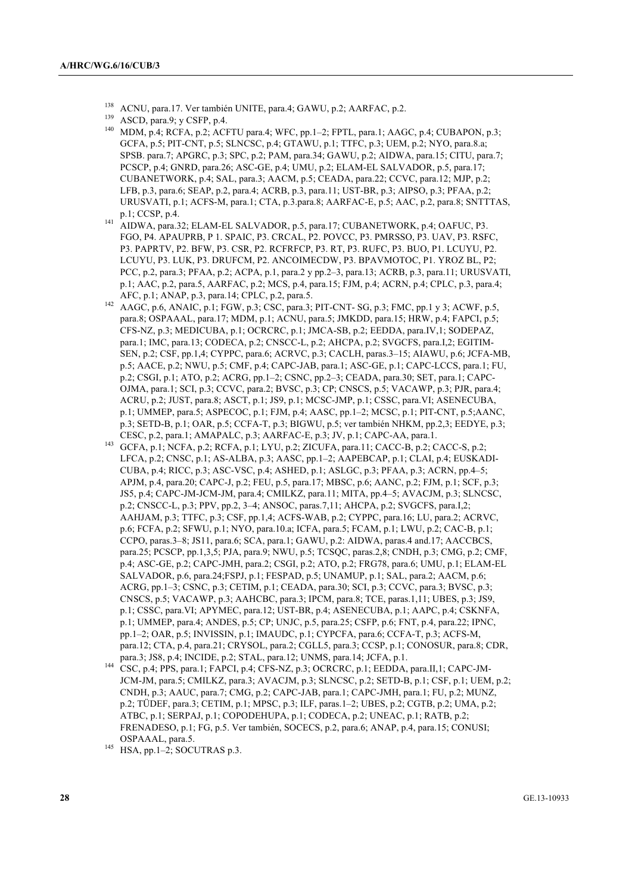- <sup>138</sup> ACNU, para.17. Ver también UNITE, para.4; GAWU, p.2; AARFAC, p.2.<br><sup>139</sup> ACCD, sara 0: v. CCDP, p.4.
- ASCD, para.9; y CSFP, p.4.
- <sup>140</sup> MDM, p.4; RCFA, p.2; ACFTU para.4; WFC, pp.1–2; FPTL, para.1; AAGC, p.4; CUBAPON, p.3; GCFA, p.5; PIT-CNT, p.5; SLNCSC, p.4; GTAWU, p.1; TTFC, p.3; UEM, p.2; NYO, para.8.a; SPSB. para.7; APGRC, p.3; SPC, p.2; PAM, para.34; GAWU, p.2; AIDWA, para.15; CITU, para.7; PCSCP, p.4; GNRD, para.26; ASC-GE, p.4; UMU, p.2; ELAM-EL SALVADOR, p.5, para.17; CUBANETWORK, p.4; SAL, para.3; AACM, p.5; CEADA, para.22; CCVC, para.12; MJP, p.2; LFB, p.3, para.6; SEAP, p.2, para.4; ACRB, p.3, para.11; UST-BR, p.3; AIPSO, p.3; PFAA, p.2; URUSVATI, p.1; ACFS-M, para.1; CTA, p.3.para.8; AARFAC-E, p.5; AAC, p.2, para.8; SNTTTAS, p.1; CCSP, p.4.
- <sup>141</sup> AIDWA, para.32; ELAM-EL SALVADOR, p.5, para.17; CUBANETWORK, p.4; OAFUC, P3. FGO, P4. APAUPRB, P 1. SPAIC, P3. CRCAL, P2. POVCC, P3. PMRSSO, P3. UAV, P3. RSFC, P3. PAPRTV, P2. BFW, P3. CSR, P2. RCFRFCP, P3. RT, P3. RUFC, P3. BUO, P1. LCUYU, P2. LCUYU, P3. LUK, P3. DRUFCM, P2. ANCOIMECDW, P3. BPAVMOTOC, P1. YROZ BL, P2; PCC, p.2, para.3; PFAA, p.2; ACPA, p.1, para.2 y pp.2–3, para.13; ACRB, p.3, para.11; URUSVATI, p.1; AAC, p.2, para.5, AARFAC, p.2; MCS, p.4, para.15; FJM, p.4; ACRN, p.4; CPLC, p.3, para.4; AFC, p.1; ANAP, p.3, para.14; CPLC, p.2, para.5.
- <sup>142</sup> AAGC, p.6, ANAIC, p.1; FGW, p.3; CSC, para.3; PIT-CNT- SG, p.3; FMC, pp.1 y 3; ACWF, p.5, para.8; OSPAAAL, para.17; MDM, p.1; ACNU, para.5; JMKDD, para.15; HRW, p.4; FAPCI, p.5; CFS-NZ, p.3; MEDICUBA, p.1; OCRCRC, p.1; JMCA-SB, p.2; EEDDA, para.IV,1; SODEPAZ, para.1; IMC, para.13; CODECA, p.2; CNSCC-L, p.2; AHCPA, p.2; SVGCFS, para.I,2; EGITIM-SEN, p.2; CSF, pp.1,4; CYPPC, para.6; ACRVC, p.3; CACLH, paras.3–15; AIAWU, p.6; JCFA-MB, p.5; AACE, p.2; NWU, p.5; CMF, p.4; CAPC-JAB, para.1; ASC-GE, p.1; CAPC-LCCS, para.1; FU, p.2; CSGI, p.1; ATO, p.2; ACRG, pp.1–2; CSNC, pp.2–3; CEADA, para.30; SET, para.1; CAPC-OJMA, para.1; SCI, p.3; CCVC, para.2; BVSC, p.3; CP; CNSCS, p.5; VACAWP, p.3; PJR, para.4; ACRU, p.2; JUST, para.8; ASCT, p.1; JS9, p.1; MCSC-JMP, p.1; CSSC, para.VI; ASENECUBA, p.1; UMMEP, para.5; ASPECOC, p.1; FJM, p.4; AASC, pp.1–2; MCSC, p.1; PIT-CNT, p.5;AANC, p.3; SETD-B, p.1; OAR, p.5; CCFA-T, p.3; BIGWU, p.5; ver también NHKM, pp.2,3; EEDYE, p.3; CESC, p.2, para.1; AMAPALC, p.3; AARFAC-E, p.3; JV, p.1; CAPC-AA, para.1.
- 143 GCFA, p.1; NCFA, p.2; RCFA, p.1; LYU, p.2; ZICUFA, para.11; CACC-B, p.2; CACC-S, p.2; LFCA, p.2; CNSC, p.1; AS-ALBA, p.3; AASC, pp.1–2; AAPEBCAP, p.1; CLAI, p.4; EUSKADI-CUBA, p.4; RICC, p.3; ASC-VSC, p.4; ASHED, p.1; ASLGC, p.3; PFAA, p.3; ACRN, pp.4–5; APJM, p.4, para.20; CAPC-J, p.2; FEU, p.5, para.17; MBSC, p.6; AANC, p.2; FJM, p.1; SCF, p.3; JS5, p.4; CAPC-JM-JCM-JM, para.4; CMILKZ, para.11; MITA, pp.4–5; AVACJM, p.3; SLNCSC, p.2; CNSCC-L, p.3; PPV, pp.2, 3–4; ANSOC, paras.7,11; AHCPA, p.2; SVGCFS, para.I,2; AAHJAM, p.3; TTFC, p.3; CSF, pp.1,4; ACFS-WAB, p.2; CYPPC, para.16; LU, para.2; ACRVC, p.6; FCFA, p.2; SFWU, p.1; NYO, para.10.a; ICFA, para.5; FCAM, p.1; LWU, p.2; CAC-B, p.1; CCPO, paras.3–8; JS11, para.6; SCA, para.1; GAWU, p.2: AIDWA, paras.4 and.17; AACCBCS, para.25; PCSCP, pp.1,3,5; PJA, para.9; NWU, p.5; TCSQC, paras.2,8; CNDH, p.3; CMG, p.2; CMF, p.4; ASC-GE, p.2; CAPC-JMH, para.2; CSGI, p.2; ATO, p.2; FRG78, para.6; UMU, p.1; ELAM-EL SALVADOR, p.6, para.24;FSPJ, p.1; FESPAD, p.5; UNAMUP, p.1; SAL, para.2; AACM, p.6; ACRG, pp.1–3; CSNC, p.3; CETIM, p.1; CEADA, para.30; SCI, p.3; CCVC, para.3; BVSC, p.3; CNSCS, p.5; VACAWP, p.3; AAHCBC, para.3; IPCM, para.8; TCE, paras.1,11; UBES, p.3; JS9, p.1; CSSC, para.VI; APYMEC, para.12; UST-BR, p.4; ASENECUBA, p.1; AAPC, p.4; CSKNFA, p.1; UMMEP, para.4; ANDES, p.5; CP; UNJC, p.5, para.25; CSFP, p.6; FNT, p.4, para.22; IPNC, pp.1–2; OAR, p.5; INVISSIN, p.1; IMAUDC, p.1; CYPCFA, para.6; CCFA-T, p.3; ACFS-M, para.12; CTA, p.4, para.21; CRYSOL, para.2; CGLL5, para.3; CCSP, p.1; CONOSUR, para.8; CDR, para.3; JS8, p.4; INCIDE, p.2; STAL, para.12; UNMS, para.14; JCFA, p.1.
- <sup>144</sup> CSC, p.4; PPS, para.1; FAPCI, p.4; CFS-NZ, p.3; OCRCRC, p.1; EEDDA, para.II,1; CAPC-JM-JCM-JM, para.5; CMILKZ, para.3; AVACJM, p.3; SLNCSC, p.2; SETD-B, p.1; CSF, p.1; UEM, p.2; CNDH, p.3; AAUC, para.7; CMG, p.2; CAPC-JAB, para.1; CAPC-JMH, para.1; FU, p.2; MUNZ, p.2; TÜDEF, para.3; CETIM, p.1; MPSC, p.3; ILF, paras.1–2; UBES, p.2; CGTB, p.2; UMA, p.2; ATBC, p.1; SERPAJ, p.1; COPODEHUPA, p.1; CODECA, p.2; UNEAC, p.1; RATB, p.2; FRENADESO, p.1; FG, p.5. Ver también, SOCECS, p.2, para.6; ANAP, p.4, para.15; CONUSI; OSPAAAL, para.5.

<sup>145</sup> HSA, pp.1–2; SOCUTRAS p.3.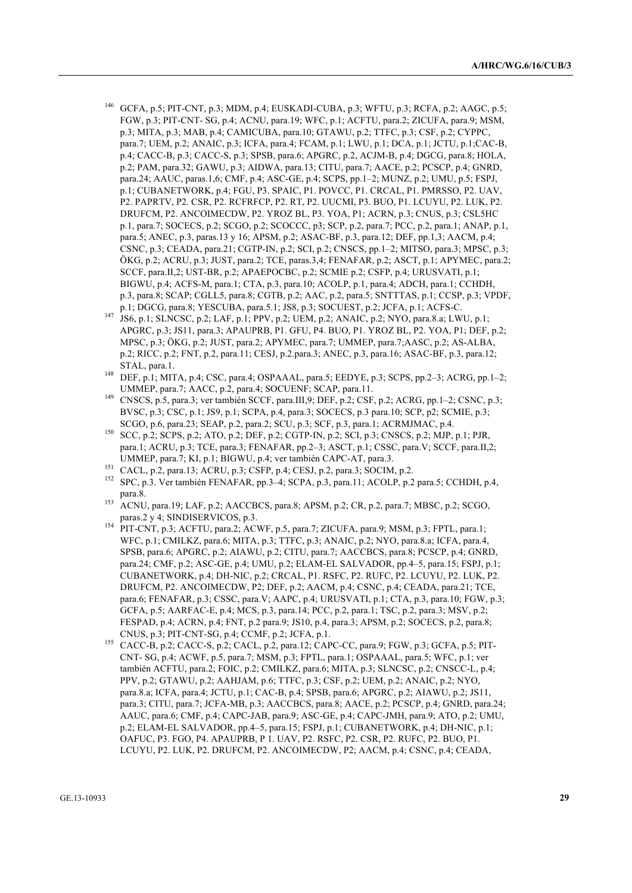- <sup>146</sup> GCFA, p.5; PIT-CNT, p.3; MDM, p.4; EUSKADI-CUBA, p.3; WFTU, p.3; RCFA, p.2; AAGC, p.5; FGW, p.3; PIT-CNT- SG, p.4; ACNU, para.19; WFC, p.1; ACFTU, para.2; ZICUFA, para.9; MSM, p.3; MITA, p.3; MAB, p.4; CAMICUBA, para.10; GTAWU, p.2; TTFC, p.3; CSF, p.2; CYPPC, para.7; UEM, p.2; ANAIC, p.3; ICFA, para.4; FCAM, p.1; LWU, p.1; DCA, p.1; JCTU, p.1;CAC-B, p.4; CACC-B, p.3; CACC-S, p.3; SPSB, para.6; APGRC, p.2, ACJM-B, p.4; DGCG, para.8; HOLA, p.2; PAM, para.32; GAWU, p.3; AIDWA, para.13; CITU, para.7; AACE, p.2; PCSCP, p.4; GNRD, para.24; AAUC, paras.1,6; CMF, p.4; ASC-GE, p.4; SCPS, pp.1–2; MUNZ, p.2; UMU, p.5; FSPJ, p.1; CUBANETWORK, p.4; FGU, P3. SPAIC, P1. POVCC, P1. CRCAL, P1. PMRSSO, P2. UAV, P2. PAPRTV, P2. CSR, P2. RCFRFCP, P2. RT, P2. UUCMI, P3. BUO, P1. LCUYU, P2. LUK, P2. DRUFCM, P2. ANCOIMECDW, P2. YROZ BL, P3. YOA, P1; ACRN, p.3; CNUS, p.3; CSL5HC p.1, para.7; SOCECS, p.2; SCGO, p.2; SCOCCC, p3; SCP, p.2, para.7; PCC, p.2, para.1; ANAP, p.1, para.5; ANEC, p.3, paras.13 y 16; APSM, p.2; ASAC-BF, p.3, para.12; DEF, pp.1,3; AACM, p.4; CSNC, p.3; CEADA, para.21; CGTP-IN, p.2; SCI, p.2; CNSCS, pp.1–2; MITSO, para.3; MPSC, p.3; ÖKG, p.2; ACRU, p.3; JUST, para.2; TCE, paras.3,4; FENAFAR, p.2; ASCT, p.1; APYMEC, para.2; SCCF, para.II,2; UST-BR, p.2; APAEPOCBC, p.2; SCMIE p.2; CSFP, p.4; URUSVATI, p.1; BIGWU, p.4; ACFS-M, para.1; CTA, p.3, para.10; ACOLP, p.1, para.4; ADCH, para.1; CCHDH, p.3, para.8; SCAP; CGLL5, para.8; CGTB, p.2; AAC, p.2, para.5; SNTTTAS, p.1; CCSP, p.3; VPDF, p.1; DGCG, para.8; YESCUBA, para.5.1; JS8, p.3; SOCUEST, p.2; JCFA, p.1; ACFS-C.
- <sup>147</sup> JS6, p.1; SLNCSC, p.2; LAF, p.1; PPV, p.2; UEM, p.2; ANAIC, p.2; NYO, para.8.a; LWU, p.1; APGRC, p.3; JS11, para.3; APAUPRB, P1. GFU, P4. BUO, P1. YROZ BL, P2. YOA, P1; DEF, p.2; MPSC, p.3; ÖKG, p.2; JUST, para.2; APYMEC, para.7; UMMEP, para.7;AASC, p.2; AS-ALBA, p.2; RICC, p.2; FNT, p.2, para.11; CESJ, p.2.para.3; ANEC, p.3, para.16; ASAC-BF, p.3, para.12; STAL, para.1.
- <sup>148</sup> DEF, p.1; MITA, p.4; CSC, para.4; OSPAAAL, para.5; EEDYE, p.3; SCPS, pp.2–3; ACRG, pp.1–2; UMMEP, para.7; AACC, p.2, para.4; SOCUENF; SCAP, para.11.
- <sup>149</sup> CNSCS, p.5, para.3; ver también SCCF, para.III,9; DEF, p.2; CSF, p.2; ACRG, pp.1–2; CSNC, p.3; BVSC, p.3; CSC, p.1; JS9, p.1; SCPA, p.4, para.3; SOCECS, p.3 para.10; SCP, p2; SCMIE, p.3; SCGO, p.6, para.23; SEAP, p.2, para.2; SCU, p.3; SCF, p.3, para.1; ACRMJMAC, p.4.
- 150 SCC, p.2; SCPS, p.2; ATO, p.2; DEF, p.2; CGTP-IN, p.2; SCI, p.3; CNSCS, p.2; MJP, p.1; PJR, para.1; ACRU, p.3; TCE, para.3; FENAFAR, pp.2–3; ASCT, p.1; CSSC, para.V; SCCF, para.II,2; UMMEP, para.7; KI, p.1; BIGWU, p.4; ver también CAPC-AT, para.3.
- <sup>151</sup> CACL, p.2, para.13; ACRU, p.3; CSFP, p.4; CESJ, p.2, para.3; SOCIM, p.2.
- <sup>152</sup> SPC, p.3. Ver también FENAFAR, pp.3–4; SCPA, p.3, para.11; ACOLP, p.2 para.5; CCHDH, p.4, para.8.
- <sup>153</sup> ACNU, para.19; LAF, p.2; AACCBCS, para.8; APSM, p.2; CR, p.2, para.7; MBSC, p.2; SCGO, paras.2 y 4; SINDISERVICOS, p.3.
- 154 PIT-CNT, p.3; ACFTU, para.2; ACWF, p.5, para.7; ZICUFA, para.9; MSM, p.3; FPTL, para.1; WFC, p.1; CMILKZ, para.6; MITA, p.3; TTFC, p.3; ANAIC, p.2; NYO, para.8.a; ICFA, para.4, SPSB, para.6; APGRC, p.2; AIAWU, p.2; CITU, para.7; AACCBCS, para.8; PCSCP, p.4; GNRD, para.24; CMF, p.2; ASC-GE, p.4; UMU, p.2; ELAM-EL SALVADOR, pp.4–5, para.15; FSPJ, p.1; CUBANETWORK, p.4; DH-NIC, p.2; CRCAL, P1. RSFC, P2. RUFC, P2. LCUYU, P2. LUK, P2. DRUFCM, P2. ANCOIMECDW, P2; DEF, p.2; AACM, p.4; CSNC, p.4; CEADA, para.21; TCE, para.6; FENAFAR, p.3; CSSC, para.V; AAPC, p.4; URUSVATI, p.1; CTA, p.3, para.10; FGW, p.3; GCFA, p.5; AARFAC-E, p.4; MCS, p.3, para.14; PCC, p.2, para.1; TSC, p.2, para.3; MSV, p.2; FESPAD, p.4; ACRN, p.4; FNT, p.2 para.9; JS10, p.4, para.3; APSM, p.2; SOCECS, p.2, para.8; CNUS, p.3; PIT-CNT-SG, p.4; CCMF, p.2; JCFA, p.1.
- <sup>155</sup> CACC-B, p.2; CACC-S, p.2; CACL, p.2, para.12; CAPC-CC, para.9; FGW, p.3; GCFA, p.5; PIT-CNT- SG, p.4; ACWF, p.5, para.7; MSM, p.3; FPTL, para.1; OSPAAAL, para.5; WFC, p.1; ver también ACFTU, para.2; FOIC, p.2; CMILKZ, para.6; MITA, p.3; SLNCSC, p.2; CNSCC-L, p.4; PPV, p.2; GTAWU, p.2; AAHJAM, p.6; TTFC, p.3; CSF, p.2; UEM, p.2; ANAIC, p.2; NYO, para.8.a; ICFA, para.4; JCTU, p.1; CAC-B, p.4; SPSB, para.6; APGRC, p.2; AIAWU, p.2; JS11, para.3; CITU, para.7; JCFA-MB, p.3; AACCBCS, para.8; AACE, p.2; PCSCP, p.4; GNRD, para.24; AAUC, para.6; CMF, p.4; CAPC-JAB, para.9; ASC-GE, p.4; CAPC-JMH, para.9; ATO, p.2; UMU, p.2; ELAM-EL SALVADOR, pp.4–5, para.15; FSPJ, p.1; CUBANETWORK, p.4; DH-NIC, p.1; OAFUC, P3. FGO, P4. APAUPRB, P 1. UAV, P2. RSFC, P2. CSR, P2. RUFC, P2. BUO, P1. LCUYU, P2. LUK, P2. DRUFCM, P2. ANCOIMECDW, P2; AACM, p.4; CSNC, p.4; CEADA,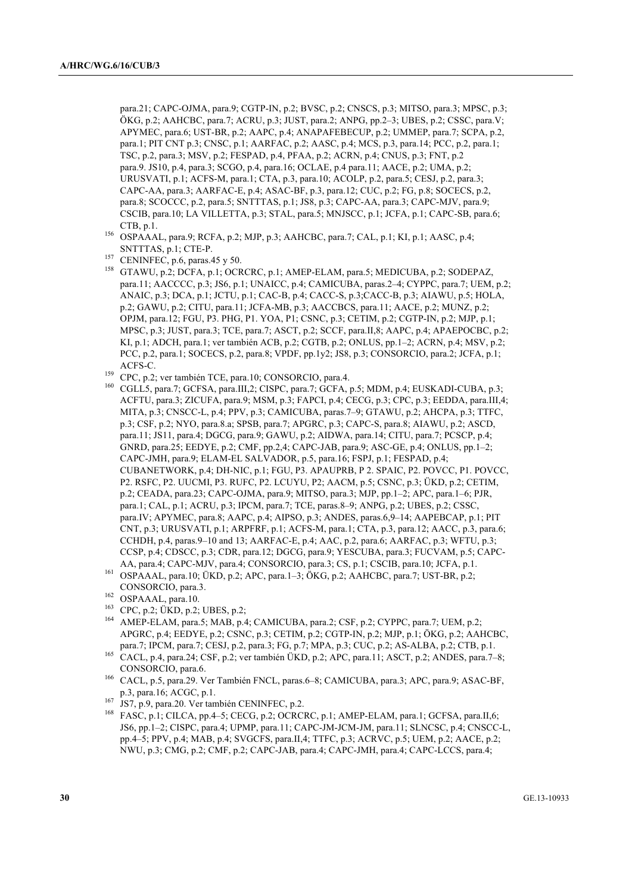para.21; CAPC-OJMA, para.9; CGTP-IN, p.2; BVSC, p.2; CNSCS, p.3; MITSO, para.3; MPSC, p.3; ÖKG, p.2; AAHCBC, para.7; ACRU, p.3; JUST, para.2; ANPG, pp.2–3; UBES, p.2; CSSC, para.V; APYMEC, para.6; UST-BR, p.2; AAPC, p.4; ANAPAFEBECUP, p.2; UMMEP, para.7; SCPA, p.2, para.1; PIT CNT p.3; CNSC, p.1; AARFAC, p.2; AASC, p.4; MCS, p.3, para.14; PCC, p.2, para.1; TSC, p.2, para.3; MSV, p.2; FESPAD, p.4, PFAA, p.2; ACRN, p.4; CNUS, p.3; FNT, p.2 para.9. JS10, p.4, para.3; SCGO, p.4, para.16; OCLAE, p.4 para.11; AACE, p.2; UMA, p.2; URUSVATI, p.1; ACFS-M, para.1; CTA, p.3, para.10; ACOLP, p.2, para.5; CESJ, p.2, para.3; CAPC-AA, para.3; AARFAC-E, p.4; ASAC-BF, p.3, para.12; CUC, p.2; FG, p.8; SOCECS, p.2, para.8; SCOCCC, p.2, para.5; SNTTTAS, p.1; JS8, p.3; CAPC-AA, para.3; CAPC-MJV, para.9; CSCIB, para.10; LA VILLETTA, p.3; STAL, para.5; MNJSCC, p.1; JCFA, p.1; CAPC-SB, para.6; CTB, p.1.

- <sup>156</sup> OSPAAAL, para.9; RCFA, p.2; MJP, p.3; AAHCBC, para.7; CAL, p.1; KI, p.1; AASC, p.4; SNTTTAS, p.1; CTE-P.
- <sup>157</sup> CENINFEC, p.6, paras.45 y 50.
- <sup>158</sup> GTAWU, p.2; DCFA, p.1; OCRCRC, p.1; AMEP-ELAM, para.5; MEDICUBA, p.2; SODEPAZ, para.11; AACCCC, p.3; JS6, p.1; UNAICC, p.4; CAMICUBA, paras.2–4; CYPPC, para.7; UEM, p.2; ANAIC, p.3; DCA, p.1; JCTU, p.1; CAC-B, p.4; CACC-S, p.3;CACC-B, p.3; AIAWU, p.5; HOLA, p.2; GAWU, p.2; CITU, para.11; JCFA-MB, p.3; AACCBCS, para.11; AACE, p.2; MUNZ, p.2; OPJM, para.12; FGU, P3. PHG, P1. YOA, P1; CSNC, p.3; CETIM, p.2; CGTP-IN, p.2; MJP, p.1; MPSC, p.3; JUST, para.3; TCE, para.7; ASCT, p.2; SCCF, para.II,8; AAPC, p.4; APAEPOCBC, p.2; KI, p.1; ADCH, para.1; ver también ACB, p.2; CGTB, p.2; ONLUS, pp.1–2; ACRN, p.4; MSV, p.2; PCC, p.2, para.1; SOCECS, p.2, para.8; VPDF, pp.1y2; JS8, p.3; CONSORCIO, para.2; JCFA, p.1; ACFS-C.
- <sup>159</sup> CPC, p.2; ver también TCE, para.10; CONSORCIO, para.4.
- CGLL5, para.7; GCFSA, para.III,2; CISPC, para.7; GCFA, p.5; MDM, p.4; EUSKADI-CUBA, p.3; ACFTU, para.3; ZICUFA, para.9; MSM, p.3; FAPCI, p.4; CECG, p.3; CPC, p.3; EEDDA, para.III,4; MITA, p.3; CNSCC-L, p.4; PPV, p.3; CAMICUBA, paras.7–9; GTAWU, p.2; AHCPA, p.3; TTFC, p.3; CSF, p.2; NYO, para.8.a; SPSB, para.7; APGRC, p.3; CAPC-S, para.8; AIAWU, p.2; ASCD, para.11; JS11, para.4; DGCG, para.9; GAWU, p.2; AIDWA, para.14; CITU, para.7; PCSCP, p.4; GNRD, para.25; EEDYE, p.2; CMF, pp.2,4; CAPC-JAB, para.9; ASC-GE, p.4; ONLUS, pp.1–2; CAPC-JMH, para.9; ELAM-EL SALVADOR, p.5, para.16; FSPJ, p.1; FESPAD, p.4; CUBANETWORK, p.4; DH-NIC, p.1; FGU, P3. APAUPRB, P 2. SPAIC, P2. POVCC, P1. POVCC, P2. RSFC, P2. UUCMI, P3. RUFC, P2. LCUYU, P2; AACM, p.5; CSNC, p.3; ÜKD, p.2; CETIM, p.2; CEADA, para.23; CAPC-OJMA, para.9; MITSO, para.3; MJP, pp.1–2; APC, para.1–6; PJR, para.1; CAL, p.1; ACRU, p.3; IPCM, para.7; TCE, paras.8–9; ANPG, p.2; UBES, p.2; CSSC, para.IV; APYMEC, para.8; AAPC, p.4; AIPSO, p.3; ANDES, paras.6,9–14; AAPEBCAP, p.1; PIT CNT, p.3; URUSVATI, p.1; ARPFRF, p.1; ACFS-M, para.1; CTA, p.3, para.12; AACC, p.3, para.6; CCHDH, p.4, paras.9–10 and 13; AARFAC-E, p.4; AAC, p.2, para.6; AARFAC, p.3; WFTU, p.3; CCSP, p.4; CDSCC, p.3; CDR, para.12; DGCG, para.9; YESCUBA, para.3; FUCVAM, p.5; CAPC-AA, para.4; CAPC-MJV, para.4; CONSORCIO, para.3; CS, p.1; CSCIB, para.10; JCFA, p.1.
- <sup>161</sup> OSPAAAL, para.10; ÜKD, p.2; APC, para.1–3; ÖKG, p.2; AAHCBC, para.7; UST-BR, p.2; CONSORCIO, para.3.
- <sup>162</sup> OSPAAAL, para.10.
- <sup>163</sup> CPC, p.2; UKD, p.2; UBES, p.2;
- AMEP-ELAM, para.5; MAB, p.4; CAMICUBA, para.2; CSF, p.2; CYPPC, para.7; UEM, p.2; APGRC, p.4; EEDYE, p.2; CSNC, p.3; CETIM, p.2; CGTP-IN, p.2; MJP, p.1; ÖKG, p.2; AAHCBC, para.7; IPCM, para.7; CESJ, p.2, para.3; FG, p.7; MPA, p.3; CUC, p.2; AS-ALBA, p.2; CTB, p.1.
- <sup>165</sup> CACL, p.4, para.24; CSF, p.2; ver también ÜKD, p.2; APC, para.11; ASCT, p.2; ANDES, para.7–8; CONSORCIO, para.6.
- <sup>166</sup> CACL, p.5, para.29. Ver También FNCL, paras.6–8; CAMICUBA, para.3; APC, para.9; ASAC-BF, p.3, para.16; ACGC, p.1.
- <sup>167</sup> JS7, p.9, para.20. Ver también CENINFEC, p.2.
- <sup>168</sup> FASC, p.1; CILCA, pp.4–5; CECG, p.2; OCRCRC, p.1; AMEP-ELAM, para.1; GCFSA, para.II,6; JS6, pp.1–2; CISPC, para.4; UPMP, para.11; CAPC-JM-JCM-JM, para.11; SLNCSC, p.4; CNSCC-L, pp.4–5; PPV, p.4; MAB, p.4; SVGCFS, para.II,4; TTFC, p.3; ACRVC, p.5; UEM, p.2; AACE, p.2; NWU, p.3; CMG, p.2; CMF, p.2; CAPC-JAB, para.4; CAPC-JMH, para.4; CAPC-LCCS, para.4;